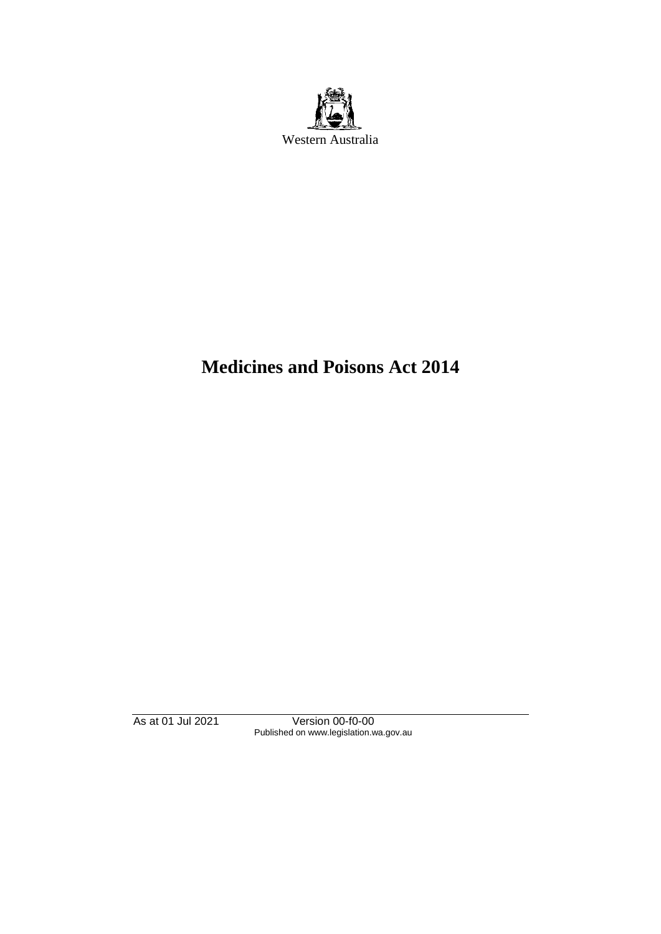

# **Medicines and Poisons Act 2014**

As at 01 Jul 2021 Version 00-f0-00 Published on www.legislation.wa.gov.au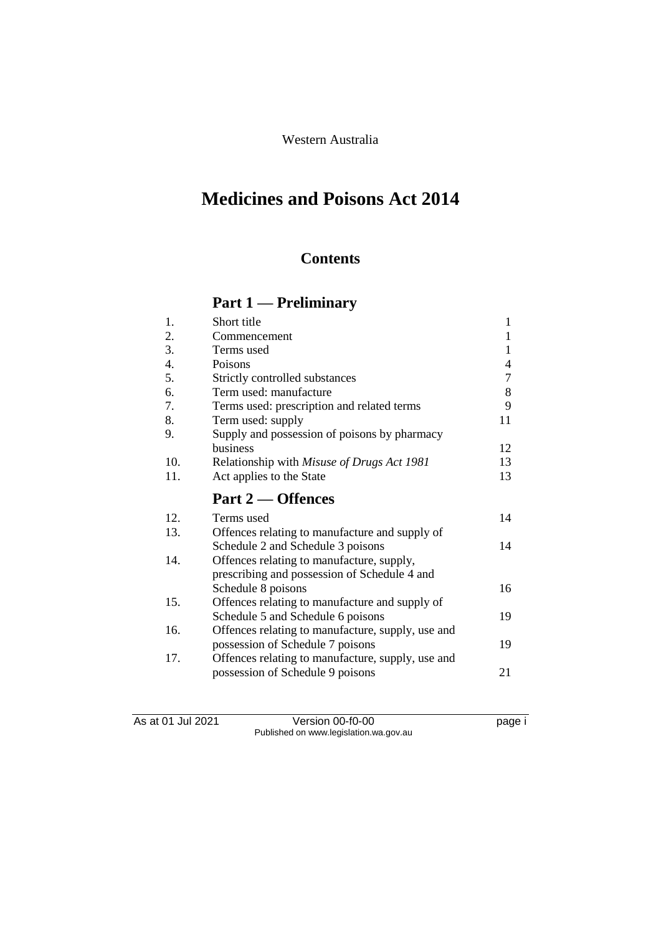Western Australia

# **Medicines and Poisons Act 2014**

# **Contents**

# **Part 1 — Preliminary**

| 1.               | Short title                                                        | $\mathbf{1}$ |
|------------------|--------------------------------------------------------------------|--------------|
| 2.               | Commencement                                                       | $\mathbf{1}$ |
| 3.               | Terms used                                                         | 1            |
| $\overline{4}$ . | Poisons                                                            | 4            |
| 5.               | Strictly controlled substances                                     | 7            |
| 6.               | Term used: manufacture                                             | 8            |
| 7.               | Terms used: prescription and related terms                         | 9            |
| 8.               | Term used: supply                                                  | 11           |
| 9.               | Supply and possession of poisons by pharmacy                       |              |
|                  | business                                                           | 12           |
| 10.              | Relationship with Misuse of Drugs Act 1981                         | 13           |
| 11.              | Act applies to the State                                           | 13           |
|                  |                                                                    |              |
|                  | Part 2 	 Offences                                                  |              |
| 12.              | Terms used                                                         | 14           |
| 13.              |                                                                    |              |
|                  | Offences relating to manufacture and supply of                     | 14           |
| 14.              | Schedule 2 and Schedule 3 poisons                                  |              |
|                  | Offences relating to manufacture, supply,                          |              |
|                  | prescribing and possession of Schedule 4 and<br>Schedule 8 poisons | 16           |
| 15.              | Offences relating to manufacture and supply of                     |              |
|                  | Schedule 5 and Schedule 6 poisons                                  | 19           |
| 16.              | Offences relating to manufacture, supply, use and                  |              |
|                  | possession of Schedule 7 poisons                                   | 19           |
| 17.              | Offences relating to manufacture, supply, use and                  |              |
|                  | possession of Schedule 9 poisons                                   | 21           |

As at 01 Jul 2021 Version 00-f0-00 Page i Published on www.legislation.wa.gov.au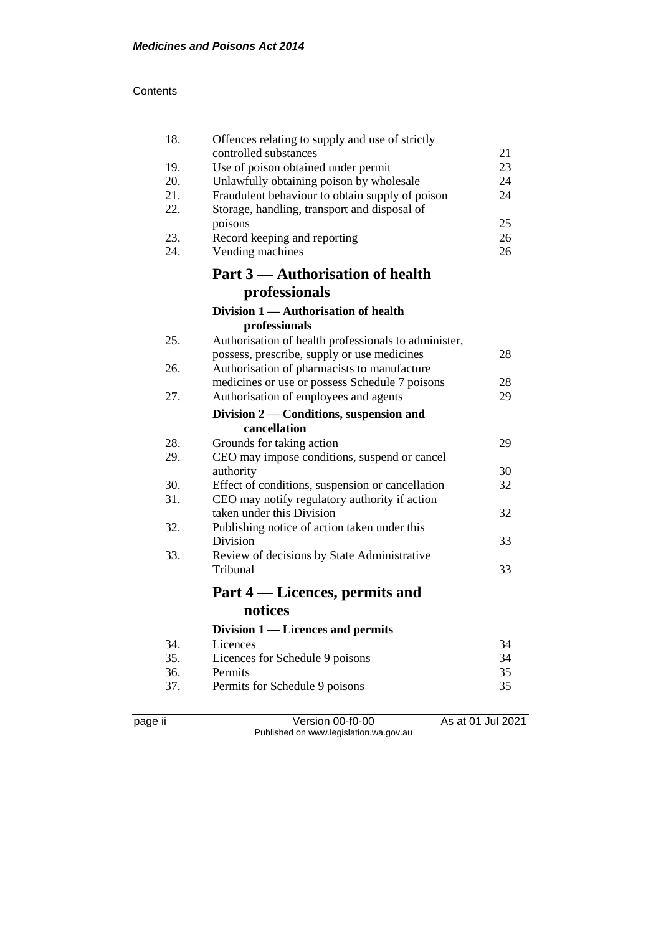#### **Contents**

| 18. | Offences relating to supply and use of strictly      |    |
|-----|------------------------------------------------------|----|
|     | controlled substances                                | 21 |
| 19. | Use of poison obtained under permit                  | 23 |
| 20. | Unlawfully obtaining poison by wholesale             | 24 |
| 21. | Fraudulent behaviour to obtain supply of poison      | 24 |
| 22. | Storage, handling, transport and disposal of         |    |
|     | poisons                                              | 25 |
| 23. | Record keeping and reporting                         | 26 |
| 24. | Vending machines                                     | 26 |
|     | Part 3 — Authorisation of health                     |    |
|     | professionals                                        |    |
|     | Division 1 — Authorisation of health                 |    |
|     | professionals                                        |    |
| 25. | Authorisation of health professionals to administer, |    |
|     | possess, prescribe, supply or use medicines          | 28 |
| 26. | Authorisation of pharmacists to manufacture          |    |
|     | medicines or use or possess Schedule 7 poisons       | 28 |
| 27. | Authorisation of employees and agents                | 29 |
|     | Division 2 — Conditions, suspension and              |    |
|     | cancellation                                         |    |
| 28. | Grounds for taking action                            | 29 |
| 29. | CEO may impose conditions, suspend or cancel         |    |
|     | authority                                            | 30 |
| 30. | Effect of conditions, suspension or cancellation     | 32 |
| 31. | CEO may notify regulatory authority if action        |    |
|     | taken under this Division                            | 32 |
| 32. | Publishing notice of action taken under this         |    |
|     | Division                                             | 33 |
| 33. | Review of decisions by State Administrative          |    |
|     | Tribunal                                             | 33 |
|     | Part 4 — Licences, permits and                       |    |
|     | notices                                              |    |
|     | Division 1 — Licences and permits                    |    |
| 34. | Licences                                             | 34 |
| 35. | Licences for Schedule 9 poisons                      | 34 |
| 36. | Permits                                              | 35 |
| 37. | Permits for Schedule 9 poisons                       | 35 |
|     |                                                      |    |
|     |                                                      |    |

page ii Version 00-f0-00 As at 01 Jul 2021 Published on www.legislation.wa.gov.au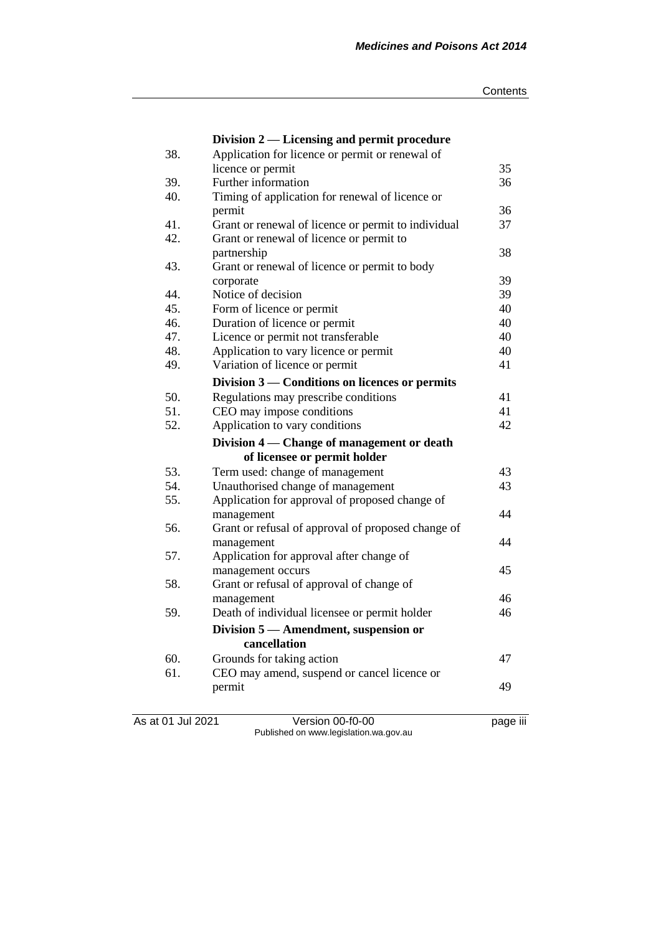|     | Division 2 — Licensing and permit procedure         |    |
|-----|-----------------------------------------------------|----|
| 38. | Application for licence or permit or renewal of     |    |
|     | licence or permit                                   | 35 |
| 39. | Further information                                 | 36 |
| 40. | Timing of application for renewal of licence or     |    |
|     | permit                                              | 36 |
| 41. | Grant or renewal of licence or permit to individual | 37 |
| 42. | Grant or renewal of licence or permit to            |    |
|     | partnership                                         | 38 |
| 43. | Grant or renewal of licence or permit to body       |    |
|     | corporate                                           | 39 |
| 44. | Notice of decision                                  | 39 |
| 45. | Form of licence or permit                           | 40 |
| 46. | Duration of licence or permit                       | 40 |
| 47. | Licence or permit not transferable                  | 40 |
| 48. | Application to vary licence or permit               | 40 |
| 49. | Variation of licence or permit                      | 41 |
|     | Division 3 — Conditions on licences or permits      |    |
| 50. | Regulations may prescribe conditions                | 41 |
| 51. | CEO may impose conditions                           | 41 |
| 52. | Application to vary conditions                      | 42 |
|     | Division 4 — Change of management or death          |    |
|     | of licensee or permit holder                        |    |
| 53. | Term used: change of management                     | 43 |
| 54. | Unauthorised change of management                   | 43 |
| 55. | Application for approval of proposed change of      |    |
|     | management                                          | 44 |
| 56. | Grant or refusal of approval of proposed change of  |    |
|     | management                                          | 44 |
| 57. | Application for approval after change of            |    |
|     | management occurs                                   | 45 |
| 58. | Grant or refusal of approval of change of           |    |
|     | management                                          | 46 |
| 59. | Death of individual licensee or permit holder       | 46 |
|     | Division 5 — Amendment, suspension or               |    |
|     | cancellation                                        |    |
| 60. | Grounds for taking action                           | 47 |
| 61. | CEO may amend, suspend or cancel licence or         |    |
|     | permit                                              | 49 |
|     |                                                     |    |
|     |                                                     |    |

As at 01 Jul 2021 Version 00-f0-00 page iii Published on www.legislation.wa.gov.au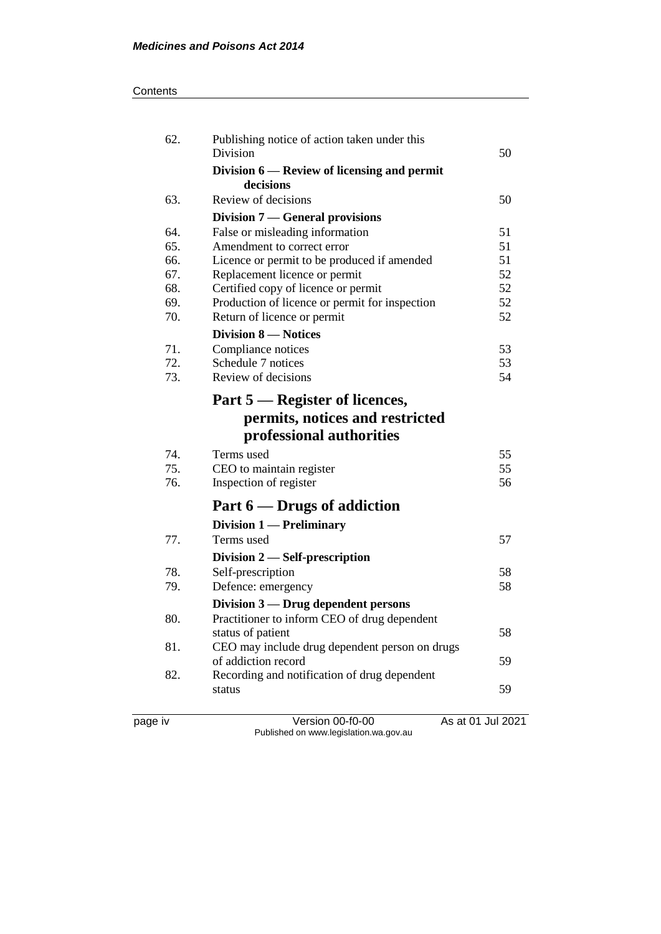#### **Contents**

| <b>Division</b>                                          | 50 |
|----------------------------------------------------------|----|
| Division 6 — Review of licensing and permit<br>decisions |    |
| Review of decisions<br>63.                               | 50 |
| Division 7 — General provisions                          |    |
| False or misleading information<br>64.                   | 51 |
| 65.<br>Amendment to correct error                        | 51 |
| 66.<br>Licence or permit to be produced if amended       | 51 |
| 67.<br>Replacement licence or permit                     | 52 |
| 68.<br>Certified copy of licence or permit               | 52 |
| 69.<br>Production of licence or permit for inspection    | 52 |
| 70.<br>Return of licence or permit                       | 52 |
| <b>Division 8 – Notices</b>                              |    |
| 71.<br>Compliance notices                                | 53 |
| 72.<br>Schedule 7 notices                                | 53 |
| 73.<br>Review of decisions                               | 54 |
| Part 5 — Register of licences,                           |    |
| permits, notices and restricted                          |    |
| professional authorities                                 |    |
| 74.<br>Terms used                                        | 55 |
| 75.<br>CEO to maintain register                          | 55 |
| 76.<br>Inspection of register                            | 56 |
| Part $6$ — Drugs of addiction                            |    |
| Division 1 — Preliminary                                 |    |
| 77.<br>Terms used                                        | 57 |
| Division $2$ — Self-prescription                         |    |
| 78.<br>Self-prescription                                 | 58 |
| 79.<br>Defence: emergency                                | 58 |
| Division 3 — Drug dependent persons                      |    |
| 80.<br>Practitioner to inform CEO of drug dependent      |    |
| status of patient                                        | 58 |
| 81.<br>CEO may include drug dependent person on drugs    |    |
| of addiction record                                      | 59 |
| Recording and notification of drug dependent<br>82.      |    |
| status                                                   | 59 |
|                                                          |    |

page iv Version 00-f0-00 As at 01 Jul 2021 Published on www.legislation.wa.gov.au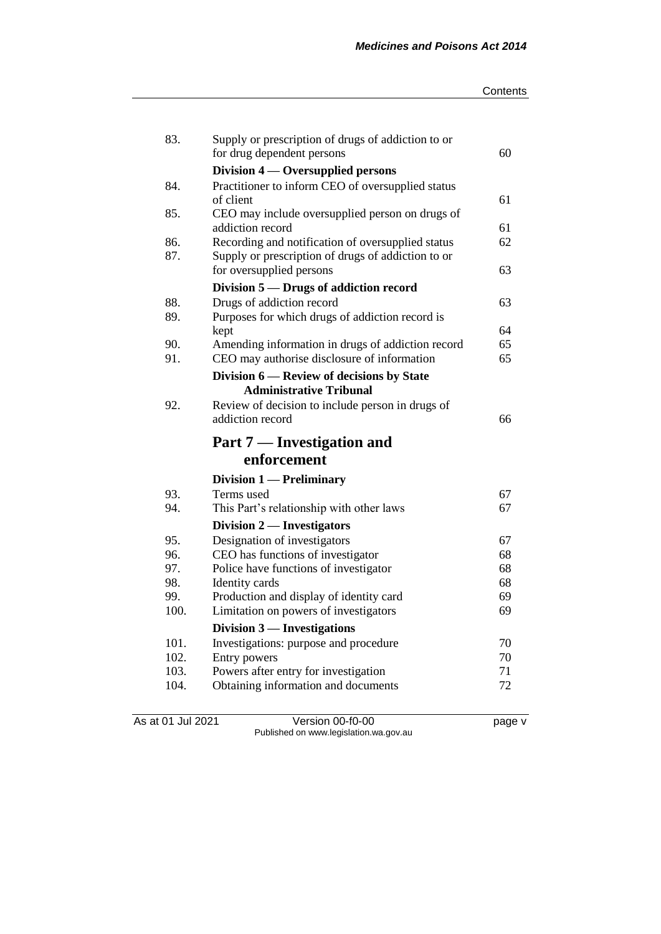| Contents |
|----------|
|----------|

| 83.          | Supply or prescription of drugs of addiction to or<br>for drug dependent persons | 60       |
|--------------|----------------------------------------------------------------------------------|----------|
|              | Division $4$ — Oversupplied persons                                              |          |
| 84.          | Practitioner to inform CEO of oversupplied status                                |          |
|              | of client                                                                        | 61       |
| 85.          | CEO may include oversupplied person on drugs of                                  |          |
|              | addiction record                                                                 | 61       |
| 86.          | Recording and notification of oversupplied status                                | 62       |
| 87.          | Supply or prescription of drugs of addiction to or                               |          |
|              | for oversupplied persons                                                         | 63       |
|              | Division 5 – Drugs of addiction record                                           |          |
| 88.          | Drugs of addiction record                                                        | 63       |
| 89.          | Purposes for which drugs of addiction record is                                  |          |
|              | kept                                                                             | 64       |
| 90.          | Amending information in drugs of addiction record                                | 65       |
| 91.          | CEO may authorise disclosure of information                                      | 65       |
|              | Division 6 — Review of decisions by State                                        |          |
|              | <b>Administrative Tribunal</b>                                                   |          |
| 92.          | Review of decision to include person in drugs of                                 |          |
|              |                                                                                  |          |
|              | addiction record                                                                 | 66       |
|              | Part 7 — Investigation and                                                       |          |
|              | enforcement                                                                      |          |
|              |                                                                                  |          |
| 93.          | Division 1 — Preliminary<br>Terms used                                           | 67       |
| 94.          | This Part's relationship with other laws                                         | 67       |
|              |                                                                                  |          |
| 95.          | Division 2 — Investigators                                                       | 67       |
| 96.          | Designation of investigators                                                     | 68       |
| 97.          | CEO has functions of investigator<br>Police have functions of investigator       | 68       |
| 98.          | Identity cards                                                                   | 68       |
| 99.          | Production and display of identity card                                          | 69       |
| 100.         | Limitation on powers of investigators                                            | 69       |
|              | Division 3 — Investigations                                                      |          |
| 101.         | Investigations: purpose and procedure                                            | 70       |
| 102.         | Entry powers                                                                     | 70       |
| 103.<br>104. | Powers after entry for investigation<br>Obtaining information and documents      | 71<br>72 |

As at 01 Jul 2021 Version 00-f0-00 page v Published on www.legislation.wa.gov.au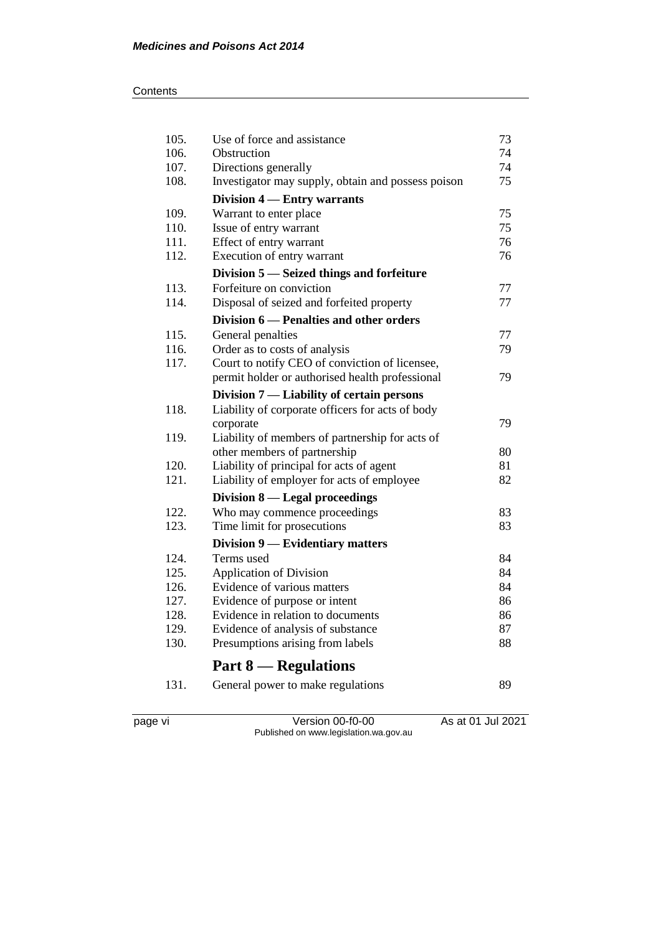#### **Contents**

| 105. | Use of force and assistance                        | 73 |
|------|----------------------------------------------------|----|
| 106. | Obstruction                                        | 74 |
| 107. | Directions generally                               | 74 |
| 108. | Investigator may supply, obtain and possess poison | 75 |
|      | Division 4 – Entry warrants                        |    |
| 109. | Warrant to enter place                             | 75 |
| 110. | Issue of entry warrant                             | 75 |
| 111. | Effect of entry warrant                            | 76 |
| 112. | Execution of entry warrant                         | 76 |
|      | Division 5 - Seized things and forfeiture          |    |
| 113. | Forfeiture on conviction                           | 77 |
| 114. | Disposal of seized and forfeited property          | 77 |
|      | Division 6 - Penalties and other orders            |    |
| 115. | General penalties                                  | 77 |
| 116. | Order as to costs of analysis                      | 79 |
| 117. | Court to notify CEO of conviction of licensee,     |    |
|      | permit holder or authorised health professional    | 79 |
|      | Division 7 — Liability of certain persons          |    |
| 118. | Liability of corporate officers for acts of body   |    |
|      | corporate                                          | 79 |
| 119. | Liability of members of partnership for acts of    |    |
|      | other members of partnership                       | 80 |
| 120. | Liability of principal for acts of agent           | 81 |
| 121. | Liability of employer for acts of employee         | 82 |
|      | Division 8 — Legal proceedings                     |    |
| 122. | Who may commence proceedings                       | 83 |
| 123. | Time limit for prosecutions                        | 83 |
|      | Division 9 — Evidentiary matters                   |    |
| 124. | Terms used                                         | 84 |
| 125. | <b>Application of Division</b>                     | 84 |
| 126. | Evidence of various matters                        | 84 |
| 127. | Evidence of purpose or intent                      | 86 |
| 128. | Evidence in relation to documents                  | 86 |
| 129. | Evidence of analysis of substance                  | 87 |
| 130. | Presumptions arising from labels                   | 88 |
|      | <b>Part 8 — Regulations</b>                        |    |
| 131. | General power to make regulations                  | 89 |
|      |                                                    |    |

page vi Version 00-f0-00 As at 01 Jul 2021 Published on www.legislation.wa.gov.au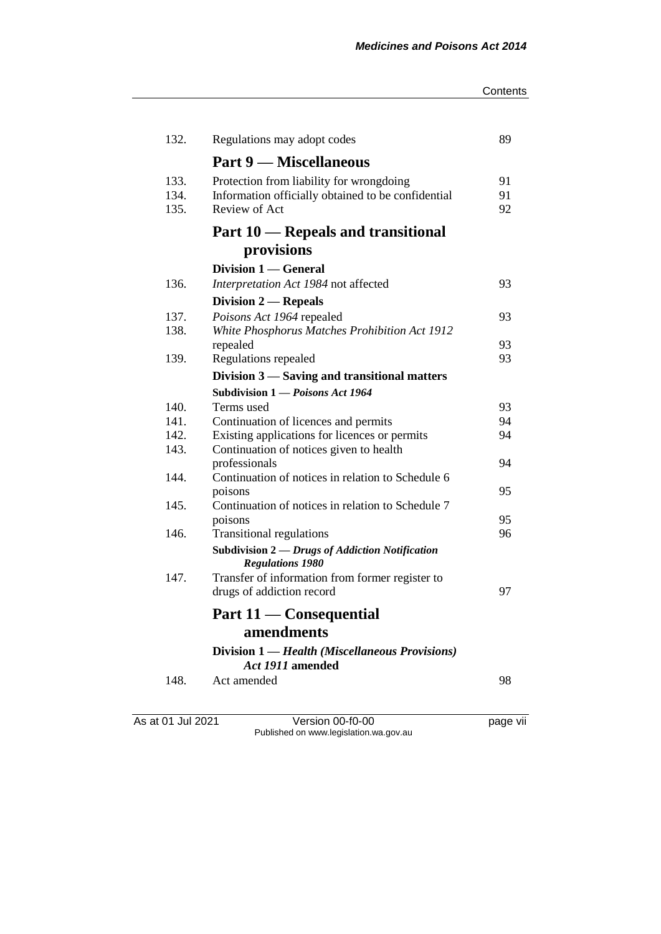#### **Contents**

| 132.         | Regulations may adopt codes                                                           | 89       |
|--------------|---------------------------------------------------------------------------------------|----------|
|              | <b>Part 9 — Miscellaneous</b>                                                         |          |
| 133.         | Protection from liability for wrongdoing                                              | 91       |
| 134.         | Information officially obtained to be confidential                                    | 91       |
| 135.         | Review of Act                                                                         | 92       |
|              | Part 10 — Repeals and transitional                                                    |          |
|              | provisions                                                                            |          |
|              | Division 1 — General                                                                  |          |
| 136.         | Interpretation Act 1984 not affected                                                  | 93       |
|              | Division $2$ - Repeals                                                                |          |
| 137.         | Poisons Act 1964 repealed                                                             | 93       |
| 138.         | White Phosphorus Matches Prohibition Act 1912                                         |          |
|              | repealed                                                                              | 93       |
| 139.         | Regulations repealed                                                                  | 93       |
|              | Division 3 — Saving and transitional matters                                          |          |
|              | Subdivision 1 - Poisons Act 1964                                                      |          |
| 140.<br>141. | Terms used                                                                            | 93<br>94 |
| 142.         | Continuation of licences and permits<br>Existing applications for licences or permits | 94       |
| 143.         | Continuation of notices given to health                                               |          |
|              | professionals                                                                         | 94       |
| 144.         | Continuation of notices in relation to Schedule 6                                     |          |
|              | poisons                                                                               | 95       |
| 145.         | Continuation of notices in relation to Schedule 7                                     |          |
|              | poisons                                                                               | 95       |
| 146.         | <b>Transitional regulations</b>                                                       | 96       |
|              | Subdivision 2 - Drugs of Addiction Notification<br><b>Regulations 1980</b>            |          |
| 147.         | Transfer of information from former register to                                       |          |
|              | drugs of addiction record                                                             | 97       |
|              | Part 11 — Consequential                                                               |          |
|              | amendments                                                                            |          |
|              | Division 1 — Health (Miscellaneous Provisions)                                        |          |
|              | Act 1911 amended                                                                      |          |
| 148.         | Act amended                                                                           | 98       |
|              |                                                                                       |          |
|              |                                                                                       |          |

As at 01 Jul 2021 Version 00-f0-00 page vii Published on www.legislation.wa.gov.au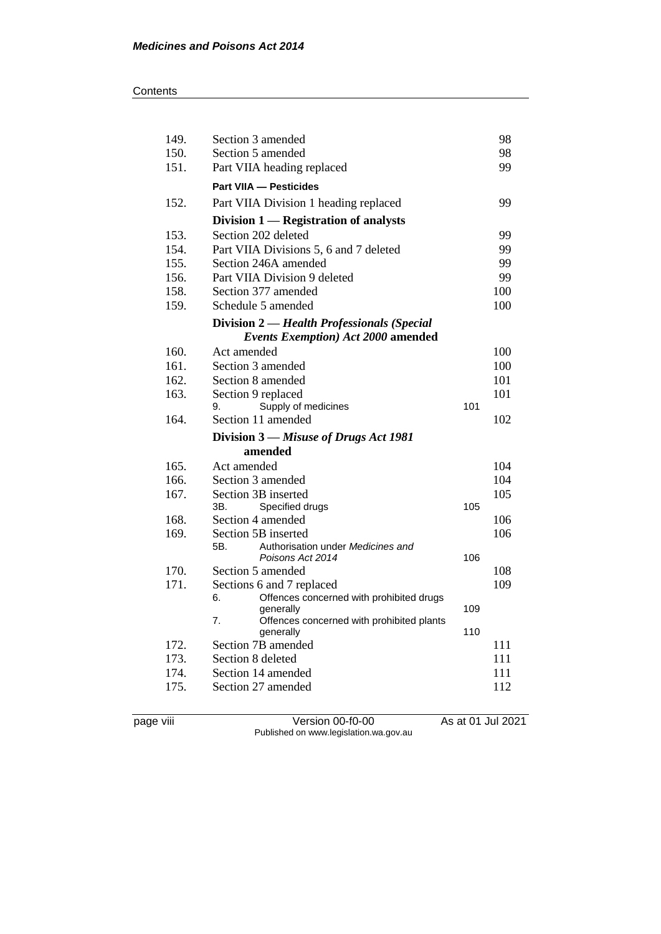| 149. | Section 3 amended                                               |     | 98  |
|------|-----------------------------------------------------------------|-----|-----|
| 150. | Section 5 amended                                               |     | 98  |
| 151. | Part VIIA heading replaced                                      |     | 99  |
|      | <b>Part VIIA - Pesticides</b>                                   |     |     |
| 152. | Part VIIA Division 1 heading replaced                           |     | 99  |
|      | Division 1 - Registration of analysts                           |     |     |
| 153. | Section 202 deleted                                             |     | 99  |
| 154. | Part VIIA Divisions 5, 6 and 7 deleted                          |     | 99  |
| 155. | Section 246A amended                                            |     | 99  |
| 156. | Part VIIA Division 9 deleted                                    |     | 99  |
| 158. | Section 377 amended                                             |     | 100 |
| 159. | Schedule 5 amended                                              |     | 100 |
|      | Division 2 — Health Professionals (Special                      |     |     |
|      | <b>Events Exemption) Act 2000 amended</b>                       |     |     |
| 160. | Act amended                                                     |     | 100 |
| 161. | Section 3 amended                                               |     | 100 |
| 162. | Section 8 amended                                               |     | 101 |
| 163. | Section 9 replaced                                              |     | 101 |
|      | Supply of medicines<br>9.                                       | 101 |     |
| 164. | Section 11 amended                                              |     | 102 |
|      | Division 3 – Misuse of Drugs Act 1981                           |     |     |
|      | amended                                                         |     |     |
| 165. | Act amended                                                     |     | 104 |
| 166. | Section 3 amended                                               |     | 104 |
| 167. | Section 3B inserted                                             |     | 105 |
|      | Specified drugs<br>ЗΒ.                                          | 105 |     |
| 168. | Section 4 amended                                               |     | 106 |
| 169. | Section 5B inserted<br>Authorisation under Medicines and<br>5B. |     | 106 |
|      | Poisons Act 2014                                                | 106 |     |
| 170. | Section 5 amended                                               |     | 108 |
| 171. | Sections 6 and 7 replaced                                       |     | 109 |
|      | Offences concerned with prohibited drugs<br>6.                  |     |     |
|      | generally                                                       | 109 |     |
|      | 7.<br>Offences concerned with prohibited plants                 | 110 |     |
| 172. | generally<br>Section 7B amended                                 |     | 111 |
| 173. | Section 8 deleted                                               |     | 111 |
| 174. | Section 14 amended                                              |     | 111 |
| 175. | Section 27 amended                                              |     | 112 |
|      |                                                                 |     |     |

page viii Version 00-f0-00 As at 01 Jul 2021 Published on www.legislation.wa.gov.au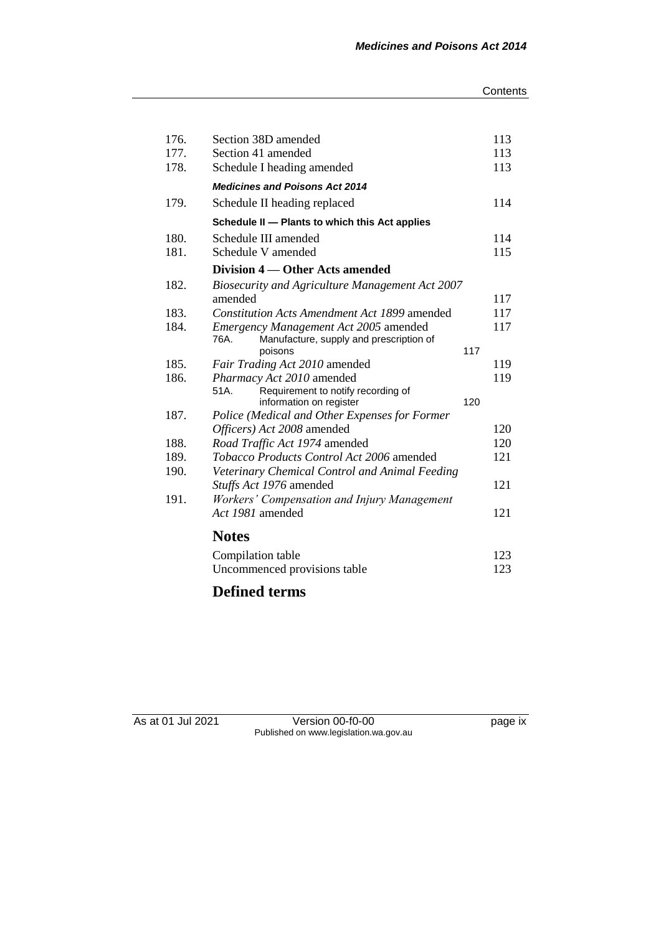| 113 |
|-----|
| 113 |
| 113 |
|     |
| 114 |
|     |
| 114 |
| 115 |
|     |
|     |
| 117 |
| 117 |
| 117 |
|     |
| 117 |
| 119 |
| 119 |
|     |
| 120 |
|     |
| 120 |
| 120 |
| 121 |
|     |
| 121 |
|     |
|     |
| 121 |
|     |
| 123 |
|     |

# **Defined terms**

As at 01 Jul 2021 Version 00-f0-00 page ix Published on www.legislation.wa.gov.au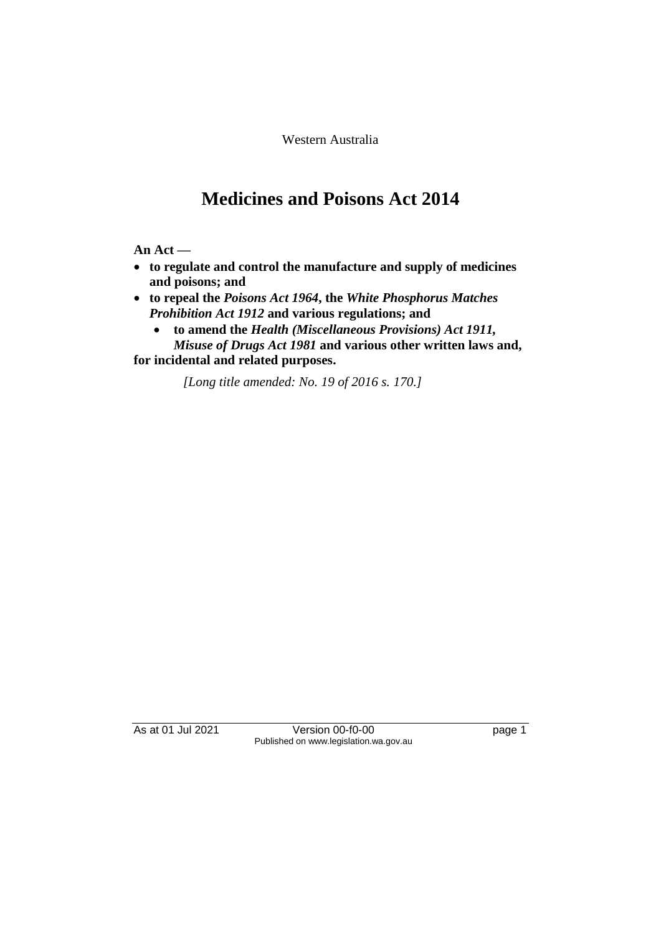Western Australia

# **Medicines and Poisons Act 2014**

**An Act —**

- **to regulate and control the manufacture and supply of medicines and poisons; and**
- **to repeal the** *Poisons Act 1964***, the** *White Phosphorus Matches Prohibition Act 1912* **and various regulations; and**
	- **to amend the** *Health (Miscellaneous Provisions) Act 1911, Misuse of Drugs Act 1981* **and various other written laws and,**

**for incidental and related purposes.**

*[Long title amended: No. 19 of 2016 s. 170.]*

As at 01 Jul 2021 Version 00-f0-00 Page 1 Published on www.legislation.wa.gov.au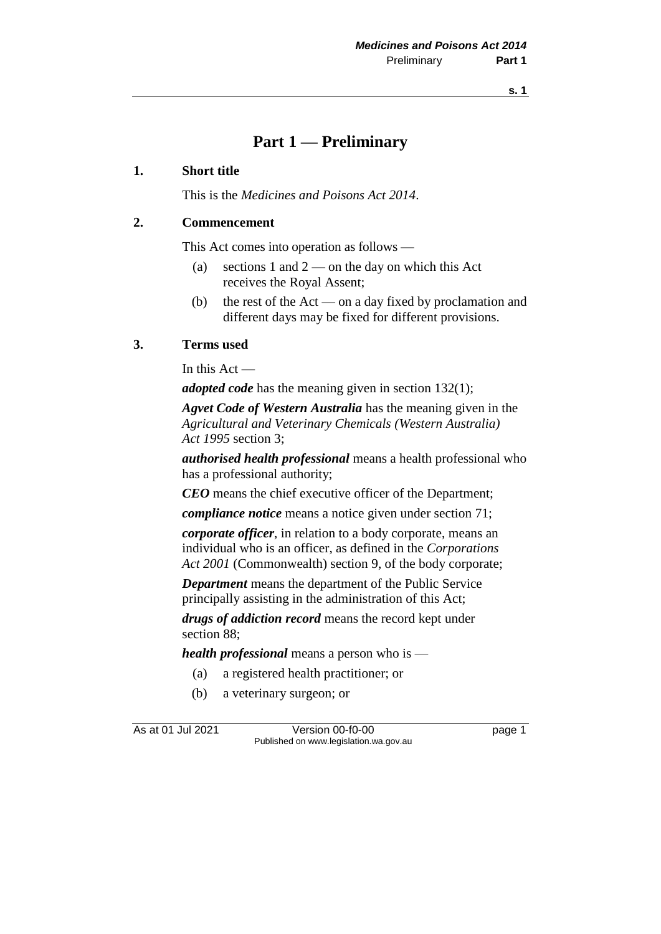## **Part 1 — Preliminary**

#### **1. Short title**

This is the *Medicines and Poisons Act 2014*.

## **2. Commencement**

This Act comes into operation as follows —

- (a) sections 1 and  $2$  on the day on which this Act receives the Royal Assent;
- (b) the rest of the Act on a day fixed by proclamation and different days may be fixed for different provisions.

#### **3. Terms used**

In this Act —

*adopted code* has the meaning given in section 132(1);

*Agvet Code of Western Australia* has the meaning given in the *Agricultural and Veterinary Chemicals (Western Australia) Act 1995* section 3;

*authorised health professional* means a health professional who has a professional authority;

*CEO* means the chief executive officer of the Department;

*compliance notice* means a notice given under section 71;

*corporate officer*, in relation to a body corporate, means an individual who is an officer, as defined in the *Corporations Act 2001* (Commonwealth) section 9, of the body corporate;

*Department* means the department of the Public Service principally assisting in the administration of this Act;

*drugs of addiction record* means the record kept under section 88;

*health professional* means a person who is —

- (a) a registered health practitioner; or
- (b) a veterinary surgeon; or

As at 01 Jul 2021 **Version 00-f0-00 page 1** Published on www.legislation.wa.gov.au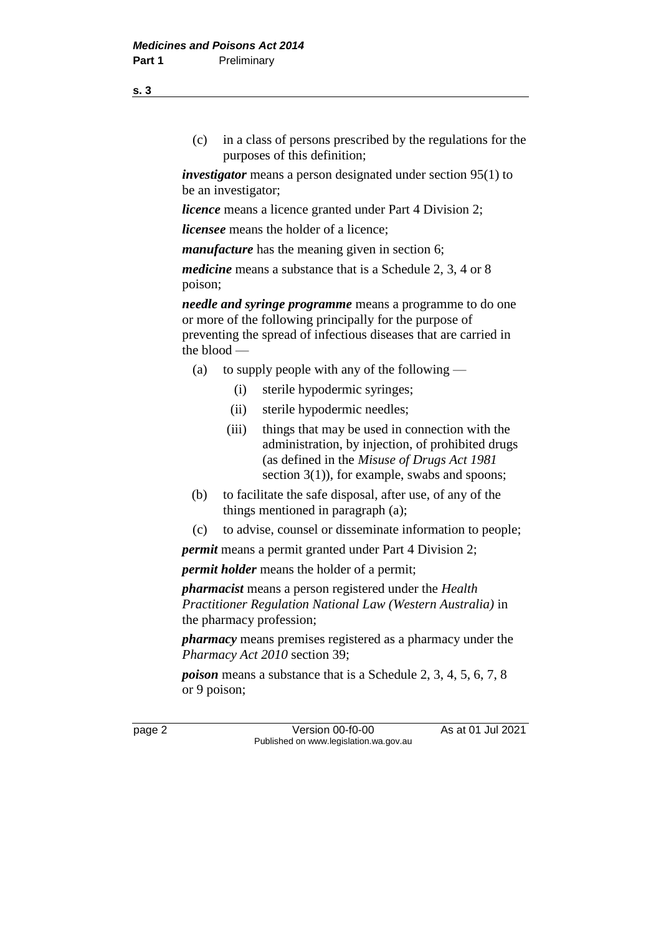(c) in a class of persons prescribed by the regulations for the purposes of this definition;

*investigator* means a person designated under section 95(1) to be an investigator;

*licence* means a licence granted under Part 4 Division 2;

*licensee* means the holder of a licence;

*manufacture* has the meaning given in section 6;

*medicine* means a substance that is a Schedule 2, 3, 4 or 8 poison;

*needle and syringe programme* means a programme to do one or more of the following principally for the purpose of preventing the spread of infectious diseases that are carried in the blood —

- (a) to supply people with any of the following
	- (i) sterile hypodermic syringes;
	- (ii) sterile hypodermic needles;
	- (iii) things that may be used in connection with the administration, by injection, of prohibited drugs (as defined in the *Misuse of Drugs Act 1981* section 3(1)), for example, swabs and spoons;
- (b) to facilitate the safe disposal, after use, of any of the things mentioned in paragraph (a);
- (c) to advise, counsel or disseminate information to people;

*permit* means a permit granted under Part 4 Division 2;

*permit holder* means the holder of a permit;

*pharmacist* means a person registered under the *Health Practitioner Regulation National Law (Western Australia)* in the pharmacy profession;

*pharmacy* means premises registered as a pharmacy under the *Pharmacy Act 2010* section 39;

*poison* means a substance that is a Schedule 2, 3, 4, 5, 6, 7, 8 or 9 poison;

page 2 Version 00-f0-00 As at 01 Jul 2021 Published on www.legislation.wa.gov.au

**s. 3**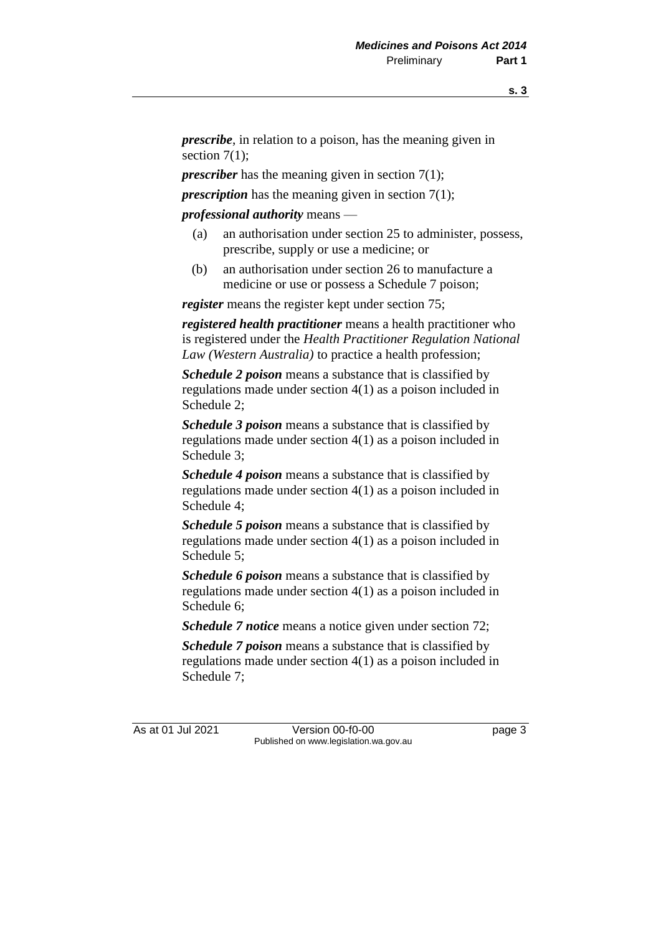*prescribe*, in relation to a poison, has the meaning given in section  $7(1)$ ;

*prescriber* has the meaning given in section 7(1);

*prescription* has the meaning given in section 7(1);

*professional authority* means —

- (a) an authorisation under section 25 to administer, possess, prescribe, supply or use a medicine; or
- (b) an authorisation under section 26 to manufacture a medicine or use or possess a Schedule 7 poison;

*register* means the register kept under section 75;

*registered health practitioner* means a health practitioner who is registered under the *Health Practitioner Regulation National Law (Western Australia)* to practice a health profession;

*Schedule 2 poison* means a substance that is classified by regulations made under section 4(1) as a poison included in Schedule 2;

*Schedule 3 poison* means a substance that is classified by regulations made under section 4(1) as a poison included in Schedule 3;

*Schedule 4 poison* means a substance that is classified by regulations made under section 4(1) as a poison included in Schedule 4;

*Schedule 5 poison* means a substance that is classified by regulations made under section 4(1) as a poison included in Schedule 5;

*Schedule 6 poison* means a substance that is classified by regulations made under section 4(1) as a poison included in Schedule 6;

*Schedule 7 notice* means a notice given under section 72;

*Schedule 7 poison* means a substance that is classified by regulations made under section 4(1) as a poison included in Schedule 7;

As at 01 Jul 2021 Version 00-f0-00 Page 3 Published on www.legislation.wa.gov.au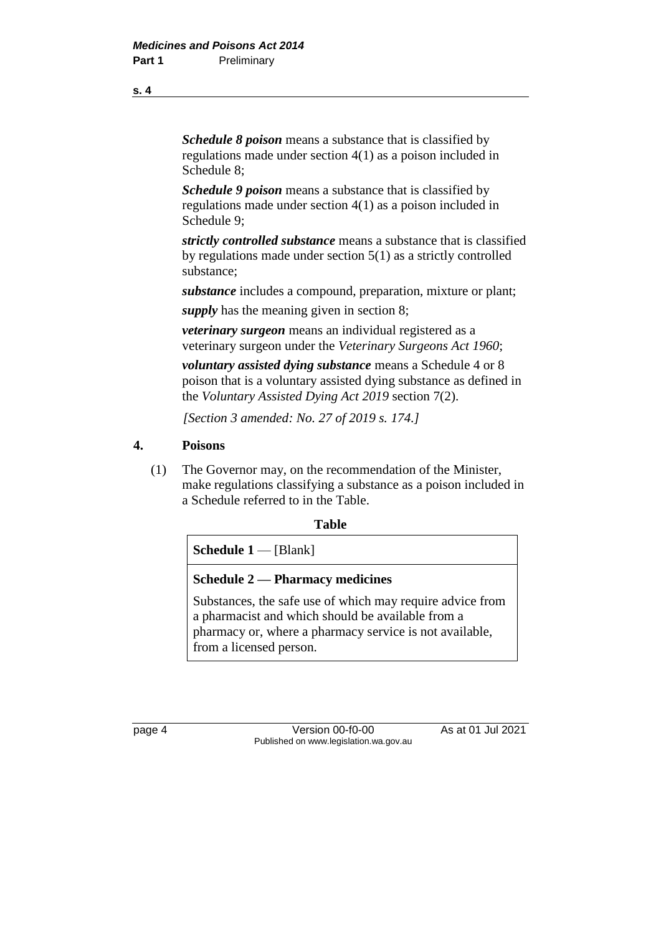*Schedule 8 poison* means a substance that is classified by regulations made under section 4(1) as a poison included in Schedule 8;

*Schedule 9 poison* means a substance that is classified by regulations made under section 4(1) as a poison included in Schedule 9;

*strictly controlled substance* means a substance that is classified by regulations made under section 5(1) as a strictly controlled substance;

*substance* includes a compound, preparation, mixture or plant;

*supply* has the meaning given in section 8;

*veterinary surgeon* means an individual registered as a veterinary surgeon under the *Veterinary Surgeons Act 1960*;

*voluntary assisted dying substance* means a Schedule 4 or 8 poison that is a voluntary assisted dying substance as defined in the *Voluntary Assisted Dying Act 2019* section 7(2).

*[Section 3 amended: No. 27 of 2019 s. 174.]*

#### **4. Poisons**

(1) The Governor may, on the recommendation of the Minister, make regulations classifying a substance as a poison included in a Schedule referred to in the Table.

#### **Table**

**Schedule 1** — [Blank]

#### **Schedule 2 — Pharmacy medicines**

Substances, the safe use of which may require advice from a pharmacist and which should be available from a pharmacy or, where a pharmacy service is not available, from a licensed person.

page 4 Version 00-f0-00 As at 01 Jul 2021 Published on www.legislation.wa.gov.au

**s. 4**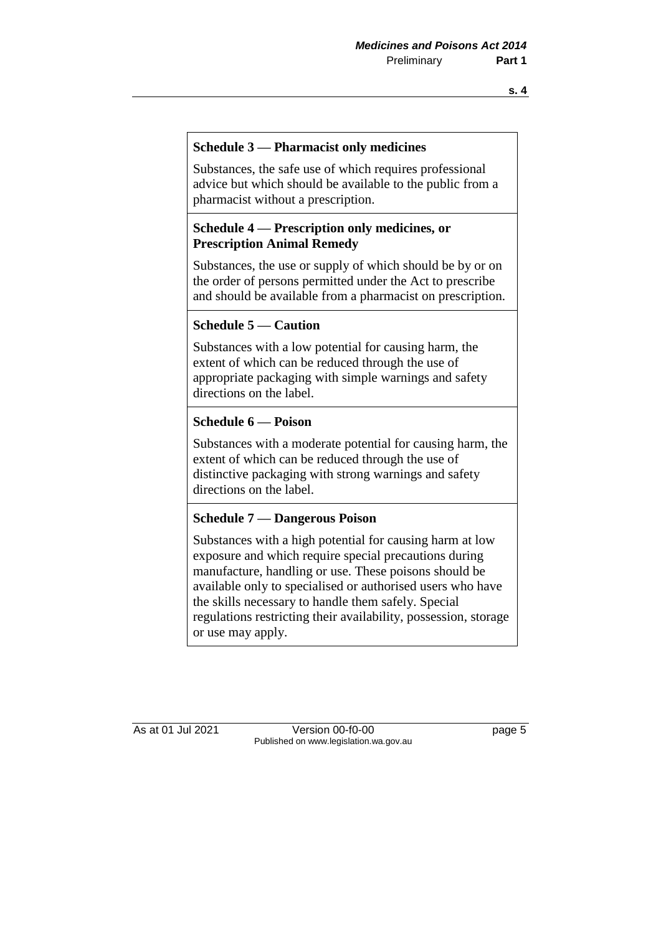#### **Schedule 3 — Pharmacist only medicines**

Substances, the safe use of which requires professional advice but which should be available to the public from a pharmacist without a prescription.

### **Schedule 4 — Prescription only medicines, or Prescription Animal Remedy**

Substances, the use or supply of which should be by or on the order of persons permitted under the Act to prescribe and should be available from a pharmacist on prescription.

#### **Schedule 5 — Caution**

Substances with a low potential for causing harm, the extent of which can be reduced through the use of appropriate packaging with simple warnings and safety directions on the label.

#### **Schedule 6 — Poison**

Substances with a moderate potential for causing harm, the extent of which can be reduced through the use of distinctive packaging with strong warnings and safety directions on the label.

#### **Schedule 7 — Dangerous Poison**

Substances with a high potential for causing harm at low exposure and which require special precautions during manufacture, handling or use. These poisons should be available only to specialised or authorised users who have the skills necessary to handle them safely. Special regulations restricting their availability, possession, storage or use may apply.

As at 01 Jul 2021 Version 00-f0-00 Published on www.legislation.wa.gov.au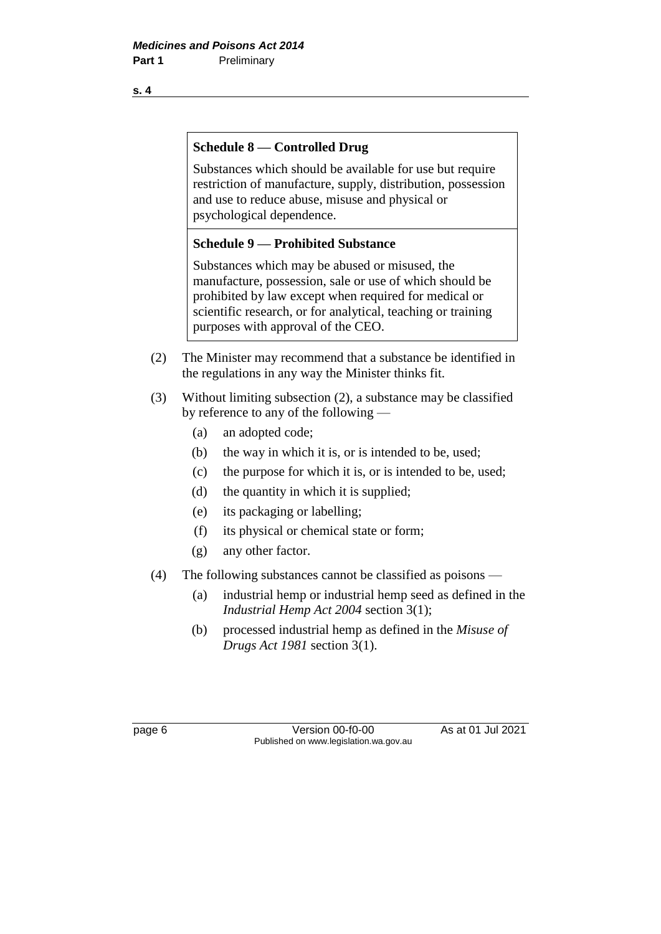**s. 4**

### **Schedule 8 — Controlled Drug**

Substances which should be available for use but require restriction of manufacture, supply, distribution, possession and use to reduce abuse, misuse and physical or psychological dependence.

#### **Schedule 9 — Prohibited Substance**

Substances which may be abused or misused, the manufacture, possession, sale or use of which should be prohibited by law except when required for medical or scientific research, or for analytical, teaching or training purposes with approval of the CEO.

- (2) The Minister may recommend that a substance be identified in the regulations in any way the Minister thinks fit.
- (3) Without limiting subsection (2), a substance may be classified by reference to any of the following —
	- (a) an adopted code;
	- (b) the way in which it is, or is intended to be, used;
	- (c) the purpose for which it is, or is intended to be, used;
	- (d) the quantity in which it is supplied;
	- (e) its packaging or labelling;
	- (f) its physical or chemical state or form;
	- (g) any other factor.
- (4) The following substances cannot be classified as poisons
	- (a) industrial hemp or industrial hemp seed as defined in the *Industrial Hemp Act 2004* section 3(1);
	- (b) processed industrial hemp as defined in the *Misuse of Drugs Act 1981* section 3(1).

page 6 Version 00-f0-00 As at 01 Jul 2021 Published on www.legislation.wa.gov.au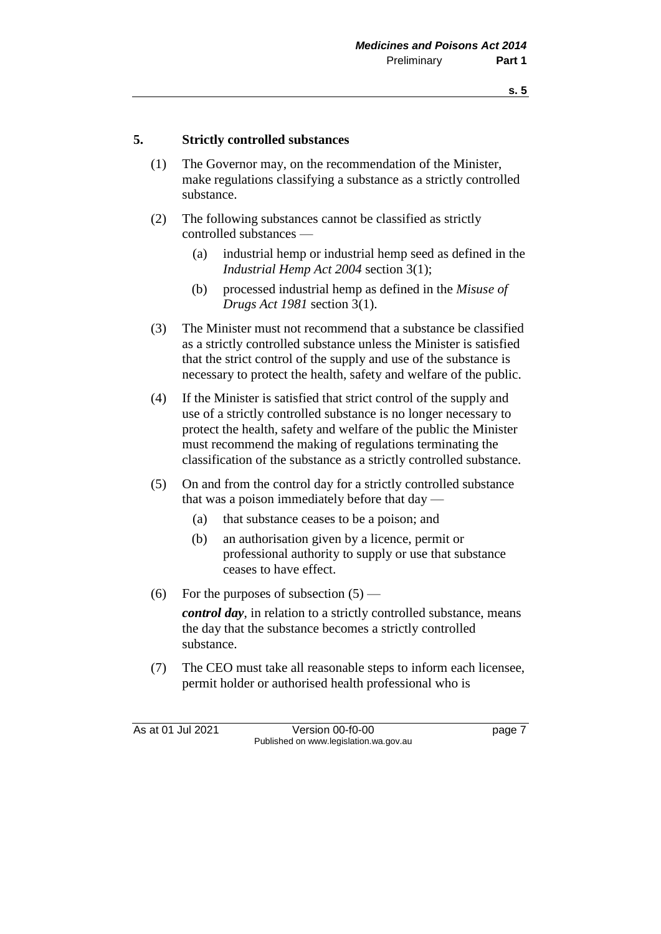#### **5. Strictly controlled substances**

- (1) The Governor may, on the recommendation of the Minister, make regulations classifying a substance as a strictly controlled substance.
- (2) The following substances cannot be classified as strictly controlled substances —
	- (a) industrial hemp or industrial hemp seed as defined in the *Industrial Hemp Act 2004* section 3(1);
	- (b) processed industrial hemp as defined in the *Misuse of Drugs Act 1981* section 3(1).
- (3) The Minister must not recommend that a substance be classified as a strictly controlled substance unless the Minister is satisfied that the strict control of the supply and use of the substance is necessary to protect the health, safety and welfare of the public.
- (4) If the Minister is satisfied that strict control of the supply and use of a strictly controlled substance is no longer necessary to protect the health, safety and welfare of the public the Minister must recommend the making of regulations terminating the classification of the substance as a strictly controlled substance.
- (5) On and from the control day for a strictly controlled substance that was a poison immediately before that day —
	- (a) that substance ceases to be a poison; and
	- (b) an authorisation given by a licence, permit or professional authority to supply or use that substance ceases to have effect.
- (6) For the purposes of subsection  $(5)$  —

*control day*, in relation to a strictly controlled substance, means the day that the substance becomes a strictly controlled substance.

(7) The CEO must take all reasonable steps to inform each licensee, permit holder or authorised health professional who is

As at 01 Jul 2021 Version 00-f0-00 Page 7 Published on www.legislation.wa.gov.au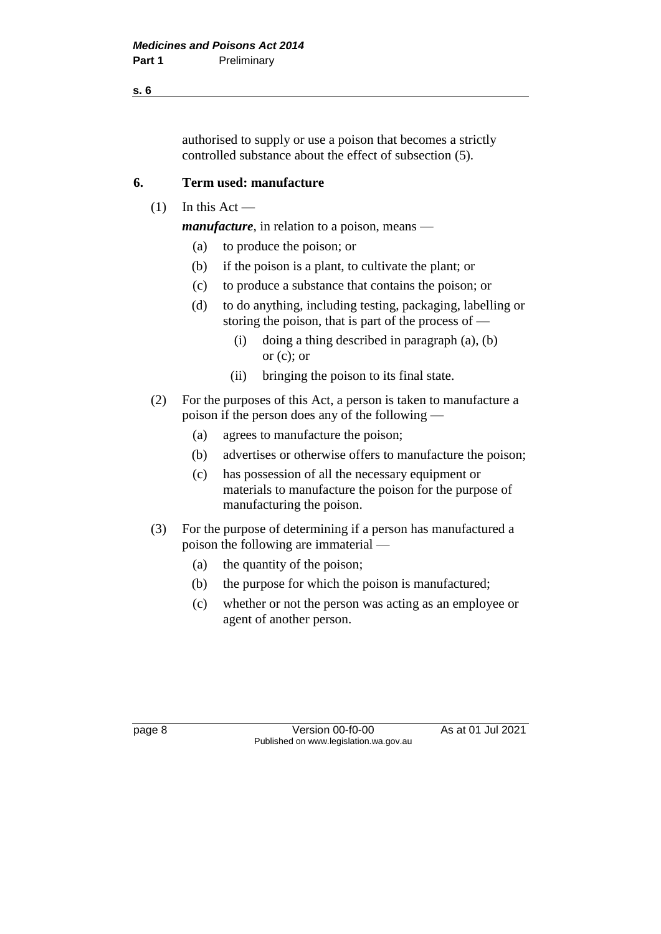**s. 6**

authorised to supply or use a poison that becomes a strictly controlled substance about the effect of subsection (5).

## **6. Term used: manufacture**

 $(1)$  In this Act —

*manufacture*, in relation to a poison, means —

- (a) to produce the poison; or
- (b) if the poison is a plant, to cultivate the plant; or
- (c) to produce a substance that contains the poison; or
- (d) to do anything, including testing, packaging, labelling or storing the poison, that is part of the process of —
	- (i) doing a thing described in paragraph (a), (b) or  $(c)$ ; or
	- (ii) bringing the poison to its final state.
- (2) For the purposes of this Act, a person is taken to manufacture a poison if the person does any of the following —
	- (a) agrees to manufacture the poison;
	- (b) advertises or otherwise offers to manufacture the poison;
	- (c) has possession of all the necessary equipment or materials to manufacture the poison for the purpose of manufacturing the poison.
- (3) For the purpose of determining if a person has manufactured a poison the following are immaterial —
	- (a) the quantity of the poison;
	- (b) the purpose for which the poison is manufactured;
	- (c) whether or not the person was acting as an employee or agent of another person.

page 8 Version 00-f0-00 As at 01 Jul 2021 Published on www.legislation.wa.gov.au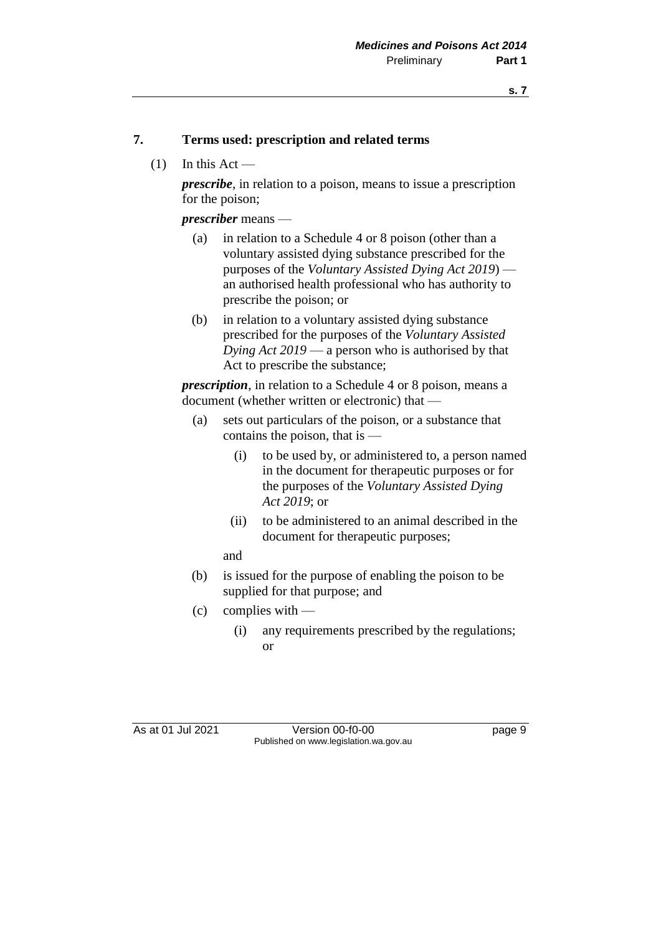### **7. Terms used: prescription and related terms**

 $(1)$  In this Act —

*prescribe*, in relation to a poison, means to issue a prescription for the poison;

*prescriber* means —

- (a) in relation to a Schedule 4 or 8 poison (other than a voluntary assisted dying substance prescribed for the purposes of the *Voluntary Assisted Dying Act 2019*) an authorised health professional who has authority to prescribe the poison; or
- (b) in relation to a voluntary assisted dying substance prescribed for the purposes of the *Voluntary Assisted Dying Act 2019* — a person who is authorised by that Act to prescribe the substance;

*prescription*, in relation to a Schedule 4 or 8 poison, means a document (whether written or electronic) that —

- (a) sets out particulars of the poison, or a substance that contains the poison, that is —
	- (i) to be used by, or administered to, a person named in the document for therapeutic purposes or for the purposes of the *Voluntary Assisted Dying Act 2019*; or
	- (ii) to be administered to an animal described in the document for therapeutic purposes;

and

- (b) is issued for the purpose of enabling the poison to be supplied for that purpose; and
- (c) complies with
	- (i) any requirements prescribed by the regulations; or

As at 01 Jul 2021 Version 00-f0-00 Page 9 Published on www.legislation.wa.gov.au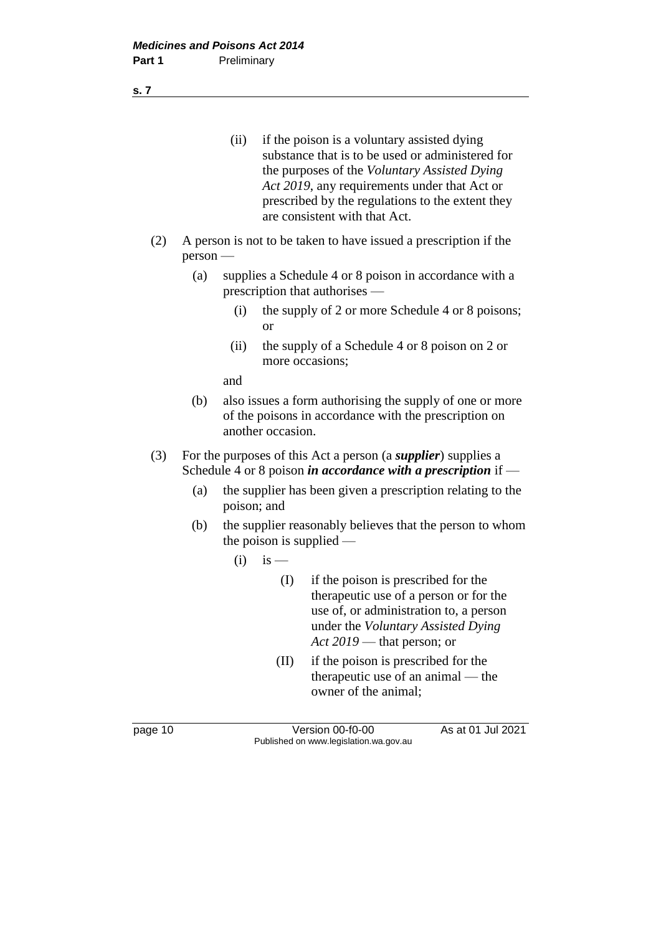(ii) if the poison is a voluntary assisted dying substance that is to be used or administered for the purposes of the *Voluntary Assisted Dying Act 2019*, any requirements under that Act or prescribed by the regulations to the extent they are consistent with that Act.

- (2) A person is not to be taken to have issued a prescription if the person —
	- (a) supplies a Schedule 4 or 8 poison in accordance with a prescription that authorises —
		- (i) the supply of 2 or more Schedule 4 or 8 poisons; or
		- (ii) the supply of a Schedule 4 or 8 poison on 2 or more occasions;

and

- (b) also issues a form authorising the supply of one or more of the poisons in accordance with the prescription on another occasion.
- (3) For the purposes of this Act a person (a *supplier*) supplies a Schedule 4 or 8 poison *in accordance with a prescription* if —
	- (a) the supplier has been given a prescription relating to the poison; and
	- (b) the supplier reasonably believes that the person to whom the poison is supplied —
		- $(i)$  is
			- (I) if the poison is prescribed for the therapeutic use of a person or for the use of, or administration to, a person under the *Voluntary Assisted Dying Act 2019* — that person; or
			- (II) if the poison is prescribed for the therapeutic use of an animal — the owner of the animal;

page 10 Version 00-f0-00 As at 01 Jul 2021 Published on www.legislation.wa.gov.au

**s. 7**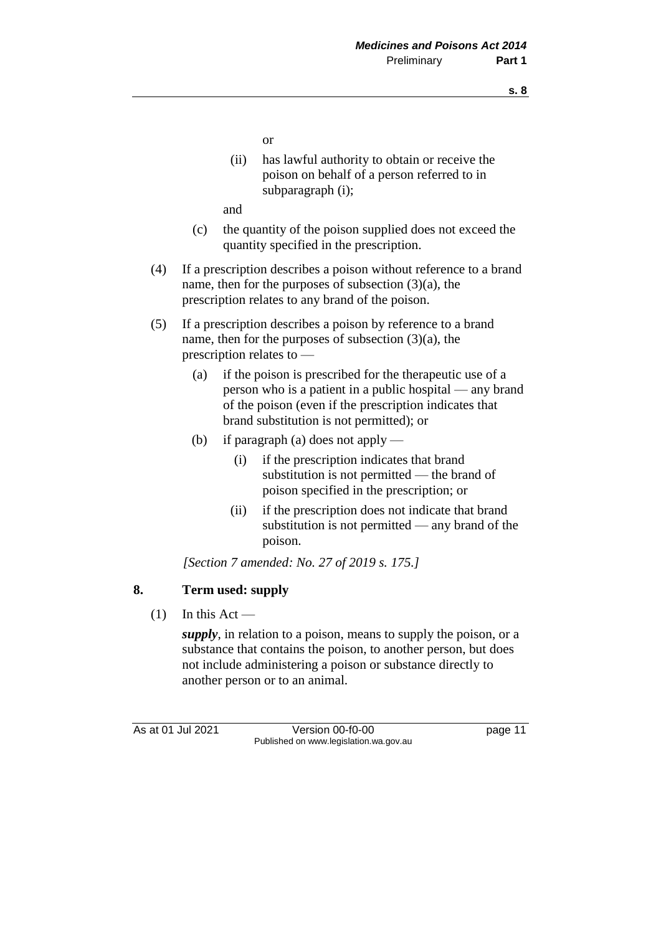or

(ii) has lawful authority to obtain or receive the poison on behalf of a person referred to in subparagraph (i);

and

- (c) the quantity of the poison supplied does not exceed the quantity specified in the prescription.
- (4) If a prescription describes a poison without reference to a brand name, then for the purposes of subsection  $(3)(a)$ , the prescription relates to any brand of the poison.
- (5) If a prescription describes a poison by reference to a brand name, then for the purposes of subsection  $(3)(a)$ , the prescription relates to —
	- (a) if the poison is prescribed for the therapeutic use of a person who is a patient in a public hospital — any brand of the poison (even if the prescription indicates that brand substitution is not permitted); or
	- (b) if paragraph (a) does not apply
		- (i) if the prescription indicates that brand substitution is not permitted — the brand of poison specified in the prescription; or
		- (ii) if the prescription does not indicate that brand substitution is not permitted — any brand of the poison.

*[Section 7 amended: No. 27 of 2019 s. 175.]*

## **8. Term used: supply**

 $(1)$  In this Act —

*supply*, in relation to a poison, means to supply the poison, or a substance that contains the poison, to another person, but does not include administering a poison or substance directly to another person or to an animal.

As at 01 Jul 2021 Version 00-f0-00 page 11 Published on www.legislation.wa.gov.au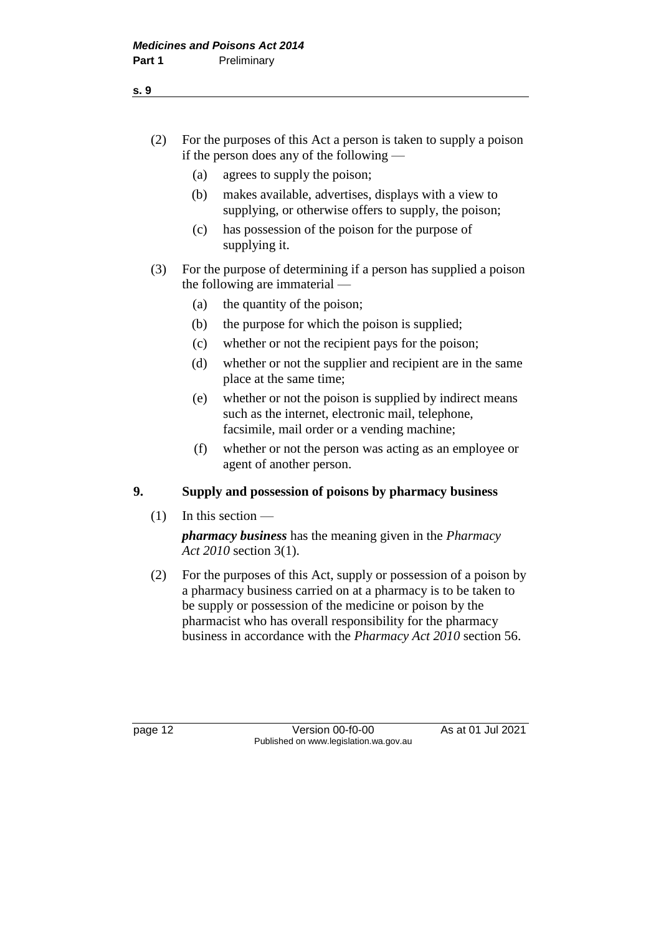- (2) For the purposes of this Act a person is taken to supply a poison if the person does any of the following —
	- (a) agrees to supply the poison;
	- (b) makes available, advertises, displays with a view to supplying, or otherwise offers to supply, the poison;
	- (c) has possession of the poison for the purpose of supplying it.
- (3) For the purpose of determining if a person has supplied a poison the following are immaterial —
	- (a) the quantity of the poison;
	- (b) the purpose for which the poison is supplied;
	- (c) whether or not the recipient pays for the poison;
	- (d) whether or not the supplier and recipient are in the same place at the same time;
	- (e) whether or not the poison is supplied by indirect means such as the internet, electronic mail, telephone, facsimile, mail order or a vending machine;
	- (f) whether or not the person was acting as an employee or agent of another person.

## **9. Supply and possession of poisons by pharmacy business**

 $(1)$  In this section —

*pharmacy business* has the meaning given in the *Pharmacy Act 2010* section 3(1).

(2) For the purposes of this Act, supply or possession of a poison by a pharmacy business carried on at a pharmacy is to be taken to be supply or possession of the medicine or poison by the pharmacist who has overall responsibility for the pharmacy business in accordance with the *Pharmacy Act 2010* section 56.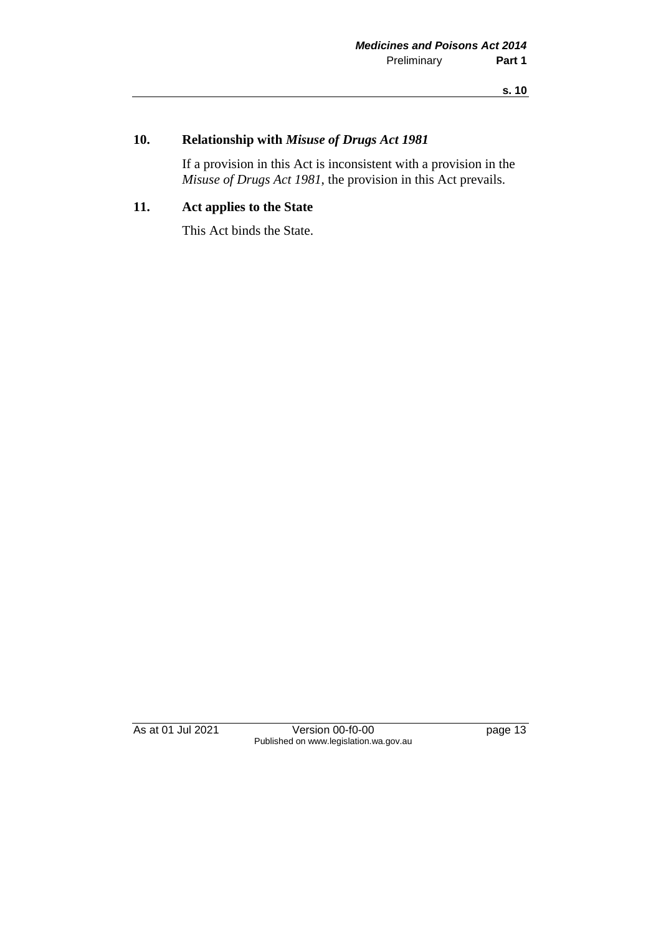## **10. Relationship with** *Misuse of Drugs Act 1981*

If a provision in this Act is inconsistent with a provision in the *Misuse of Drugs Act 1981*, the provision in this Act prevails.

## **11. Act applies to the State**

This Act binds the State.

As at 01 Jul 2021 Version 00-f0-00 Page 13 Published on www.legislation.wa.gov.au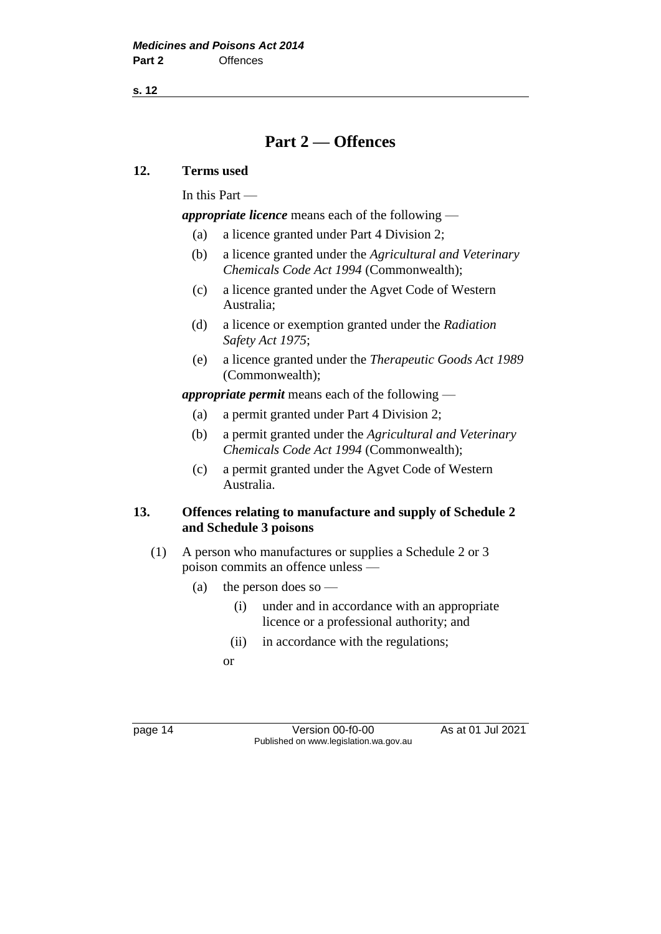**s. 12**

## **Part 2 — Offences**

#### **12. Terms used**

In this Part —

*appropriate licence* means each of the following —

- (a) a licence granted under Part 4 Division 2;
- (b) a licence granted under the *Agricultural and Veterinary Chemicals Code Act 1994* (Commonwealth);
- (c) a licence granted under the Agvet Code of Western Australia;
- (d) a licence or exemption granted under the *Radiation Safety Act 1975*;
- (e) a licence granted under the *Therapeutic Goods Act 1989* (Commonwealth);

*appropriate permit* means each of the following —

- (a) a permit granted under Part 4 Division 2;
- (b) a permit granted under the *Agricultural and Veterinary Chemicals Code Act 1994* (Commonwealth);
- (c) a permit granted under the Agvet Code of Western Australia.

#### **13. Offences relating to manufacture and supply of Schedule 2 and Schedule 3 poisons**

- (1) A person who manufactures or supplies a Schedule 2 or 3 poison commits an offence unless —
	- (a) the person does so
		- (i) under and in accordance with an appropriate licence or a professional authority; and
		- (ii) in accordance with the regulations;
		- or

page 14 Version 00-f0-00 As at 01 Jul 2021 Published on www.legislation.wa.gov.au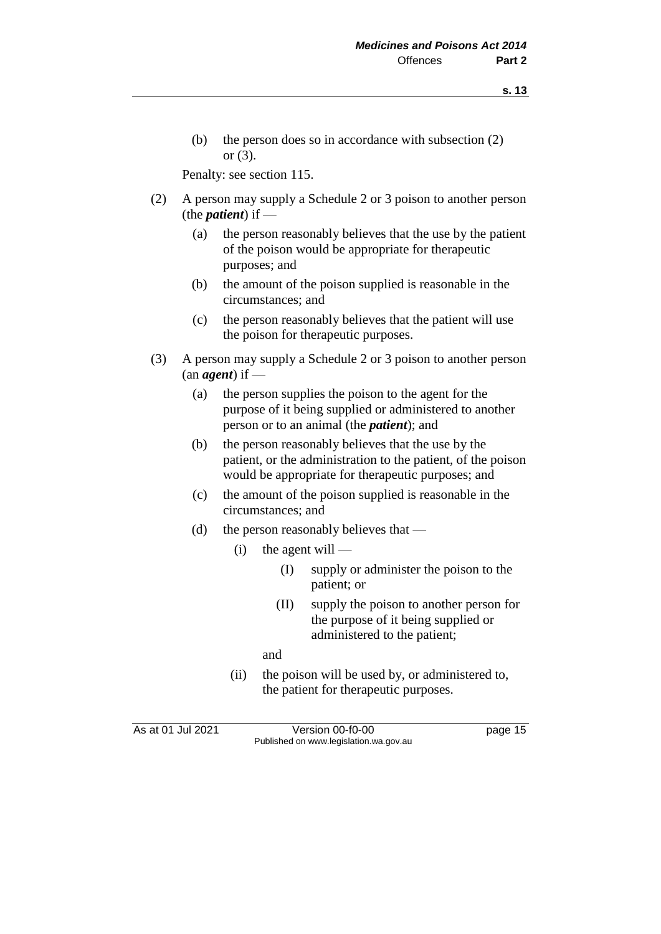- **s. 13**
- (b) the person does so in accordance with subsection (2) or (3).

Penalty: see section 115.

- (2) A person may supply a Schedule 2 or 3 poison to another person (the *patient*) if —
	- (a) the person reasonably believes that the use by the patient of the poison would be appropriate for therapeutic purposes; and
	- (b) the amount of the poison supplied is reasonable in the circumstances; and
	- (c) the person reasonably believes that the patient will use the poison for therapeutic purposes.
- (3) A person may supply a Schedule 2 or 3 poison to another person (an *agent*) if —
	- (a) the person supplies the poison to the agent for the purpose of it being supplied or administered to another person or to an animal (the *patient*); and
	- (b) the person reasonably believes that the use by the patient, or the administration to the patient, of the poison would be appropriate for therapeutic purposes; and
	- (c) the amount of the poison supplied is reasonable in the circumstances; and
	- (d) the person reasonably believes that
		- $(i)$  the agent will
			- (I) supply or administer the poison to the patient; or
			- (II) supply the poison to another person for the purpose of it being supplied or administered to the patient;

and

(ii) the poison will be used by, or administered to, the patient for therapeutic purposes.

As at 01 Jul 2021 Version 00-f0-00 page 15 Published on www.legislation.wa.gov.au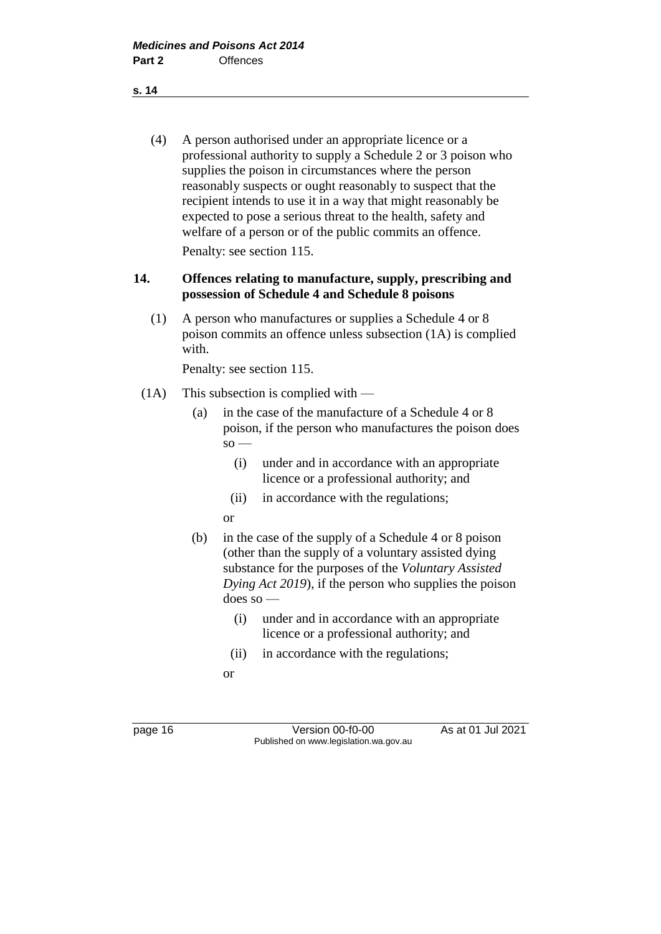(4) A person authorised under an appropriate licence or a professional authority to supply a Schedule 2 or 3 poison who supplies the poison in circumstances where the person reasonably suspects or ought reasonably to suspect that the recipient intends to use it in a way that might reasonably be expected to pose a serious threat to the health, safety and welfare of a person or of the public commits an offence. Penalty: see section 115.

#### **14. Offences relating to manufacture, supply, prescribing and possession of Schedule 4 and Schedule 8 poisons**

(1) A person who manufactures or supplies a Schedule 4 or 8 poison commits an offence unless subsection (1A) is complied with.

Penalty: see section 115.

- (1A) This subsection is complied with
	- (a) in the case of the manufacture of a Schedule 4 or 8 poison, if the person who manufactures the poison does  $\mathbf{s}$ o —
		- (i) under and in accordance with an appropriate licence or a professional authority; and
		- (ii) in accordance with the regulations;

or

- (b) in the case of the supply of a Schedule 4 or 8 poison (other than the supply of a voluntary assisted dying substance for the purposes of the *Voluntary Assisted Dying Act 2019*), if the person who supplies the poison does so —
	- (i) under and in accordance with an appropriate licence or a professional authority; and
	- (ii) in accordance with the regulations;
	- or

page 16 Version 00-f0-00 As at 01 Jul 2021 Published on www.legislation.wa.gov.au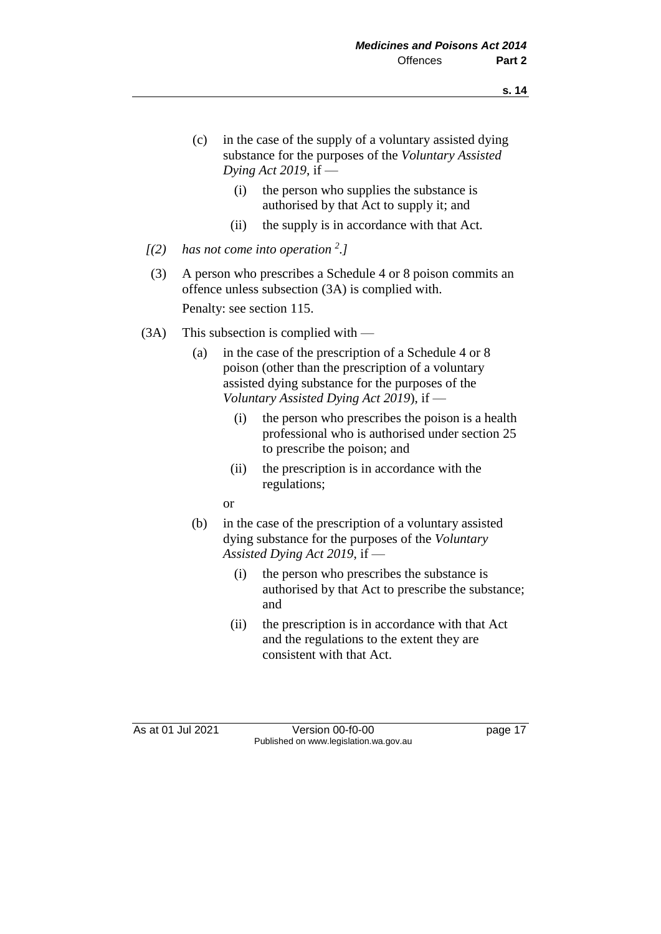- (c) in the case of the supply of a voluntary assisted dying substance for the purposes of the *Voluntary Assisted Dying Act 2019*, if —
	- (i) the person who supplies the substance is authorised by that Act to supply it; and
	- (ii) the supply is in accordance with that Act.
- *[(2) has not come into operation <sup>2</sup> .]*
- (3) A person who prescribes a Schedule 4 or 8 poison commits an offence unless subsection (3A) is complied with. Penalty: see section 115.
- (3A) This subsection is complied with
	- (a) in the case of the prescription of a Schedule 4 or 8 poison (other than the prescription of a voluntary assisted dying substance for the purposes of the *Voluntary Assisted Dying Act 2019*), if —
		- (i) the person who prescribes the poison is a health professional who is authorised under section 25 to prescribe the poison; and
		- (ii) the prescription is in accordance with the regulations;
		- or
	- (b) in the case of the prescription of a voluntary assisted dying substance for the purposes of the *Voluntary Assisted Dying Act 2019*, if —
		- (i) the person who prescribes the substance is authorised by that Act to prescribe the substance; and
		- (ii) the prescription is in accordance with that Act and the regulations to the extent they are consistent with that Act.

As at 01 Jul 2021 Version 00-f0-00 page 17 Published on www.legislation.wa.gov.au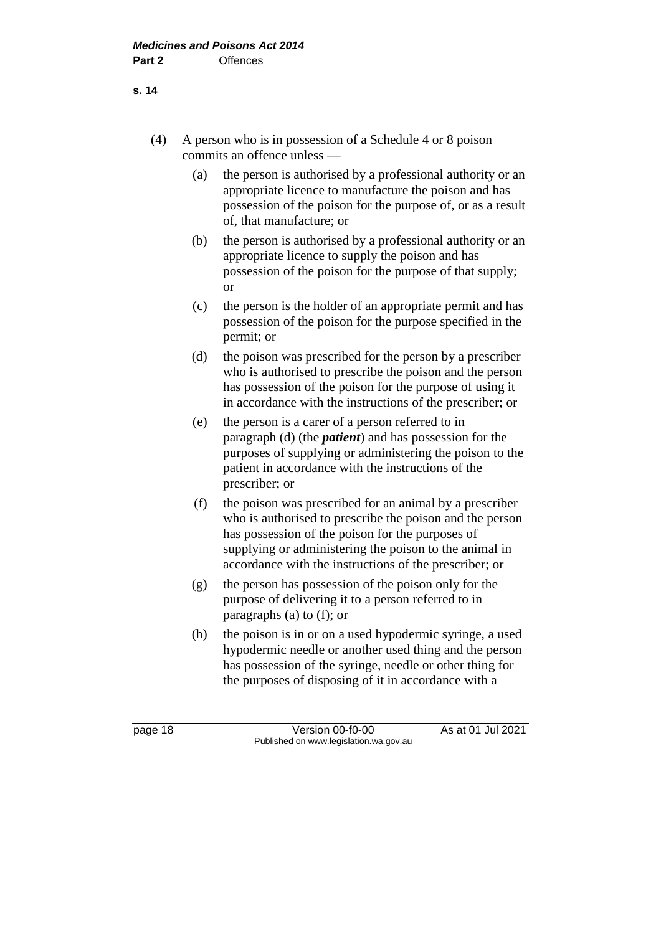- (4) A person who is in possession of a Schedule 4 or 8 poison commits an offence unless —
	- (a) the person is authorised by a professional authority or an appropriate licence to manufacture the poison and has possession of the poison for the purpose of, or as a result of, that manufacture; or
	- (b) the person is authorised by a professional authority or an appropriate licence to supply the poison and has possession of the poison for the purpose of that supply; or
	- (c) the person is the holder of an appropriate permit and has possession of the poison for the purpose specified in the permit; or
	- (d) the poison was prescribed for the person by a prescriber who is authorised to prescribe the poison and the person has possession of the poison for the purpose of using it in accordance with the instructions of the prescriber; or
	- (e) the person is a carer of a person referred to in paragraph (d) (the *patient*) and has possession for the purposes of supplying or administering the poison to the patient in accordance with the instructions of the prescriber; or
	- (f) the poison was prescribed for an animal by a prescriber who is authorised to prescribe the poison and the person has possession of the poison for the purposes of supplying or administering the poison to the animal in accordance with the instructions of the prescriber; or
	- (g) the person has possession of the poison only for the purpose of delivering it to a person referred to in paragraphs (a) to (f); or
	- (h) the poison is in or on a used hypodermic syringe, a used hypodermic needle or another used thing and the person has possession of the syringe, needle or other thing for the purposes of disposing of it in accordance with a

**s. 14**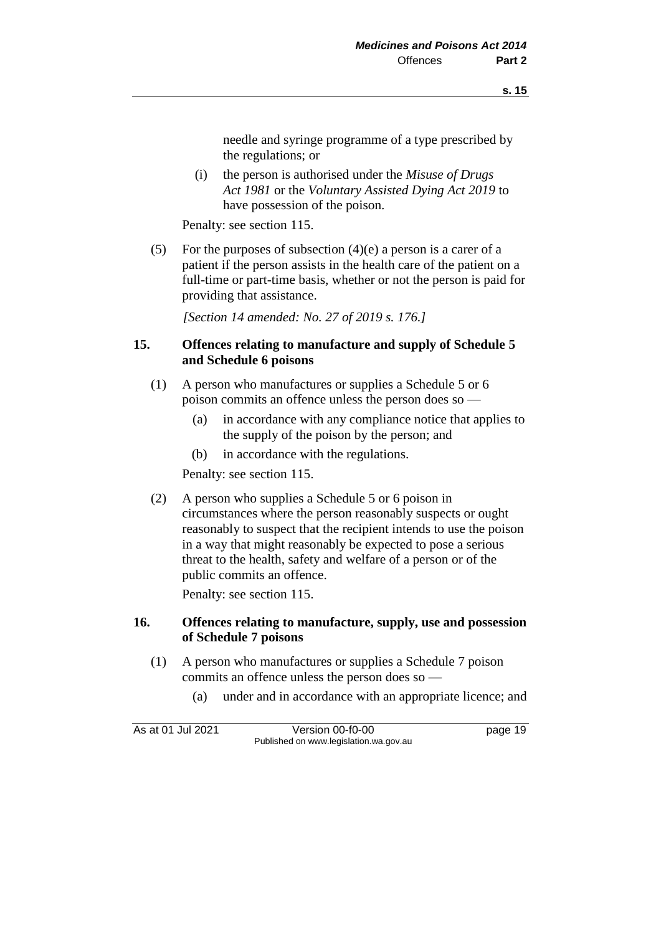needle and syringe programme of a type prescribed by the regulations; or

(i) the person is authorised under the *Misuse of Drugs Act 1981* or the *Voluntary Assisted Dying Act 2019* to have possession of the poison.

Penalty: see section 115.

(5) For the purposes of subsection  $(4)(e)$  a person is a carer of a patient if the person assists in the health care of the patient on a full-time or part-time basis, whether or not the person is paid for providing that assistance.

*[Section 14 amended: No. 27 of 2019 s. 176.]*

#### **15. Offences relating to manufacture and supply of Schedule 5 and Schedule 6 poisons**

- (1) A person who manufactures or supplies a Schedule 5 or 6 poison commits an offence unless the person does so —
	- (a) in accordance with any compliance notice that applies to the supply of the poison by the person; and
	- (b) in accordance with the regulations.

Penalty: see section 115.

(2) A person who supplies a Schedule 5 or 6 poison in circumstances where the person reasonably suspects or ought reasonably to suspect that the recipient intends to use the poison in a way that might reasonably be expected to pose a serious threat to the health, safety and welfare of a person or of the public commits an offence.

Penalty: see section 115.

#### **16. Offences relating to manufacture, supply, use and possession of Schedule 7 poisons**

- (1) A person who manufactures or supplies a Schedule 7 poison commits an offence unless the person does so —
	- (a) under and in accordance with an appropriate licence; and

As at 01 Jul 2021 Version 00-f0-00 page 19 Published on www.legislation.wa.gov.au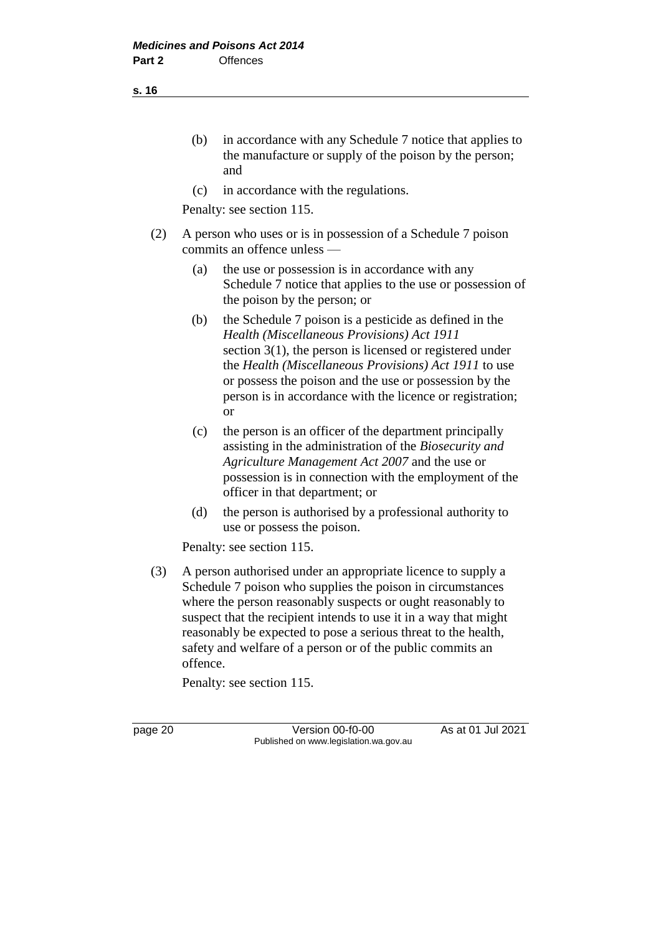(b) in accordance with any Schedule 7 notice that applies to the manufacture or supply of the poison by the person; and

(c) in accordance with the regulations.

Penalty: see section 115.

- (2) A person who uses or is in possession of a Schedule 7 poison commits an offence unless —
	- (a) the use or possession is in accordance with any Schedule 7 notice that applies to the use or possession of the poison by the person; or
	- (b) the Schedule 7 poison is a pesticide as defined in the *Health (Miscellaneous Provisions) Act 1911* section 3(1), the person is licensed or registered under the *Health (Miscellaneous Provisions) Act 1911* to use or possess the poison and the use or possession by the person is in accordance with the licence or registration; or
	- (c) the person is an officer of the department principally assisting in the administration of the *Biosecurity and Agriculture Management Act 2007* and the use or possession is in connection with the employment of the officer in that department; or
	- (d) the person is authorised by a professional authority to use or possess the poison.

Penalty: see section 115.

(3) A person authorised under an appropriate licence to supply a Schedule 7 poison who supplies the poison in circumstances where the person reasonably suspects or ought reasonably to suspect that the recipient intends to use it in a way that might reasonably be expected to pose a serious threat to the health, safety and welfare of a person or of the public commits an offence.

Penalty: see section 115.

page 20 **Version 00-f0-00** As at 01 Jul 2021 Published on www.legislation.wa.gov.au

**s. 16**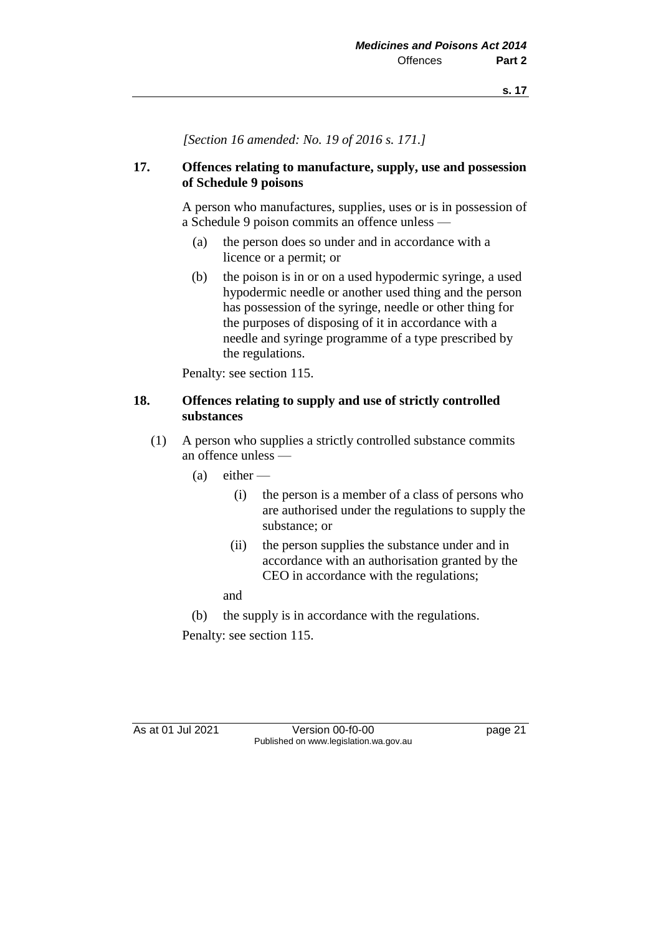*[Section 16 amended: No. 19 of 2016 s. 171.]*

#### **17. Offences relating to manufacture, supply, use and possession of Schedule 9 poisons**

A person who manufactures, supplies, uses or is in possession of a Schedule 9 poison commits an offence unless —

- (a) the person does so under and in accordance with a licence or a permit; or
- (b) the poison is in or on a used hypodermic syringe, a used hypodermic needle or another used thing and the person has possession of the syringe, needle or other thing for the purposes of disposing of it in accordance with a needle and syringe programme of a type prescribed by the regulations.

Penalty: see section 115.

#### **18. Offences relating to supply and use of strictly controlled substances**

- (1) A person who supplies a strictly controlled substance commits an offence unless —
	- $(a)$  either
		- (i) the person is a member of a class of persons who are authorised under the regulations to supply the substance; or
		- (ii) the person supplies the substance under and in accordance with an authorisation granted by the CEO in accordance with the regulations;

and

(b) the supply is in accordance with the regulations.

Penalty: see section 115.

As at 01 Jul 2021 Version 00-f0-00 Page 21 Published on www.legislation.wa.gov.au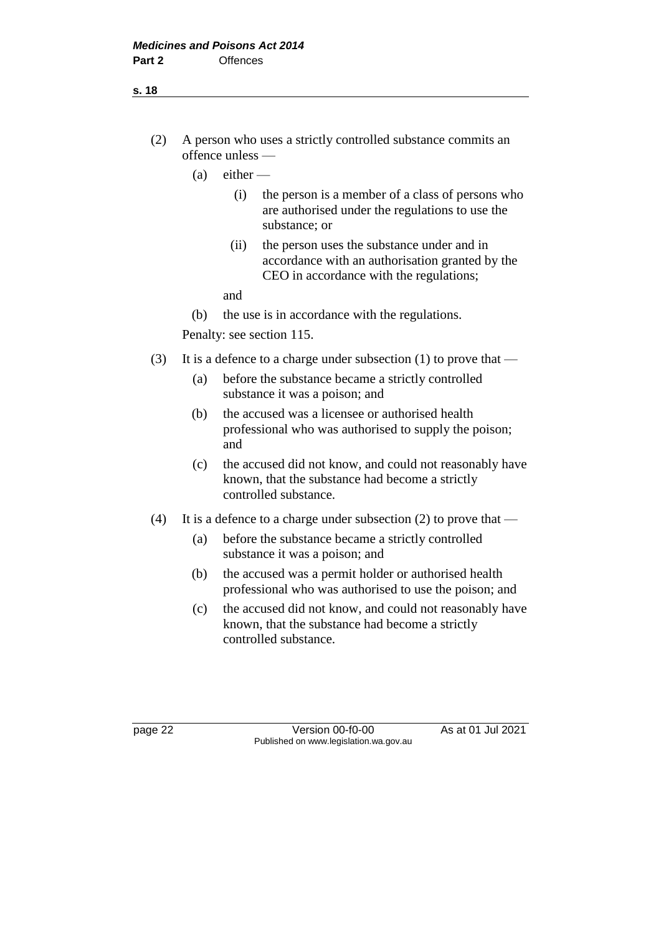## (2) A person who uses a strictly controlled substance commits an offence unless —

- $(a)$  either  $-$ 
	- (i) the person is a member of a class of persons who are authorised under the regulations to use the substance; or
	- (ii) the person uses the substance under and in accordance with an authorisation granted by the CEO in accordance with the regulations;
	- and
- (b) the use is in accordance with the regulations.

Penalty: see section 115.

- (3) It is a defence to a charge under subsection (1) to prove that
	- (a) before the substance became a strictly controlled substance it was a poison; and
	- (b) the accused was a licensee or authorised health professional who was authorised to supply the poison; and
	- (c) the accused did not know, and could not reasonably have known, that the substance had become a strictly controlled substance.
- (4) It is a defence to a charge under subsection (2) to prove that
	- (a) before the substance became a strictly controlled substance it was a poison; and
	- (b) the accused was a permit holder or authorised health professional who was authorised to use the poison; and
	- (c) the accused did not know, and could not reasonably have known, that the substance had become a strictly controlled substance.

**s. 18**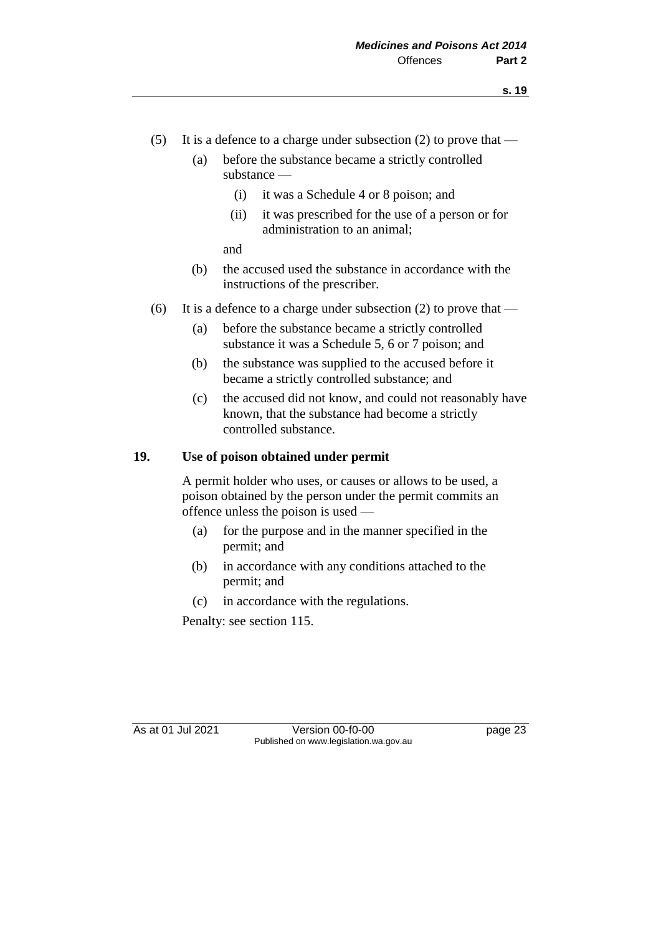- (5) It is a defence to a charge under subsection (2) to prove that
	- (a) before the substance became a strictly controlled substance —
		- (i) it was a Schedule 4 or 8 poison; and
		- (ii) it was prescribed for the use of a person or for administration to an animal;

and

- (b) the accused used the substance in accordance with the instructions of the prescriber.
- (6) It is a defence to a charge under subsection (2) to prove that
	- (a) before the substance became a strictly controlled substance it was a Schedule 5, 6 or 7 poison; and
	- (b) the substance was supplied to the accused before it became a strictly controlled substance; and
	- (c) the accused did not know, and could not reasonably have known, that the substance had become a strictly controlled substance.

## **19. Use of poison obtained under permit**

A permit holder who uses, or causes or allows to be used, a poison obtained by the person under the permit commits an offence unless the poison is used —

- (a) for the purpose and in the manner specified in the permit; and
- (b) in accordance with any conditions attached to the permit; and
- (c) in accordance with the regulations.

Penalty: see section 115.

As at 01 Jul 2021 Version 00-f0-00 page 23 Published on www.legislation.wa.gov.au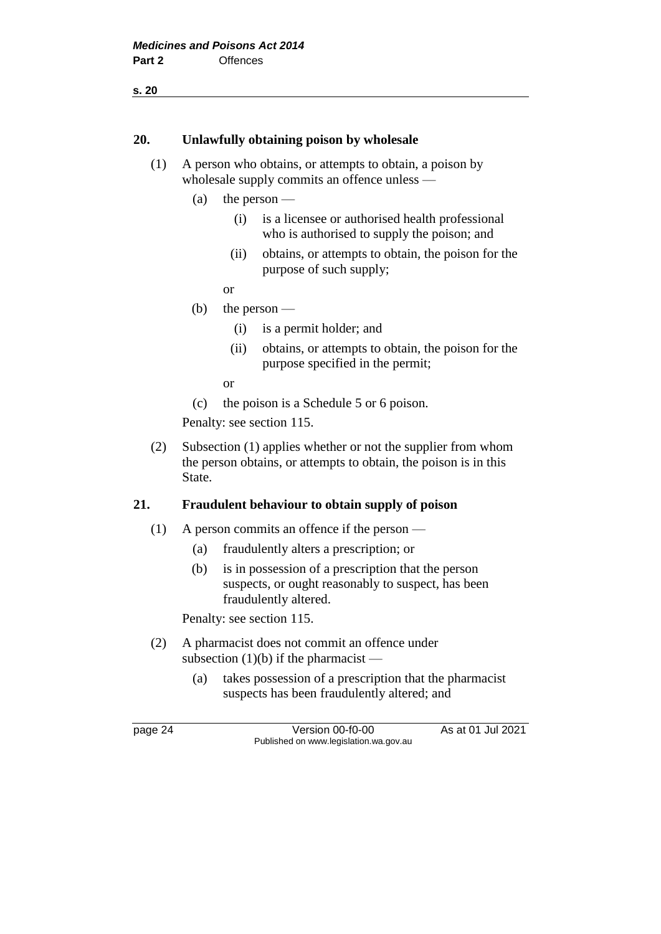**s. 20**

#### **20. Unlawfully obtaining poison by wholesale**

- (1) A person who obtains, or attempts to obtain, a poison by wholesale supply commits an offence unless —
	- (a) the person
		- (i) is a licensee or authorised health professional who is authorised to supply the poison; and
		- (ii) obtains, or attempts to obtain, the poison for the purpose of such supply;
		- or
	- (b) the person
		- (i) is a permit holder; and
		- (ii) obtains, or attempts to obtain, the poison for the purpose specified in the permit;

or

(c) the poison is a Schedule 5 or 6 poison.

Penalty: see section 115.

(2) Subsection (1) applies whether or not the supplier from whom the person obtains, or attempts to obtain, the poison is in this State.

#### **21. Fraudulent behaviour to obtain supply of poison**

- (1) A person commits an offence if the person
	- (a) fraudulently alters a prescription; or
	- (b) is in possession of a prescription that the person suspects, or ought reasonably to suspect, has been fraudulently altered.

Penalty: see section 115.

- (2) A pharmacist does not commit an offence under subsection  $(1)(b)$  if the pharmacist —
	- (a) takes possession of a prescription that the pharmacist suspects has been fraudulently altered; and

page 24 Version 00-f0-00 As at 01 Jul 2021 Published on www.legislation.wa.gov.au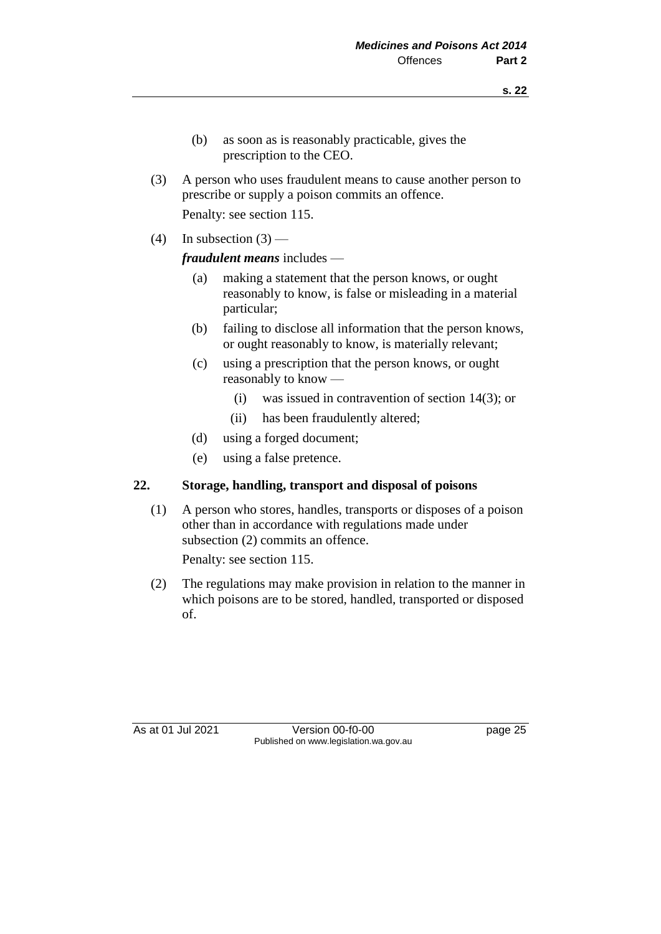- (b) as soon as is reasonably practicable, gives the prescription to the CEO.
- (3) A person who uses fraudulent means to cause another person to prescribe or supply a poison commits an offence.

Penalty: see section 115.

(4) In subsection  $(3)$  —

*fraudulent means* includes —

- (a) making a statement that the person knows, or ought reasonably to know, is false or misleading in a material particular;
- (b) failing to disclose all information that the person knows, or ought reasonably to know, is materially relevant;
- (c) using a prescription that the person knows, or ought reasonably to know —
	- (i) was issued in contravention of section 14(3); or
	- (ii) has been fraudulently altered;
- (d) using a forged document;
- (e) using a false pretence.

## **22. Storage, handling, transport and disposal of poisons**

(1) A person who stores, handles, transports or disposes of a poison other than in accordance with regulations made under subsection (2) commits an offence.

Penalty: see section 115.

(2) The regulations may make provision in relation to the manner in which poisons are to be stored, handled, transported or disposed of.

As at 01 Jul 2021 Version 00-f0-00 Page 25 Published on www.legislation.wa.gov.au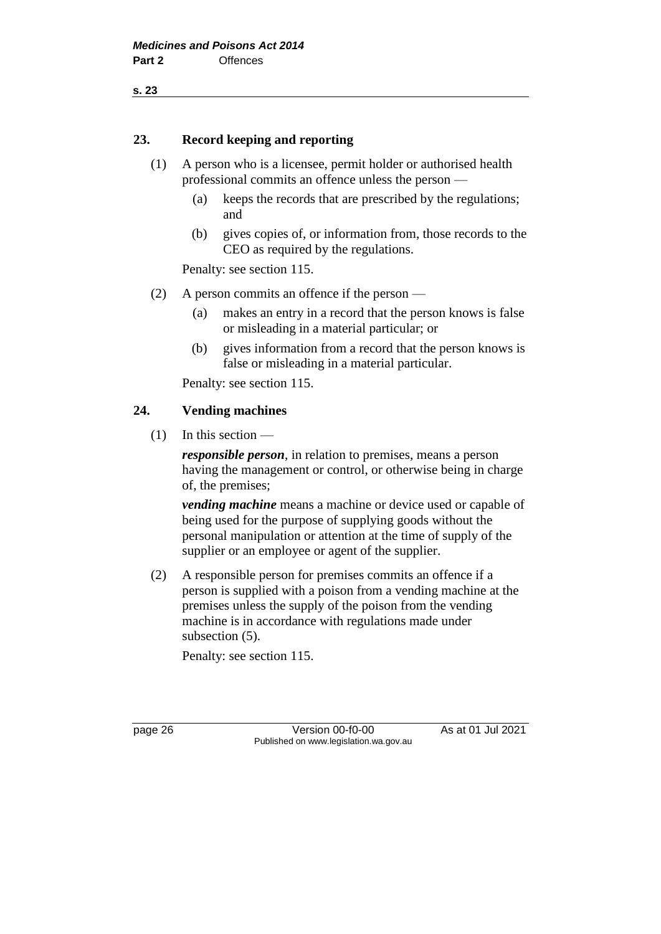**s. 23**

#### **23. Record keeping and reporting**

- (1) A person who is a licensee, permit holder or authorised health professional commits an offence unless the person —
	- (a) keeps the records that are prescribed by the regulations; and
	- (b) gives copies of, or information from, those records to the CEO as required by the regulations.

Penalty: see section 115.

- (2) A person commits an offence if the person
	- (a) makes an entry in a record that the person knows is false or misleading in a material particular; or
	- (b) gives information from a record that the person knows is false or misleading in a material particular.

Penalty: see section 115.

#### **24. Vending machines**

 $(1)$  In this section —

*responsible person*, in relation to premises, means a person having the management or control, or otherwise being in charge of, the premises;

*vending machine* means a machine or device used or capable of being used for the purpose of supplying goods without the personal manipulation or attention at the time of supply of the supplier or an employee or agent of the supplier.

(2) A responsible person for premises commits an offence if a person is supplied with a poison from a vending machine at the premises unless the supply of the poison from the vending machine is in accordance with regulations made under subsection (5).

Penalty: see section 115.

page 26 Version 00-f0-00 As at 01 Jul 2021 Published on www.legislation.wa.gov.au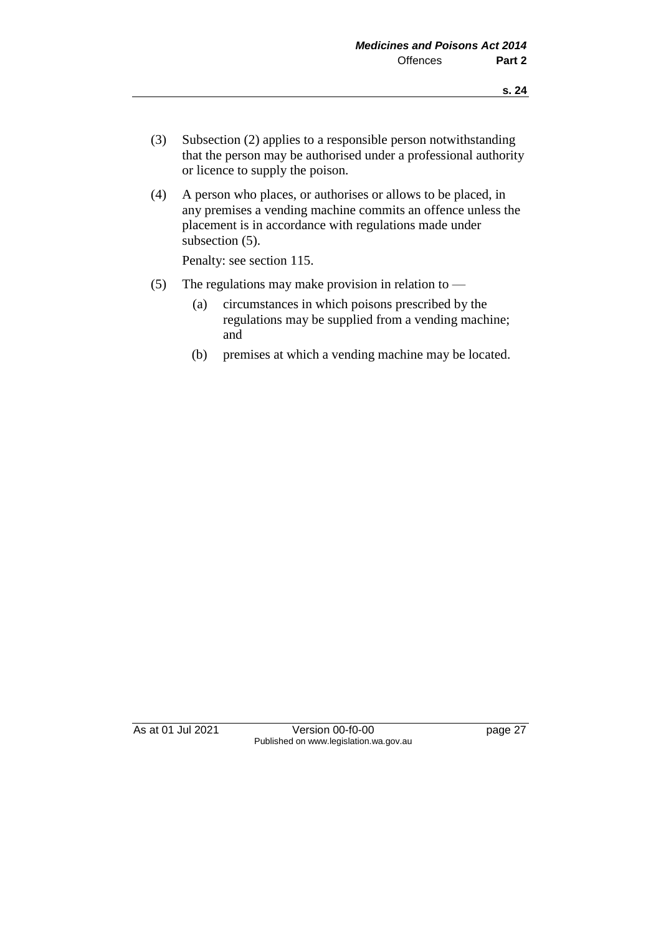- (3) Subsection (2) applies to a responsible person notwithstanding that the person may be authorised under a professional authority or licence to supply the poison.
- (4) A person who places, or authorises or allows to be placed, in any premises a vending machine commits an offence unless the placement is in accordance with regulations made under subsection  $(5)$ .

Penalty: see section 115.

- (5) The regulations may make provision in relation to
	- (a) circumstances in which poisons prescribed by the regulations may be supplied from a vending machine; and
	- (b) premises at which a vending machine may be located.

As at 01 Jul 2021 Version 00-f0-00 page 27 Published on www.legislation.wa.gov.au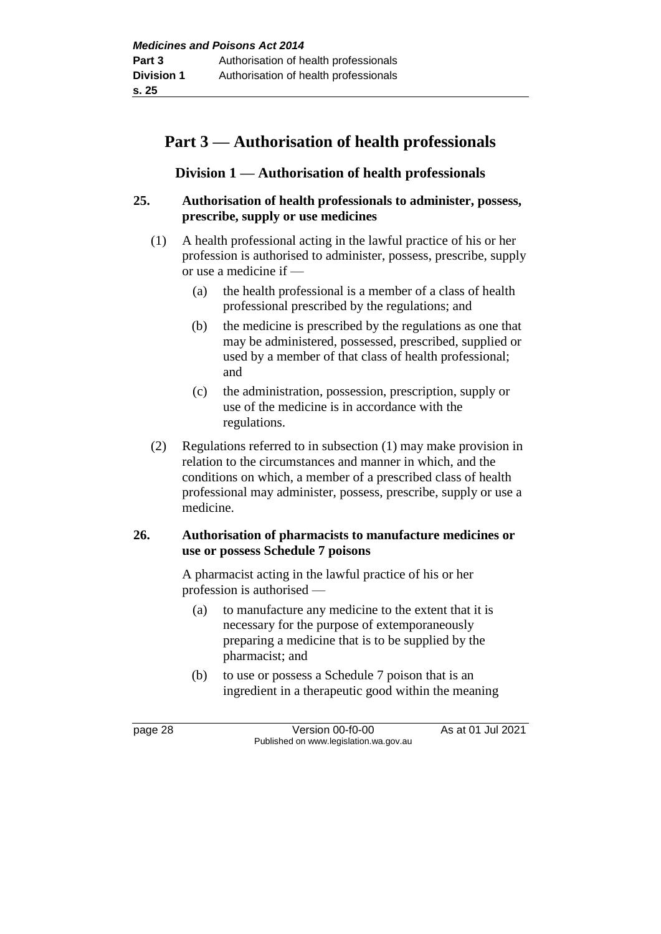# **Part 3 — Authorisation of health professionals**

## **Division 1 — Authorisation of health professionals**

#### **25. Authorisation of health professionals to administer, possess, prescribe, supply or use medicines**

- (1) A health professional acting in the lawful practice of his or her profession is authorised to administer, possess, prescribe, supply or use a medicine if —
	- (a) the health professional is a member of a class of health professional prescribed by the regulations; and
	- (b) the medicine is prescribed by the regulations as one that may be administered, possessed, prescribed, supplied or used by a member of that class of health professional; and
	- (c) the administration, possession, prescription, supply or use of the medicine is in accordance with the regulations.
- (2) Regulations referred to in subsection (1) may make provision in relation to the circumstances and manner in which, and the conditions on which, a member of a prescribed class of health professional may administer, possess, prescribe, supply or use a medicine.

#### **26. Authorisation of pharmacists to manufacture medicines or use or possess Schedule 7 poisons**

A pharmacist acting in the lawful practice of his or her profession is authorised —

- (a) to manufacture any medicine to the extent that it is necessary for the purpose of extemporaneously preparing a medicine that is to be supplied by the pharmacist; and
- (b) to use or possess a Schedule 7 poison that is an ingredient in a therapeutic good within the meaning

page 28 Version 00-f0-00 As at 01 Jul 2021 Published on www.legislation.wa.gov.au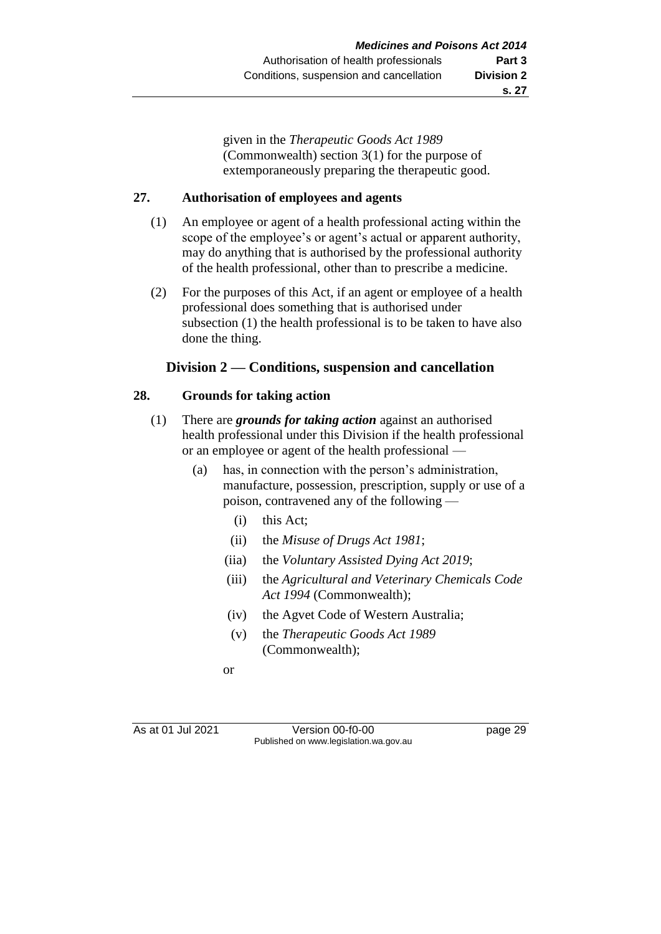given in the *Therapeutic Goods Act 1989* (Commonwealth) section 3(1) for the purpose of extemporaneously preparing the therapeutic good.

#### **27. Authorisation of employees and agents**

- (1) An employee or agent of a health professional acting within the scope of the employee's or agent's actual or apparent authority, may do anything that is authorised by the professional authority of the health professional, other than to prescribe a medicine.
- (2) For the purposes of this Act, if an agent or employee of a health professional does something that is authorised under subsection (1) the health professional is to be taken to have also done the thing.

## **Division 2 — Conditions, suspension and cancellation**

## **28. Grounds for taking action**

- (1) There are *grounds for taking action* against an authorised health professional under this Division if the health professional or an employee or agent of the health professional —
	- (a) has, in connection with the person's administration, manufacture, possession, prescription, supply or use of a poison, contravened any of the following —
		- (i) this Act;
		- (ii) the *Misuse of Drugs Act 1981*;
		- (iia) the *Voluntary Assisted Dying Act 2019*;
		- (iii) the *Agricultural and Veterinary Chemicals Code Act 1994* (Commonwealth);
		- (iv) the Agvet Code of Western Australia;
		- (v) the *Therapeutic Goods Act 1989* (Commonwealth);
		- or

As at 01 Jul 2021 Version 00-f0-00 page 29 Published on www.legislation.wa.gov.au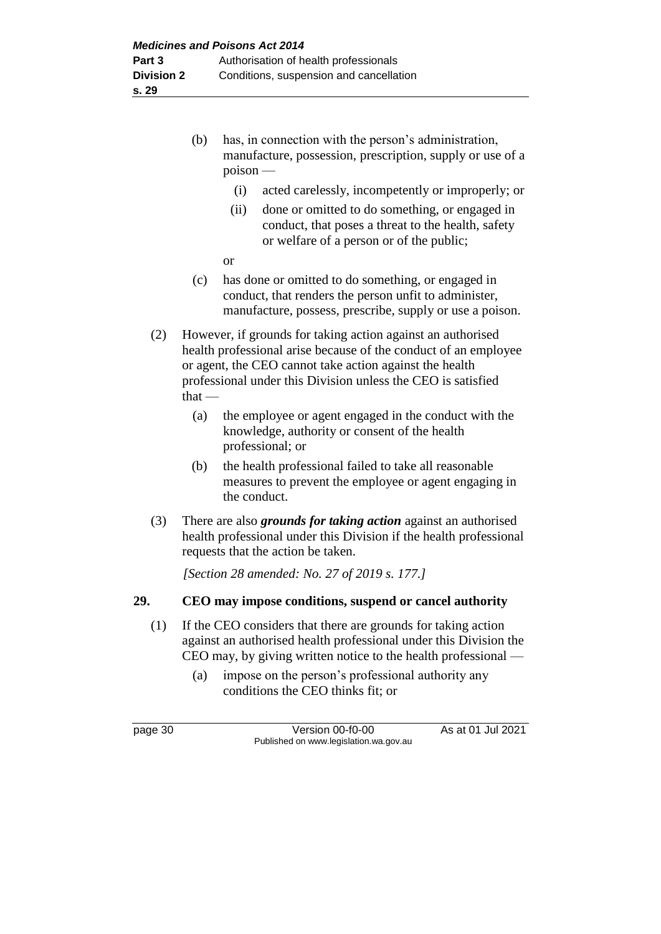- (b) has, in connection with the person's administration, manufacture, possession, prescription, supply or use of a poison —
	- (i) acted carelessly, incompetently or improperly; or
	- (ii) done or omitted to do something, or engaged in conduct, that poses a threat to the health, safety or welfare of a person or of the public;
	- or
- (c) has done or omitted to do something, or engaged in conduct, that renders the person unfit to administer, manufacture, possess, prescribe, supply or use a poison.
- (2) However, if grounds for taking action against an authorised health professional arise because of the conduct of an employee or agent, the CEO cannot take action against the health professional under this Division unless the CEO is satisfied  $that -$ 
	- (a) the employee or agent engaged in the conduct with the knowledge, authority or consent of the health professional; or
	- (b) the health professional failed to take all reasonable measures to prevent the employee or agent engaging in the conduct.
- (3) There are also *grounds for taking action* against an authorised health professional under this Division if the health professional requests that the action be taken.

*[Section 28 amended: No. 27 of 2019 s. 177.]*

## **29. CEO may impose conditions, suspend or cancel authority**

- (1) If the CEO considers that there are grounds for taking action against an authorised health professional under this Division the CEO may, by giving written notice to the health professional —
	- (a) impose on the person's professional authority any conditions the CEO thinks fit; or

page 30 Version 00-f0-00 As at 01 Jul 2021 Published on www.legislation.wa.gov.au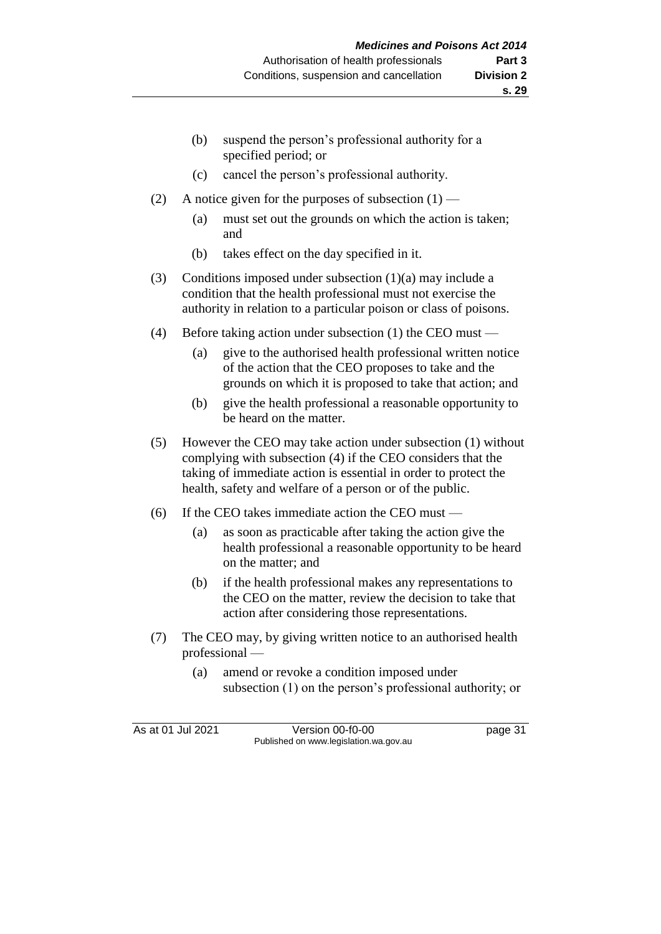- (b) suspend the person's professional authority for a specified period; or
- (c) cancel the person's professional authority.
- (2) A notice given for the purposes of subsection  $(1)$ 
	- (a) must set out the grounds on which the action is taken; and
	- (b) takes effect on the day specified in it.
- (3) Conditions imposed under subsection (1)(a) may include a condition that the health professional must not exercise the authority in relation to a particular poison or class of poisons.
- (4) Before taking action under subsection (1) the CEO must
	- (a) give to the authorised health professional written notice of the action that the CEO proposes to take and the grounds on which it is proposed to take that action; and
	- (b) give the health professional a reasonable opportunity to be heard on the matter.
- (5) However the CEO may take action under subsection (1) without complying with subsection (4) if the CEO considers that the taking of immediate action is essential in order to protect the health, safety and welfare of a person or of the public.
- (6) If the CEO takes immediate action the CEO must
	- (a) as soon as practicable after taking the action give the health professional a reasonable opportunity to be heard on the matter; and
	- (b) if the health professional makes any representations to the CEO on the matter, review the decision to take that action after considering those representations.
- (7) The CEO may, by giving written notice to an authorised health professional —
	- (a) amend or revoke a condition imposed under subsection (1) on the person's professional authority; or

As at 01 Jul 2021 Version 00-f0-00 page 31 Published on www.legislation.wa.gov.au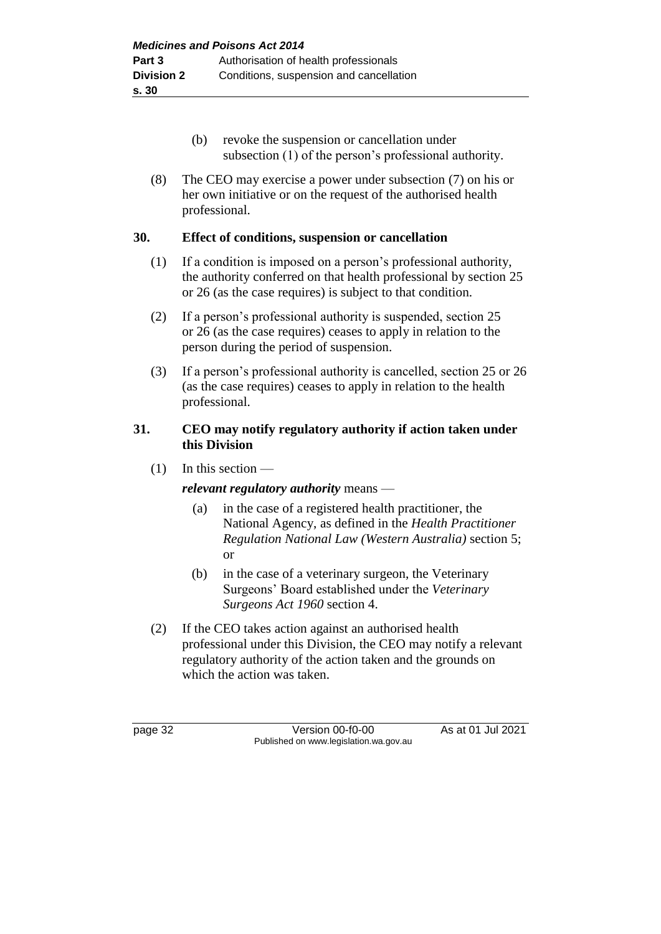- (b) revoke the suspension or cancellation under subsection (1) of the person's professional authority.
- (8) The CEO may exercise a power under subsection (7) on his or her own initiative or on the request of the authorised health professional.

#### **30. Effect of conditions, suspension or cancellation**

- (1) If a condition is imposed on a person's professional authority, the authority conferred on that health professional by section 25 or 26 (as the case requires) is subject to that condition.
- (2) If a person's professional authority is suspended, section 25 or 26 (as the case requires) ceases to apply in relation to the person during the period of suspension.
- (3) If a person's professional authority is cancelled, section 25 or 26 (as the case requires) ceases to apply in relation to the health professional.

#### **31. CEO may notify regulatory authority if action taken under this Division**

 $(1)$  In this section —

## *relevant regulatory authority* means —

- (a) in the case of a registered health practitioner, the National Agency, as defined in the *Health Practitioner Regulation National Law (Western Australia)* section 5; or
- (b) in the case of a veterinary surgeon, the Veterinary Surgeons' Board established under the *Veterinary Surgeons Act 1960* section 4.
- (2) If the CEO takes action against an authorised health professional under this Division, the CEO may notify a relevant regulatory authority of the action taken and the grounds on which the action was taken.

page 32 Version 00-f0-00 As at 01 Jul 2021 Published on www.legislation.wa.gov.au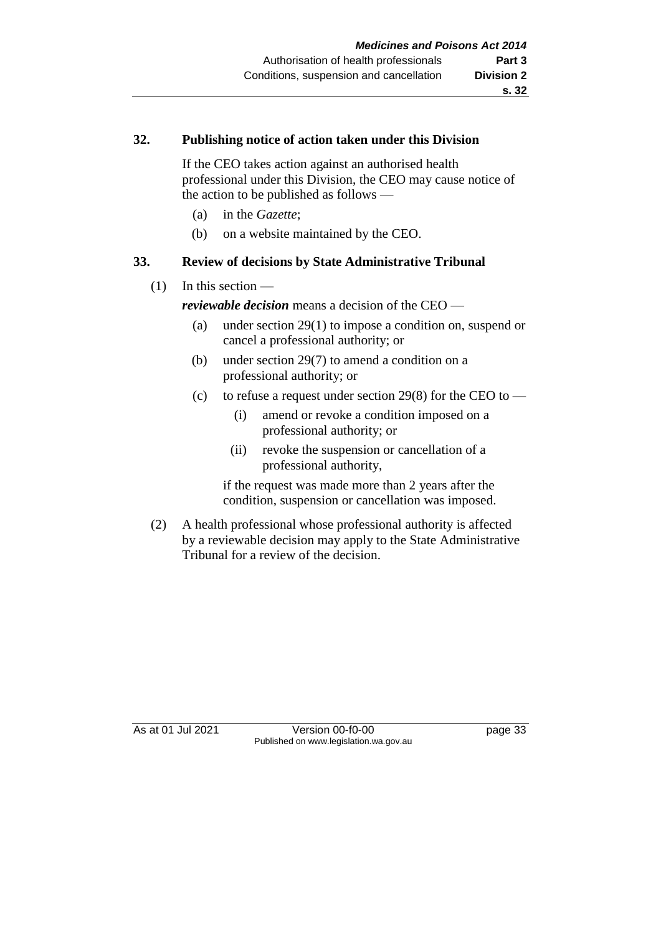#### **32. Publishing notice of action taken under this Division**

If the CEO takes action against an authorised health professional under this Division, the CEO may cause notice of the action to be published as follows —

- (a) in the *Gazette*;
- (b) on a website maintained by the CEO.

## **33. Review of decisions by State Administrative Tribunal**

(1) In this section —

*reviewable decision* means a decision of the CEO —

- (a) under section 29(1) to impose a condition on, suspend or cancel a professional authority; or
- (b) under section 29(7) to amend a condition on a professional authority; or
- (c) to refuse a request under section 29(8) for the CEO to
	- (i) amend or revoke a condition imposed on a professional authority; or
	- (ii) revoke the suspension or cancellation of a professional authority,

if the request was made more than 2 years after the condition, suspension or cancellation was imposed.

(2) A health professional whose professional authority is affected by a reviewable decision may apply to the State Administrative Tribunal for a review of the decision.

As at 01 Jul 2021 Version 00-f0-00 page 33 Published on www.legislation.wa.gov.au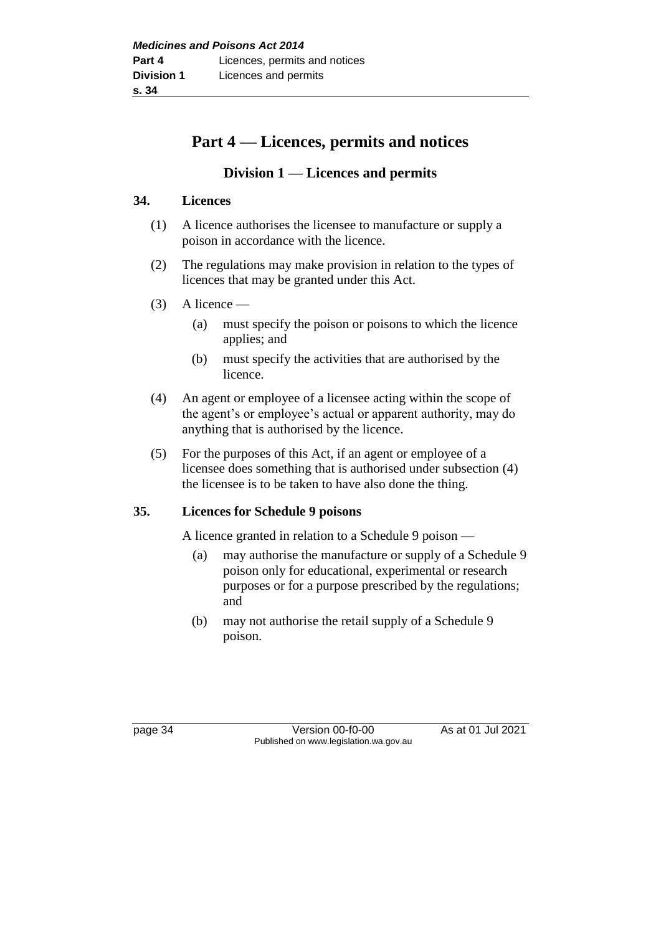# **Part 4 — Licences, permits and notices**

## **Division 1 — Licences and permits**

#### **34. Licences**

- (1) A licence authorises the licensee to manufacture or supply a poison in accordance with the licence.
- (2) The regulations may make provision in relation to the types of licences that may be granted under this Act.
- $(3)$  A licence
	- (a) must specify the poison or poisons to which the licence applies; and
	- (b) must specify the activities that are authorised by the licence.
- (4) An agent or employee of a licensee acting within the scope of the agent's or employee's actual or apparent authority, may do anything that is authorised by the licence.
- (5) For the purposes of this Act, if an agent or employee of a licensee does something that is authorised under subsection (4) the licensee is to be taken to have also done the thing.

## **35. Licences for Schedule 9 poisons**

A licence granted in relation to a Schedule 9 poison —

- (a) may authorise the manufacture or supply of a Schedule 9 poison only for educational, experimental or research purposes or for a purpose prescribed by the regulations; and
- (b) may not authorise the retail supply of a Schedule 9 poison.

page 34 Version 00-f0-00 As at 01 Jul 2021 Published on www.legislation.wa.gov.au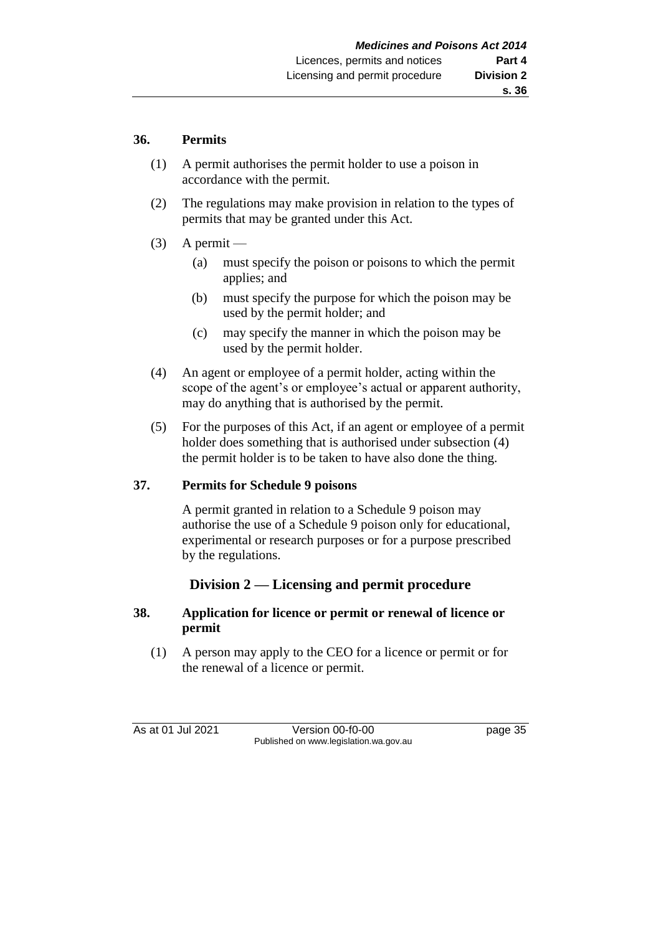#### **36. Permits**

- (1) A permit authorises the permit holder to use a poison in accordance with the permit.
- (2) The regulations may make provision in relation to the types of permits that may be granted under this Act.
- $(3)$  A permit
	- (a) must specify the poison or poisons to which the permit applies; and
	- (b) must specify the purpose for which the poison may be used by the permit holder; and
	- (c) may specify the manner in which the poison may be used by the permit holder.
- (4) An agent or employee of a permit holder, acting within the scope of the agent's or employee's actual or apparent authority, may do anything that is authorised by the permit.
- (5) For the purposes of this Act, if an agent or employee of a permit holder does something that is authorised under subsection (4) the permit holder is to be taken to have also done the thing.

## **37. Permits for Schedule 9 poisons**

A permit granted in relation to a Schedule 9 poison may authorise the use of a Schedule 9 poison only for educational, experimental or research purposes or for a purpose prescribed by the regulations.

## **Division 2 — Licensing and permit procedure**

#### **38. Application for licence or permit or renewal of licence or permit**

(1) A person may apply to the CEO for a licence or permit or for the renewal of a licence or permit.

As at 01 Jul 2021 Version 00-f0-00 page 35 Published on www.legislation.wa.gov.au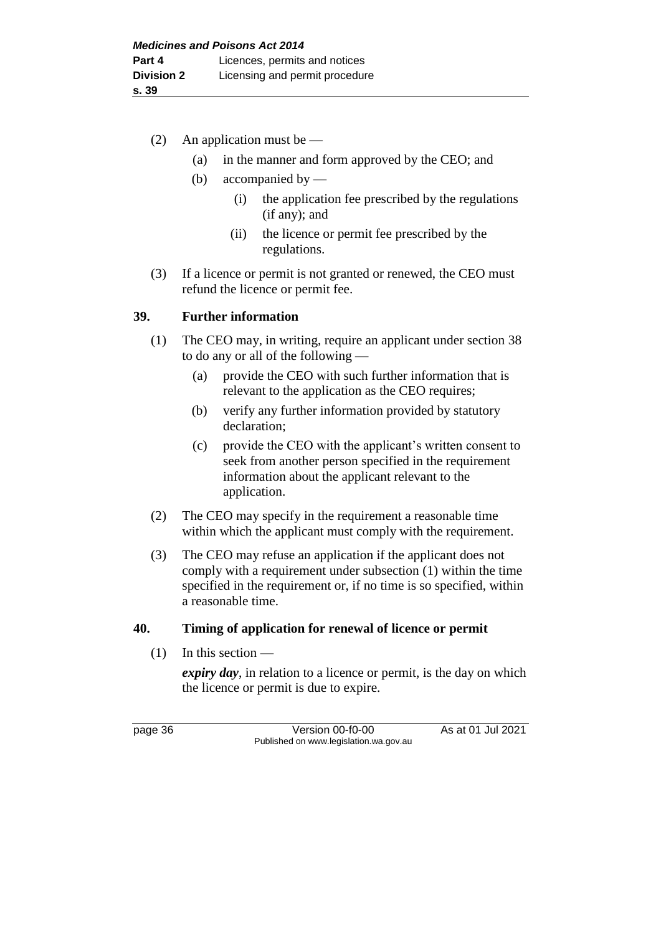- (2) An application must be
	- (a) in the manner and form approved by the CEO; and
	- (b) accompanied by
		- (i) the application fee prescribed by the regulations (if any); and
		- (ii) the licence or permit fee prescribed by the regulations.
- (3) If a licence or permit is not granted or renewed, the CEO must refund the licence or permit fee.

#### **39. Further information**

- (1) The CEO may, in writing, require an applicant under section 38 to do any or all of the following —
	- (a) provide the CEO with such further information that is relevant to the application as the CEO requires;
	- (b) verify any further information provided by statutory declaration;
	- (c) provide the CEO with the applicant's written consent to seek from another person specified in the requirement information about the applicant relevant to the application.
- (2) The CEO may specify in the requirement a reasonable time within which the applicant must comply with the requirement.
- (3) The CEO may refuse an application if the applicant does not comply with a requirement under subsection (1) within the time specified in the requirement or, if no time is so specified, within a reasonable time.

#### **40. Timing of application for renewal of licence or permit**

 $(1)$  In this section —

*expiry day*, in relation to a licence or permit, is the day on which the licence or permit is due to expire.

page 36 Version 00-f0-00 As at 01 Jul 2021 Published on www.legislation.wa.gov.au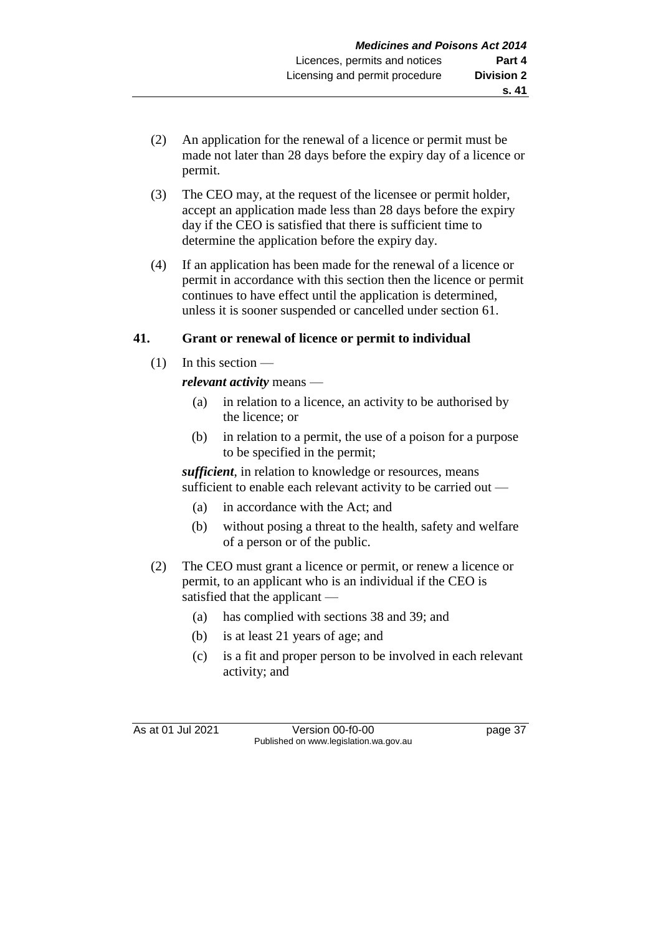- (2) An application for the renewal of a licence or permit must be made not later than 28 days before the expiry day of a licence or permit.
- (3) The CEO may, at the request of the licensee or permit holder, accept an application made less than 28 days before the expiry day if the CEO is satisfied that there is sufficient time to determine the application before the expiry day.
- (4) If an application has been made for the renewal of a licence or permit in accordance with this section then the licence or permit continues to have effect until the application is determined, unless it is sooner suspended or cancelled under section 61.

## **41. Grant or renewal of licence or permit to individual**

 $(1)$  In this section —

## *relevant activity* means —

- (a) in relation to a licence, an activity to be authorised by the licence; or
- (b) in relation to a permit, the use of a poison for a purpose to be specified in the permit;

*sufficient*, in relation to knowledge or resources, means sufficient to enable each relevant activity to be carried out —

- (a) in accordance with the Act; and
- (b) without posing a threat to the health, safety and welfare of a person or of the public.
- (2) The CEO must grant a licence or permit, or renew a licence or permit, to an applicant who is an individual if the CEO is satisfied that the applicant —
	- (a) has complied with sections 38 and 39; and
	- (b) is at least 21 years of age; and
	- (c) is a fit and proper person to be involved in each relevant activity; and

As at 01 Jul 2021 Version 00-f0-00 page 37 Published on www.legislation.wa.gov.au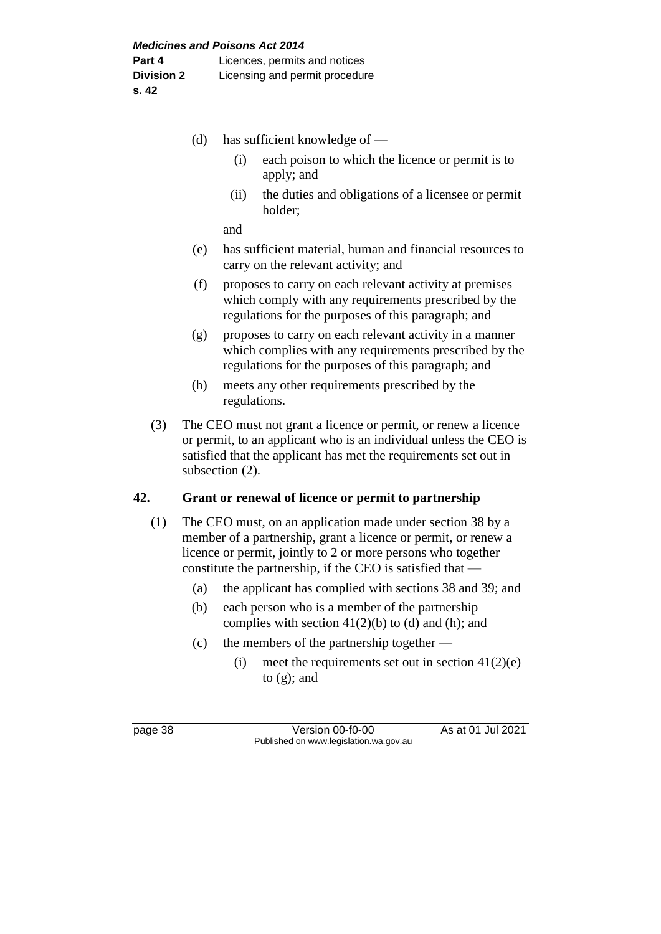|     | (d)                                                                                                                                                                                                                           | has sufficient knowledge of -                                                                                                                                                                |
|-----|-------------------------------------------------------------------------------------------------------------------------------------------------------------------------------------------------------------------------------|----------------------------------------------------------------------------------------------------------------------------------------------------------------------------------------------|
|     |                                                                                                                                                                                                                               | each poison to which the licence or permit is to<br>(i)<br>apply; and                                                                                                                        |
|     |                                                                                                                                                                                                                               | the duties and obligations of a licensee or permit<br>(ii)<br>holder;                                                                                                                        |
|     |                                                                                                                                                                                                                               | and                                                                                                                                                                                          |
|     | (e)                                                                                                                                                                                                                           | has sufficient material, human and financial resources to<br>carry on the relevant activity; and                                                                                             |
|     | (f)                                                                                                                                                                                                                           | proposes to carry on each relevant activity at premises<br>which comply with any requirements prescribed by the<br>regulations for the purposes of this paragraph; and                       |
|     | (g)                                                                                                                                                                                                                           | proposes to carry on each relevant activity in a manner<br>which complies with any requirements prescribed by the<br>regulations for the purposes of this paragraph; and                     |
|     | (h)                                                                                                                                                                                                                           | meets any other requirements prescribed by the<br>regulations.                                                                                                                               |
| (3) | The CEO must not grant a licence or permit, or renew a licence<br>or permit, to an applicant who is an individual unless the CEO is<br>satisfied that the applicant has met the requirements set out in<br>subsection $(2)$ . |                                                                                                                                                                                              |
| 42. | Grant or renewal of licence or permit to partnership                                                                                                                                                                          |                                                                                                                                                                                              |
| (1) |                                                                                                                                                                                                                               | The CEO must, on an application made under section 38 by a<br>member of a partnership, grant a licence or permit, or renew a<br>licence or permit, jointly to 2 or more persons who together |

- (a) the applicant has complied with sections 38 and 39; and
- (b) each person who is a member of the partnership complies with section  $41(2)(b)$  to (d) and (h); and

constitute the partnership, if the CEO is satisfied that —

- (c) the members of the partnership together
	- (i) meet the requirements set out in section  $41(2)(e)$ to (g); and

page 38 Version 00-f0-00 As at 01 Jul 2021 Published on www.legislation.wa.gov.au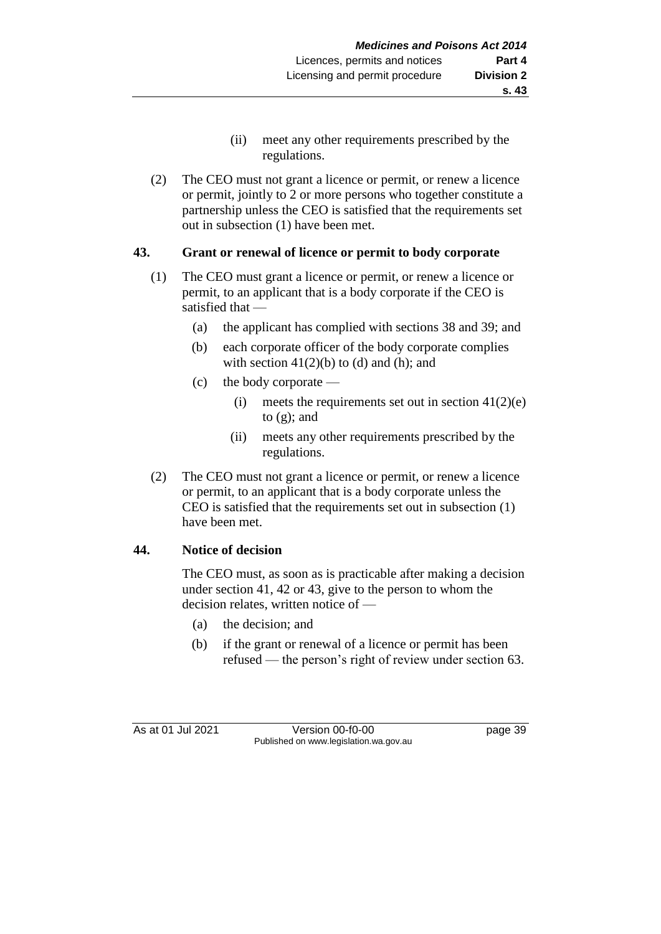- (ii) meet any other requirements prescribed by the regulations.
- (2) The CEO must not grant a licence or permit, or renew a licence or permit, jointly to 2 or more persons who together constitute a partnership unless the CEO is satisfied that the requirements set out in subsection (1) have been met.

## **43. Grant or renewal of licence or permit to body corporate**

- (1) The CEO must grant a licence or permit, or renew a licence or permit, to an applicant that is a body corporate if the CEO is satisfied that —
	- (a) the applicant has complied with sections 38 and 39; and
	- (b) each corporate officer of the body corporate complies with section  $41(2)(b)$  to (d) and (h); and
	- (c) the body corporate
		- (i) meets the requirements set out in section  $41(2)(e)$ to  $(g)$ ; and
		- (ii) meets any other requirements prescribed by the regulations.
- (2) The CEO must not grant a licence or permit, or renew a licence or permit, to an applicant that is a body corporate unless the CEO is satisfied that the requirements set out in subsection (1) have been met.

## **44. Notice of decision**

The CEO must, as soon as is practicable after making a decision under section 41, 42 or 43, give to the person to whom the decision relates, written notice of —

- (a) the decision; and
- (b) if the grant or renewal of a licence or permit has been refused — the person's right of review under section 63.

As at 01 Jul 2021 Version 00-f0-00 Page 39 Published on www.legislation.wa.gov.au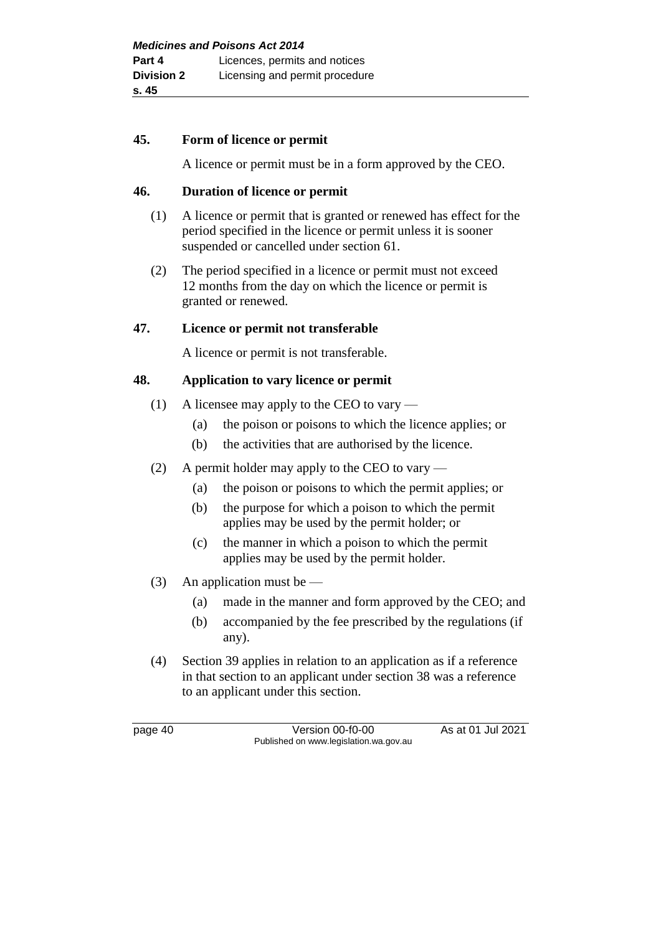#### **45. Form of licence or permit**

A licence or permit must be in a form approved by the CEO.

#### **46. Duration of licence or permit**

- (1) A licence or permit that is granted or renewed has effect for the period specified in the licence or permit unless it is sooner suspended or cancelled under section 61.
- (2) The period specified in a licence or permit must not exceed 12 months from the day on which the licence or permit is granted or renewed.

#### **47. Licence or permit not transferable**

A licence or permit is not transferable.

#### **48. Application to vary licence or permit**

- (1) A licensee may apply to the CEO to vary
	- (a) the poison or poisons to which the licence applies; or
	- (b) the activities that are authorised by the licence.
- (2) A permit holder may apply to the CEO to vary
	- (a) the poison or poisons to which the permit applies; or
	- (b) the purpose for which a poison to which the permit applies may be used by the permit holder; or
	- (c) the manner in which a poison to which the permit applies may be used by the permit holder.
- (3) An application must be
	- (a) made in the manner and form approved by the CEO; and
	- (b) accompanied by the fee prescribed by the regulations (if any).
- (4) Section 39 applies in relation to an application as if a reference in that section to an applicant under section 38 was a reference to an applicant under this section.

page 40 Version 00-f0-00 As at 01 Jul 2021 Published on www.legislation.wa.gov.au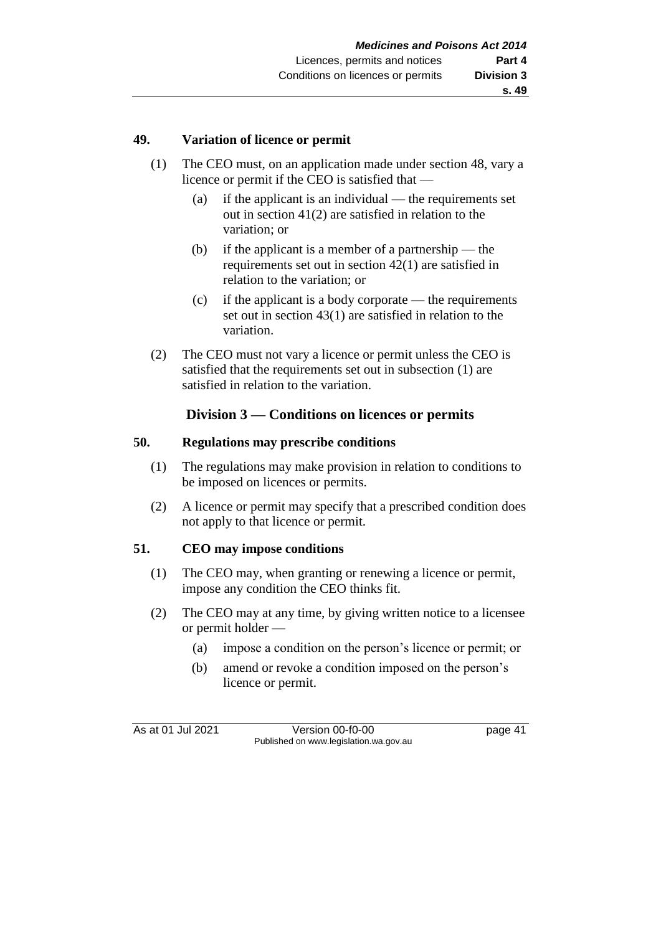#### **49. Variation of licence or permit**

- (1) The CEO must, on an application made under section 48, vary a licence or permit if the CEO is satisfied that —
	- (a) if the applicant is an individual the requirements set out in section 41(2) are satisfied in relation to the variation; or
	- (b) if the applicant is a member of a partnership the requirements set out in section 42(1) are satisfied in relation to the variation; or
	- (c) if the applicant is a body corporate the requirements set out in section 43(1) are satisfied in relation to the variation.
- (2) The CEO must not vary a licence or permit unless the CEO is satisfied that the requirements set out in subsection (1) are satisfied in relation to the variation.

## **Division 3 — Conditions on licences or permits**

#### **50. Regulations may prescribe conditions**

- (1) The regulations may make provision in relation to conditions to be imposed on licences or permits.
- (2) A licence or permit may specify that a prescribed condition does not apply to that licence or permit.

## **51. CEO may impose conditions**

- (1) The CEO may, when granting or renewing a licence or permit, impose any condition the CEO thinks fit.
- (2) The CEO may at any time, by giving written notice to a licensee or permit holder —
	- (a) impose a condition on the person's licence or permit; or
	- (b) amend or revoke a condition imposed on the person's licence or permit.

As at 01 Jul 2021 Version 00-f0-00 page 41 Published on www.legislation.wa.gov.au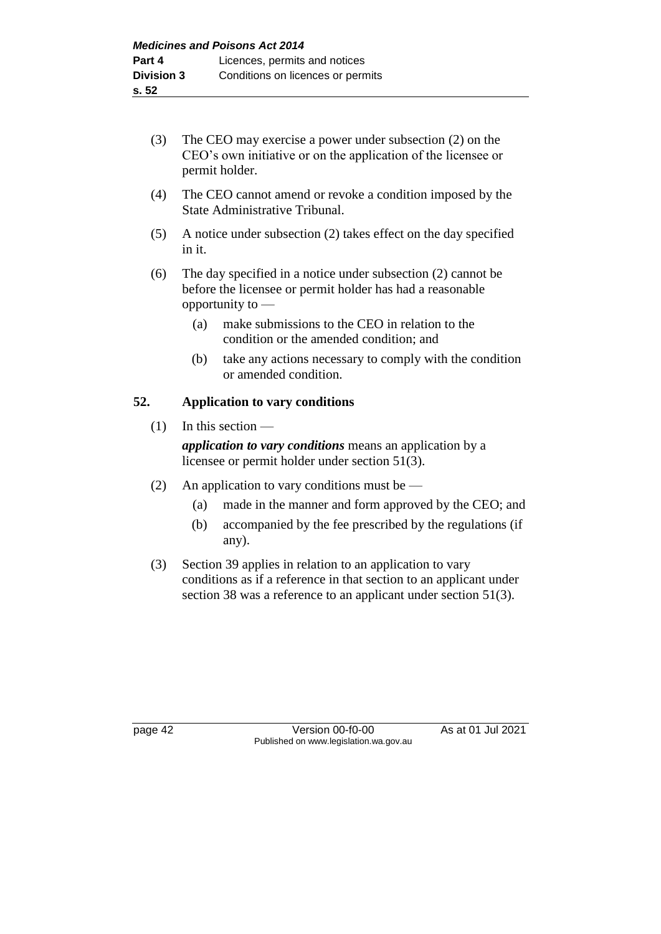- (3) The CEO may exercise a power under subsection (2) on the CEO's own initiative or on the application of the licensee or permit holder.
- (4) The CEO cannot amend or revoke a condition imposed by the State Administrative Tribunal.
- (5) A notice under subsection (2) takes effect on the day specified in it.
- (6) The day specified in a notice under subsection (2) cannot be before the licensee or permit holder has had a reasonable opportunity to —
	- (a) make submissions to the CEO in relation to the condition or the amended condition; and
	- (b) take any actions necessary to comply with the condition or amended condition.

## **52. Application to vary conditions**

(1) In this section —

*application to vary conditions* means an application by a licensee or permit holder under section 51(3).

- (2) An application to vary conditions must be
	- (a) made in the manner and form approved by the CEO; and
	- (b) accompanied by the fee prescribed by the regulations (if any).
- (3) Section 39 applies in relation to an application to vary conditions as if a reference in that section to an applicant under section 38 was a reference to an applicant under section 51(3).

page 42 Version 00-f0-00 As at 01 Jul 2021 Published on www.legislation.wa.gov.au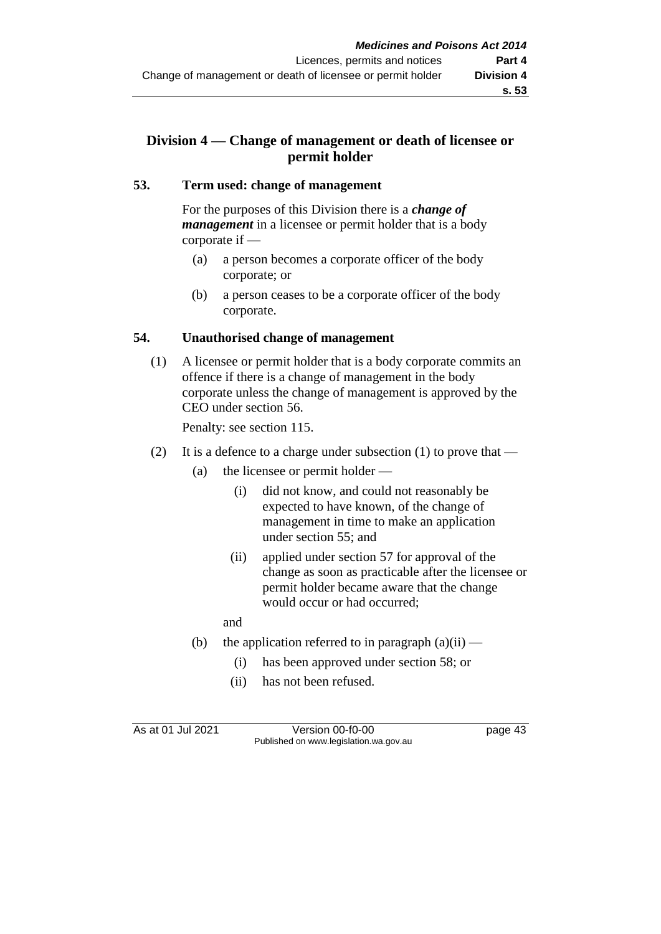## **Division 4 — Change of management or death of licensee or permit holder**

#### **53. Term used: change of management**

For the purposes of this Division there is a *change of management* in a licensee or permit holder that is a body corporate if —

- (a) a person becomes a corporate officer of the body corporate; or
- (b) a person ceases to be a corporate officer of the body corporate.

#### **54. Unauthorised change of management**

(1) A licensee or permit holder that is a body corporate commits an offence if there is a change of management in the body corporate unless the change of management is approved by the CEO under section 56.

Penalty: see section 115.

- (2) It is a defence to a charge under subsection (1) to prove that
	- (a) the licensee or permit holder
		- (i) did not know, and could not reasonably be expected to have known, of the change of management in time to make an application under section 55; and
		- (ii) applied under section 57 for approval of the change as soon as practicable after the licensee or permit holder became aware that the change would occur or had occurred;

and

- (b) the application referred to in paragraph  $(a)(ii)$ 
	- (i) has been approved under section 58; or
	- (ii) has not been refused.

As at 01 Jul 2021 Version 00-f0-00 page 43 Published on www.legislation.wa.gov.au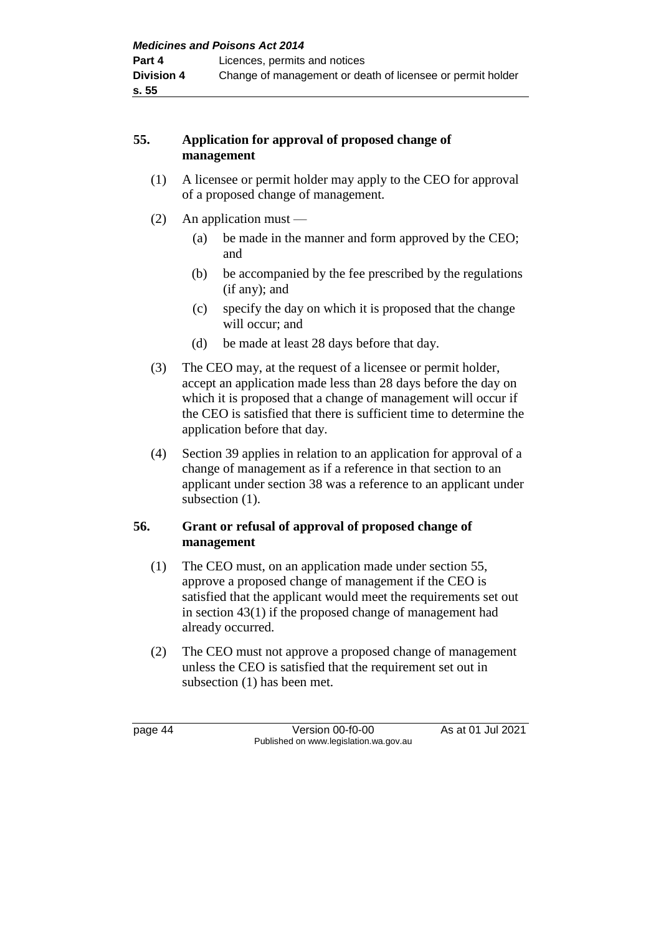## **55. Application for approval of proposed change of management**

- (1) A licensee or permit holder may apply to the CEO for approval of a proposed change of management.
- (2) An application must
	- (a) be made in the manner and form approved by the CEO; and
	- (b) be accompanied by the fee prescribed by the regulations (if any); and
	- (c) specify the day on which it is proposed that the change will occur; and
	- (d) be made at least 28 days before that day.
- (3) The CEO may, at the request of a licensee or permit holder, accept an application made less than 28 days before the day on which it is proposed that a change of management will occur if the CEO is satisfied that there is sufficient time to determine the application before that day.
- (4) Section 39 applies in relation to an application for approval of a change of management as if a reference in that section to an applicant under section 38 was a reference to an applicant under subsection  $(1)$ .

## **56. Grant or refusal of approval of proposed change of management**

- (1) The CEO must, on an application made under section 55, approve a proposed change of management if the CEO is satisfied that the applicant would meet the requirements set out in section 43(1) if the proposed change of management had already occurred.
- (2) The CEO must not approve a proposed change of management unless the CEO is satisfied that the requirement set out in subsection (1) has been met.

page 44 Version 00-f0-00 As at 01 Jul 2021 Published on www.legislation.wa.gov.au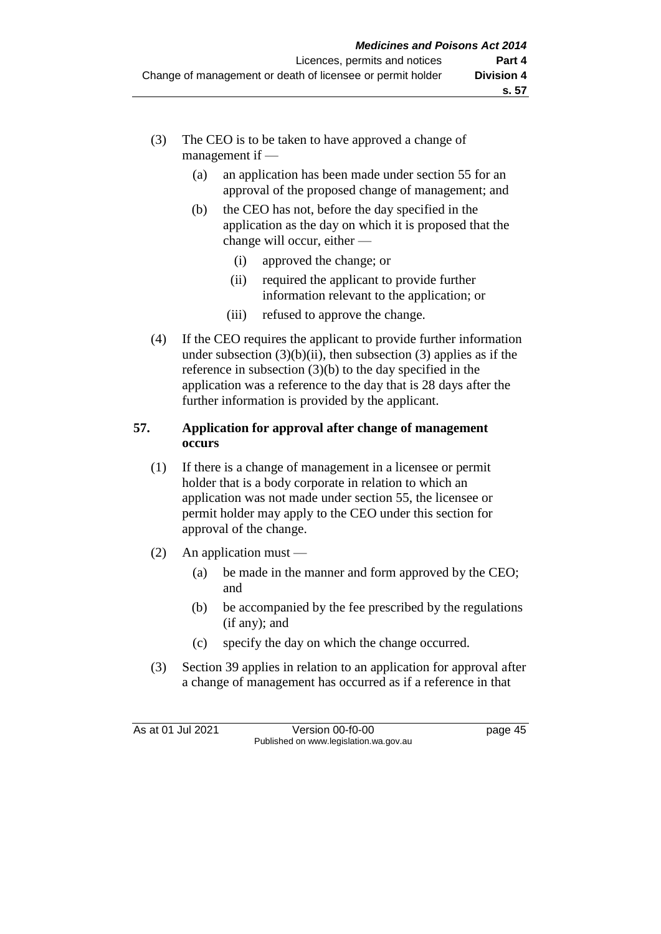- (3) The CEO is to be taken to have approved a change of management if —
	- (a) an application has been made under section 55 for an approval of the proposed change of management; and
	- (b) the CEO has not, before the day specified in the application as the day on which it is proposed that the change will occur, either —
		- (i) approved the change; or
		- (ii) required the applicant to provide further information relevant to the application; or
		- (iii) refused to approve the change.
- (4) If the CEO requires the applicant to provide further information under subsection  $(3)(b)(ii)$ , then subsection  $(3)$  applies as if the reference in subsection (3)(b) to the day specified in the application was a reference to the day that is 28 days after the further information is provided by the applicant.

#### **57. Application for approval after change of management occurs**

- (1) If there is a change of management in a licensee or permit holder that is a body corporate in relation to which an application was not made under section 55, the licensee or permit holder may apply to the CEO under this section for approval of the change.
- (2) An application must
	- (a) be made in the manner and form approved by the CEO; and
	- (b) be accompanied by the fee prescribed by the regulations (if any); and
	- (c) specify the day on which the change occurred.
- (3) Section 39 applies in relation to an application for approval after a change of management has occurred as if a reference in that

As at 01 Jul 2021 Version 00-f0-00 page 45 Published on www.legislation.wa.gov.au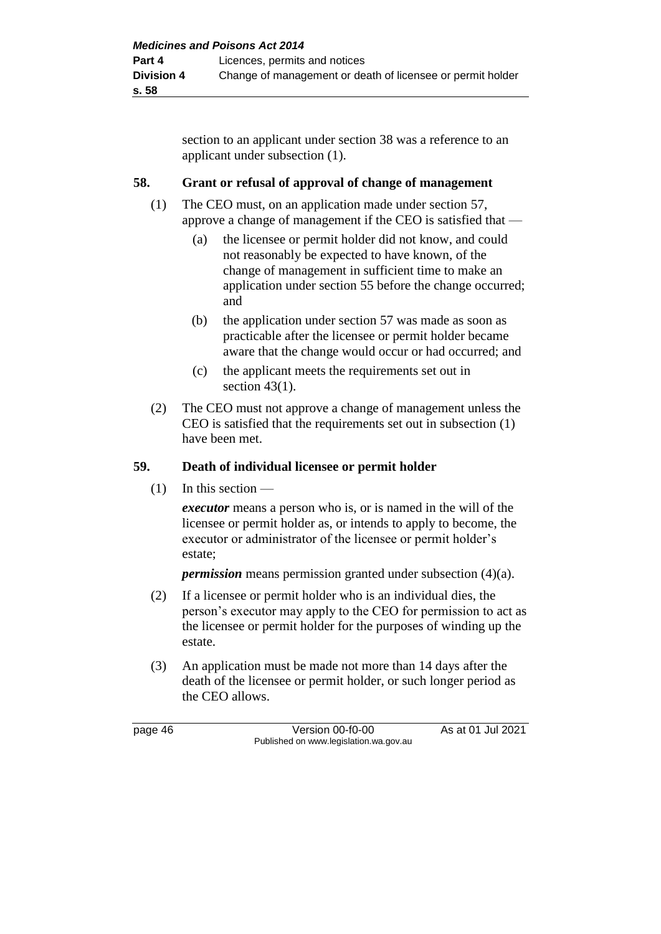section to an applicant under section 38 was a reference to an applicant under subsection (1).

## **58. Grant or refusal of approval of change of management**

- (1) The CEO must, on an application made under section 57, approve a change of management if the CEO is satisfied that —
	- (a) the licensee or permit holder did not know, and could not reasonably be expected to have known, of the change of management in sufficient time to make an application under section 55 before the change occurred; and
	- (b) the application under section 57 was made as soon as practicable after the licensee or permit holder became aware that the change would occur or had occurred; and
	- (c) the applicant meets the requirements set out in section 43(1).
- (2) The CEO must not approve a change of management unless the CEO is satisfied that the requirements set out in subsection (1) have been met.

## **59. Death of individual licensee or permit holder**

 $(1)$  In this section —

*executor* means a person who is, or is named in the will of the licensee or permit holder as, or intends to apply to become, the executor or administrator of the licensee or permit holder's estate;

*permission* means permission granted under subsection (4)(a).

- (2) If a licensee or permit holder who is an individual dies, the person's executor may apply to the CEO for permission to act as the licensee or permit holder for the purposes of winding up the estate.
- (3) An application must be made not more than 14 days after the death of the licensee or permit holder, or such longer period as the CEO allows.

page 46 Version 00-f0-00 As at 01 Jul 2021 Published on www.legislation.wa.gov.au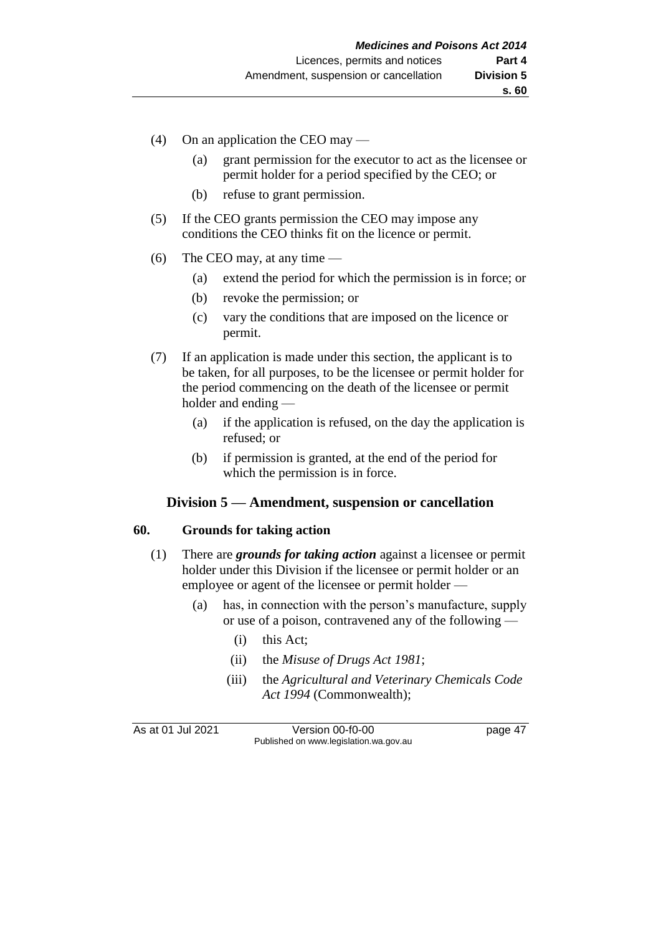- (4) On an application the CEO may
	- (a) grant permission for the executor to act as the licensee or permit holder for a period specified by the CEO; or
	- (b) refuse to grant permission.
- (5) If the CEO grants permission the CEO may impose any conditions the CEO thinks fit on the licence or permit.
- (6) The CEO may, at any time  $-$ 
	- (a) extend the period for which the permission is in force; or
	- (b) revoke the permission; or
	- (c) vary the conditions that are imposed on the licence or permit.
- (7) If an application is made under this section, the applicant is to be taken, for all purposes, to be the licensee or permit holder for the period commencing on the death of the licensee or permit holder and ending —
	- (a) if the application is refused, on the day the application is refused; or
	- (b) if permission is granted, at the end of the period for which the permission is in force.

#### **Division 5 — Amendment, suspension or cancellation**

#### **60. Grounds for taking action**

- (1) There are *grounds for taking action* against a licensee or permit holder under this Division if the licensee or permit holder or an employee or agent of the licensee or permit holder —
	- (a) has, in connection with the person's manufacture, supply or use of a poison, contravened any of the following —
		- (i) this Act;
		- (ii) the *Misuse of Drugs Act 1981*;
		- (iii) the *Agricultural and Veterinary Chemicals Code Act 1994* (Commonwealth);

As at 01 Jul 2021 Version 00-f0-00 page 47 Published on www.legislation.wa.gov.au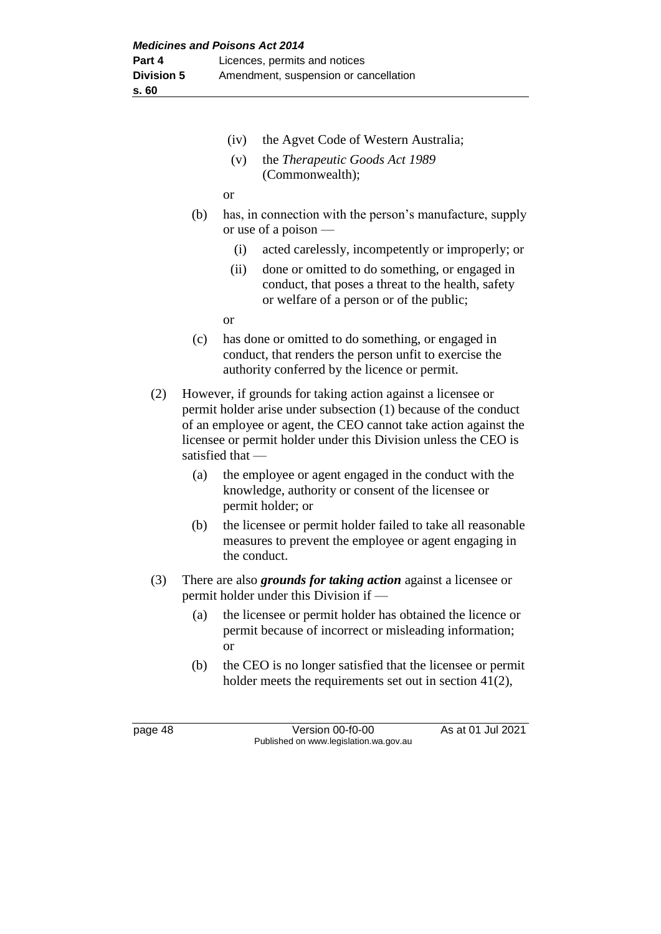- (iv) the Agvet Code of Western Australia;
- (v) the *Therapeutic Goods Act 1989* (Commonwealth);

or

- (b) has, in connection with the person's manufacture, supply or use of a poison —
	- (i) acted carelessly, incompetently or improperly; or
	- (ii) done or omitted to do something, or engaged in conduct, that poses a threat to the health, safety or welfare of a person or of the public;

or

- (c) has done or omitted to do something, or engaged in conduct, that renders the person unfit to exercise the authority conferred by the licence or permit.
- (2) However, if grounds for taking action against a licensee or permit holder arise under subsection (1) because of the conduct of an employee or agent, the CEO cannot take action against the licensee or permit holder under this Division unless the CEO is satisfied that —
	- (a) the employee or agent engaged in the conduct with the knowledge, authority or consent of the licensee or permit holder; or
	- (b) the licensee or permit holder failed to take all reasonable measures to prevent the employee or agent engaging in the conduct.
- (3) There are also *grounds for taking action* against a licensee or permit holder under this Division if —
	- (a) the licensee or permit holder has obtained the licence or permit because of incorrect or misleading information; or
	- (b) the CEO is no longer satisfied that the licensee or permit holder meets the requirements set out in section 41(2),

page 48 Version 00-f0-00 As at 01 Jul 2021 Published on www.legislation.wa.gov.au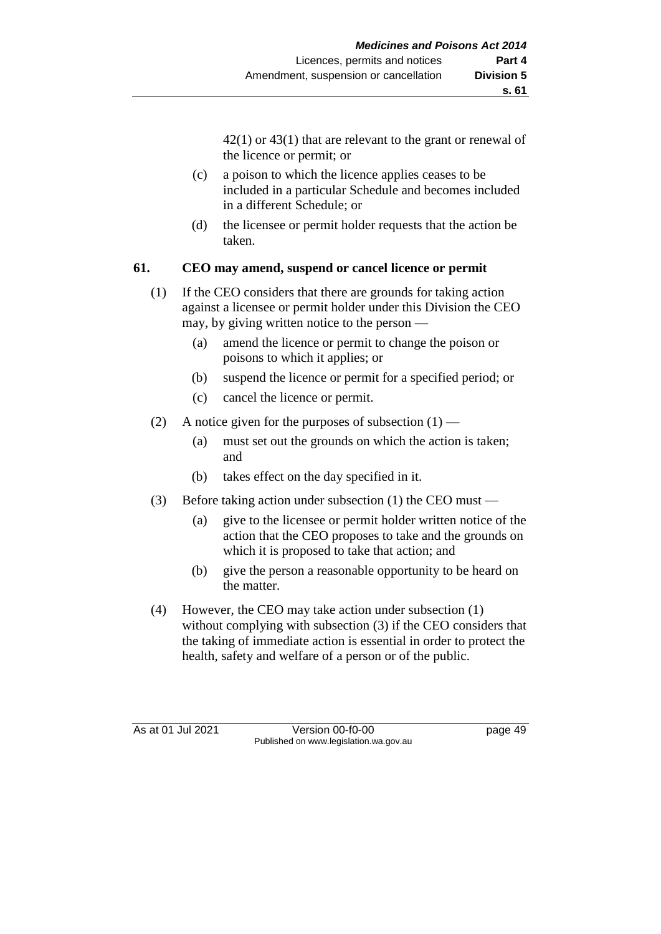42(1) or 43(1) that are relevant to the grant or renewal of the licence or permit; or

- (c) a poison to which the licence applies ceases to be included in a particular Schedule and becomes included in a different Schedule; or
- (d) the licensee or permit holder requests that the action be taken.

## **61. CEO may amend, suspend or cancel licence or permit**

- (1) If the CEO considers that there are grounds for taking action against a licensee or permit holder under this Division the CEO may, by giving written notice to the person —
	- (a) amend the licence or permit to change the poison or poisons to which it applies; or
	- (b) suspend the licence or permit for a specified period; or
	- (c) cancel the licence or permit.
- (2) A notice given for the purposes of subsection  $(1)$ 
	- (a) must set out the grounds on which the action is taken; and
	- (b) takes effect on the day specified in it.
- (3) Before taking action under subsection (1) the CEO must
	- (a) give to the licensee or permit holder written notice of the action that the CEO proposes to take and the grounds on which it is proposed to take that action; and
	- (b) give the person a reasonable opportunity to be heard on the matter.
- (4) However, the CEO may take action under subsection (1) without complying with subsection (3) if the CEO considers that the taking of immediate action is essential in order to protect the health, safety and welfare of a person or of the public.

As at 01 Jul 2021 Version 00-f0-00 page 49 Published on www.legislation.wa.gov.au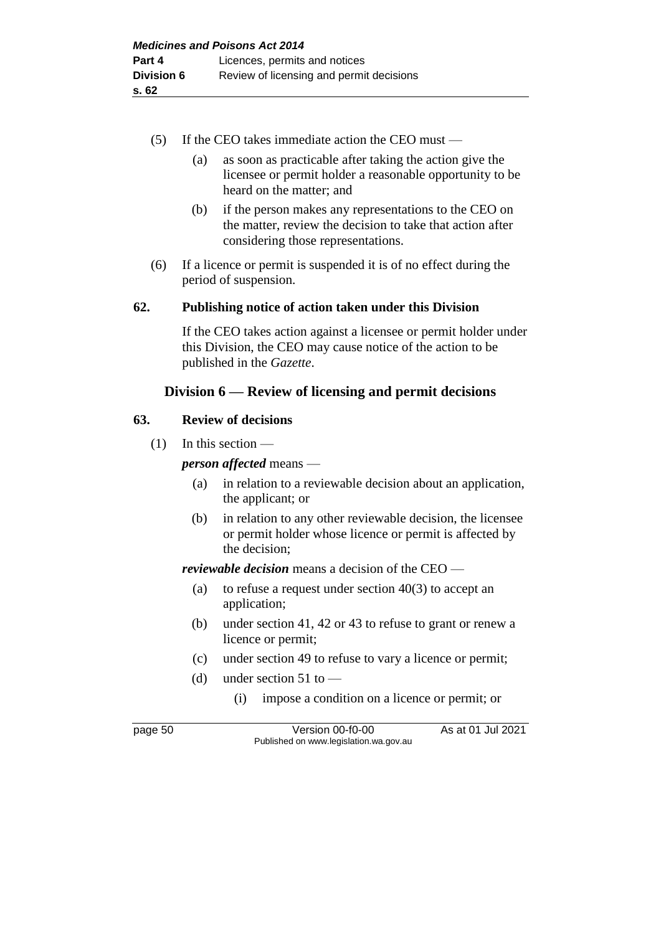- (5) If the CEO takes immediate action the CEO must
	- (a) as soon as practicable after taking the action give the licensee or permit holder a reasonable opportunity to be heard on the matter; and
	- (b) if the person makes any representations to the CEO on the matter, review the decision to take that action after considering those representations.
- (6) If a licence or permit is suspended it is of no effect during the period of suspension.

## **62. Publishing notice of action taken under this Division**

If the CEO takes action against a licensee or permit holder under this Division, the CEO may cause notice of the action to be published in the *Gazette*.

## **Division 6 — Review of licensing and permit decisions**

#### **63. Review of decisions**

 $(1)$  In this section —

*person affected* means —

- (a) in relation to a reviewable decision about an application, the applicant; or
- (b) in relation to any other reviewable decision, the licensee or permit holder whose licence or permit is affected by the decision;

*reviewable decision* means a decision of the CEO —

- (a) to refuse a request under section  $40(3)$  to accept an application;
- (b) under section 41, 42 or 43 to refuse to grant or renew a licence or permit;
- (c) under section 49 to refuse to vary a licence or permit;
- (d) under section  $51$  to
	- (i) impose a condition on a licence or permit; or

page 50 Version 00-f0-00 As at 01 Jul 2021 Published on www.legislation.wa.gov.au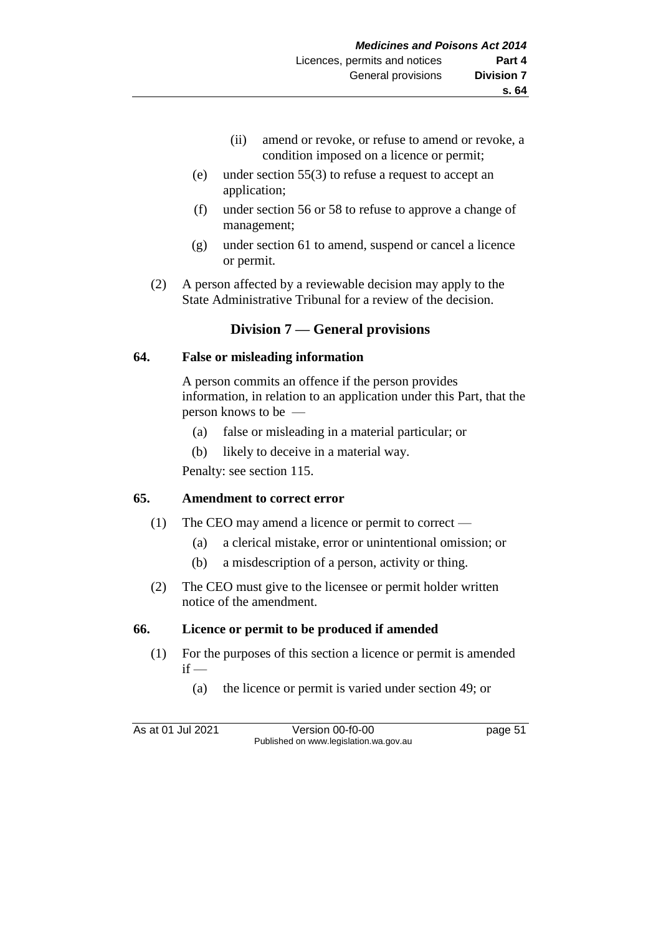- (ii) amend or revoke, or refuse to amend or revoke, a condition imposed on a licence or permit;
- (e) under section 55(3) to refuse a request to accept an application;
- (f) under section 56 or 58 to refuse to approve a change of management;
- (g) under section 61 to amend, suspend or cancel a licence or permit.
- (2) A person affected by a reviewable decision may apply to the State Administrative Tribunal for a review of the decision.

## **Division 7 — General provisions**

#### **64. False or misleading information**

A person commits an offence if the person provides information, in relation to an application under this Part, that the person knows to be —

- (a) false or misleading in a material particular; or
- (b) likely to deceive in a material way.

Penalty: see section 115.

## **65. Amendment to correct error**

- (1) The CEO may amend a licence or permit to correct
	- (a) a clerical mistake, error or unintentional omission; or
	- (b) a misdescription of a person, activity or thing.
- (2) The CEO must give to the licensee or permit holder written notice of the amendment.

## **66. Licence or permit to be produced if amended**

- (1) For the purposes of this section a licence or permit is amended  $if -$ 
	- (a) the licence or permit is varied under section 49; or

As at 01 Jul 2021 Version 00-f0-00 page 51 Published on www.legislation.wa.gov.au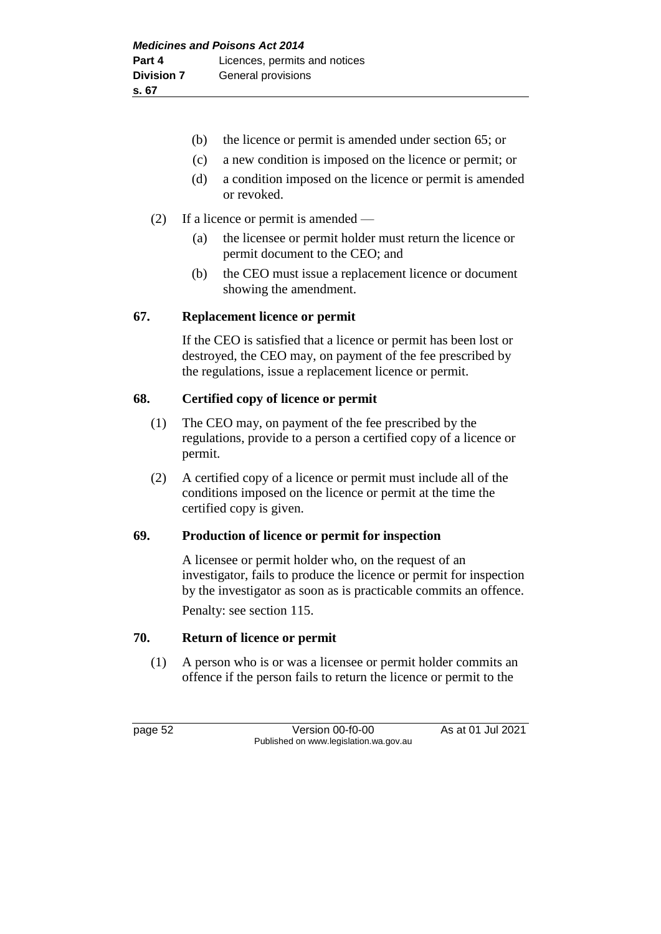- (b) the licence or permit is amended under section 65; or
- (c) a new condition is imposed on the licence or permit; or
- (d) a condition imposed on the licence or permit is amended or revoked.
- (2) If a licence or permit is amended
	- (a) the licensee or permit holder must return the licence or permit document to the CEO; and
	- (b) the CEO must issue a replacement licence or document showing the amendment.

#### **67. Replacement licence or permit**

If the CEO is satisfied that a licence or permit has been lost or destroyed, the CEO may, on payment of the fee prescribed by the regulations, issue a replacement licence or permit.

#### **68. Certified copy of licence or permit**

- (1) The CEO may, on payment of the fee prescribed by the regulations, provide to a person a certified copy of a licence or permit.
- (2) A certified copy of a licence or permit must include all of the conditions imposed on the licence or permit at the time the certified copy is given.

## **69. Production of licence or permit for inspection**

A licensee or permit holder who, on the request of an investigator, fails to produce the licence or permit for inspection by the investigator as soon as is practicable commits an offence.

Penalty: see section 115.

## **70. Return of licence or permit**

(1) A person who is or was a licensee or permit holder commits an offence if the person fails to return the licence or permit to the

page 52 Version 00-f0-00 As at 01 Jul 2021 Published on www.legislation.wa.gov.au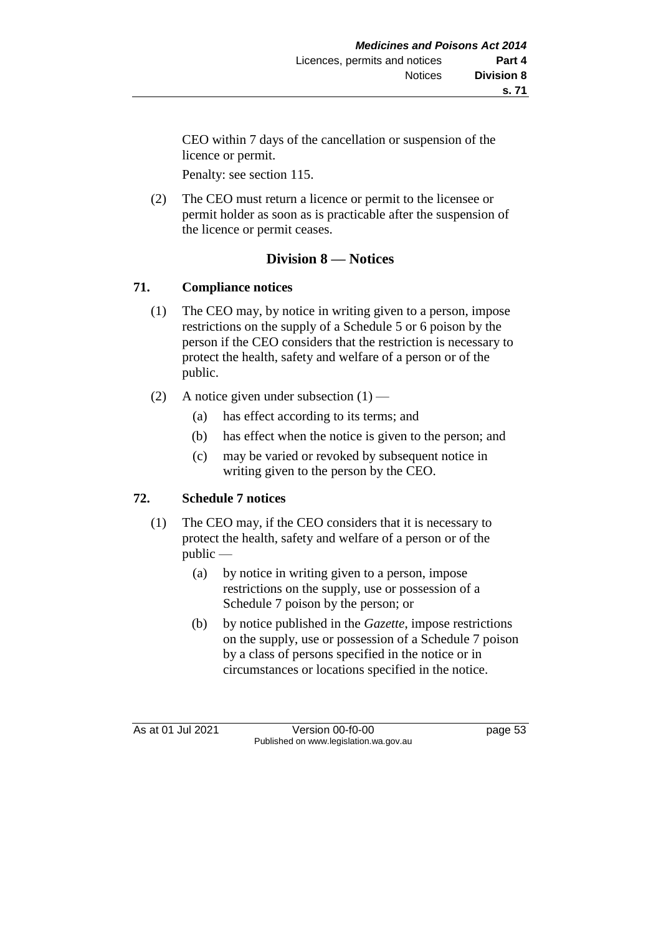CEO within 7 days of the cancellation or suspension of the licence or permit.

Penalty: see section 115.

(2) The CEO must return a licence or permit to the licensee or permit holder as soon as is practicable after the suspension of the licence or permit ceases.

## **Division 8 — Notices**

## **71. Compliance notices**

- (1) The CEO may, by notice in writing given to a person, impose restrictions on the supply of a Schedule 5 or 6 poison by the person if the CEO considers that the restriction is necessary to protect the health, safety and welfare of a person or of the public.
- (2) A notice given under subsection  $(1)$ 
	- (a) has effect according to its terms; and
	- (b) has effect when the notice is given to the person; and
	- (c) may be varied or revoked by subsequent notice in writing given to the person by the CEO.

# **72. Schedule 7 notices**

- (1) The CEO may, if the CEO considers that it is necessary to protect the health, safety and welfare of a person or of the public —
	- (a) by notice in writing given to a person, impose restrictions on the supply, use or possession of a Schedule 7 poison by the person; or
	- (b) by notice published in the *Gazette*, impose restrictions on the supply, use or possession of a Schedule 7 poison by a class of persons specified in the notice or in circumstances or locations specified in the notice.

As at 01 Jul 2021 Version 00-f0-00 page 53 Published on www.legislation.wa.gov.au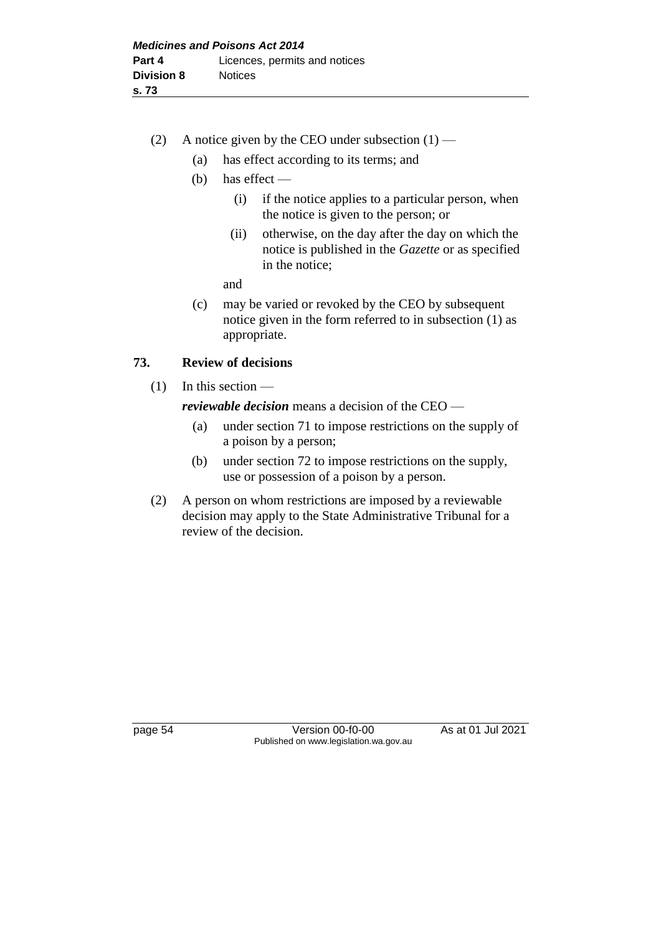- (2) A notice given by the CEO under subsection  $(1)$ 
	- (a) has effect according to its terms; and
	- (b) has effect
		- (i) if the notice applies to a particular person, when the notice is given to the person; or
		- (ii) otherwise, on the day after the day on which the notice is published in the *Gazette* or as specified in the notice;
		- and
	- (c) may be varied or revoked by the CEO by subsequent notice given in the form referred to in subsection (1) as appropriate.

## **73. Review of decisions**

 $(1)$  In this section —

*reviewable decision* means a decision of the CEO —

- (a) under section 71 to impose restrictions on the supply of a poison by a person;
- (b) under section 72 to impose restrictions on the supply, use or possession of a poison by a person.
- (2) A person on whom restrictions are imposed by a reviewable decision may apply to the State Administrative Tribunal for a review of the decision.

page 54 Version 00-f0-00 As at 01 Jul 2021 Published on www.legislation.wa.gov.au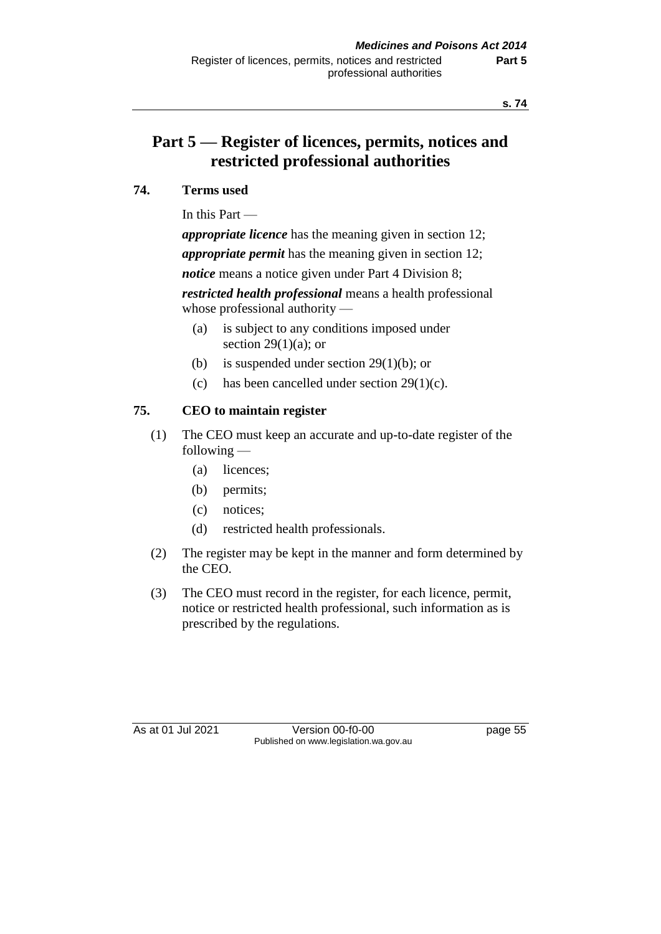# **Part 5 — Register of licences, permits, notices and restricted professional authorities**

## **74. Terms used**

In this Part —

*appropriate licence* has the meaning given in section 12;

*appropriate permit* has the meaning given in section 12;

*notice* means a notice given under Part 4 Division 8;

*restricted health professional* means a health professional whose professional authority —

- (a) is subject to any conditions imposed under section 29 $(1)(a)$ ; or
- (b) is suspended under section  $29(1)(b)$ ; or
- (c) has been cancelled under section  $29(1)(c)$ .

## **75. CEO to maintain register**

- (1) The CEO must keep an accurate and up-to-date register of the following —
	- (a) licences;
	- (b) permits;
	- (c) notices;
	- (d) restricted health professionals.
- (2) The register may be kept in the manner and form determined by the CEO.
- (3) The CEO must record in the register, for each licence, permit, notice or restricted health professional, such information as is prescribed by the regulations.

As at 01 Jul 2021 Version 00-f0-00 page 55 Published on www.legislation.wa.gov.au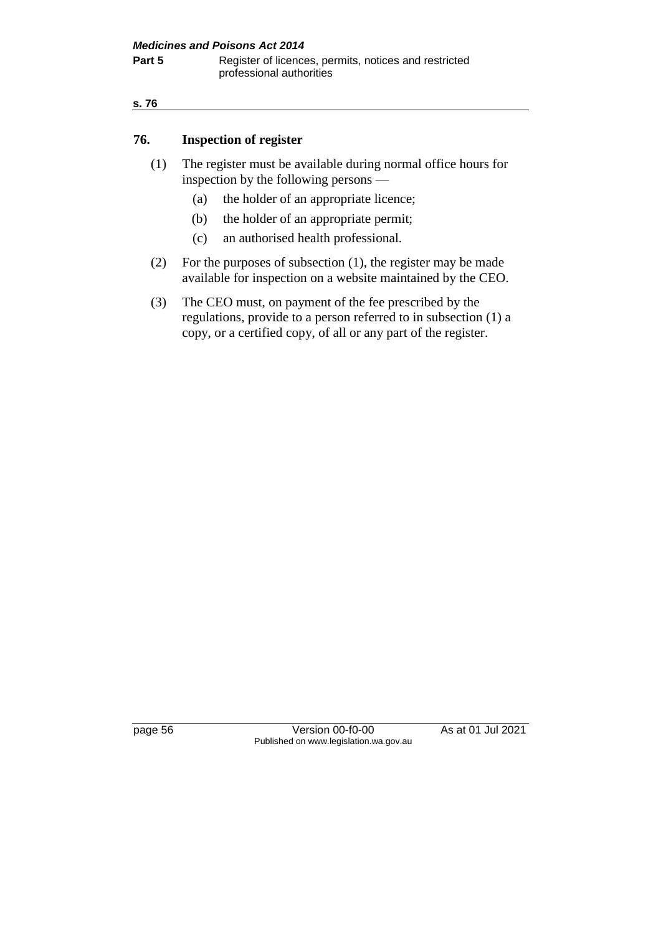#### **s. 76**

#### **76. Inspection of register**

- (1) The register must be available during normal office hours for inspection by the following persons —
	- (a) the holder of an appropriate licence;
	- (b) the holder of an appropriate permit;
	- (c) an authorised health professional.
- (2) For the purposes of subsection (1), the register may be made available for inspection on a website maintained by the CEO.
- (3) The CEO must, on payment of the fee prescribed by the regulations, provide to a person referred to in subsection (1) a copy, or a certified copy, of all or any part of the register.

page 56 Version 00-f0-00 As at 01 Jul 2021 Published on www.legislation.wa.gov.au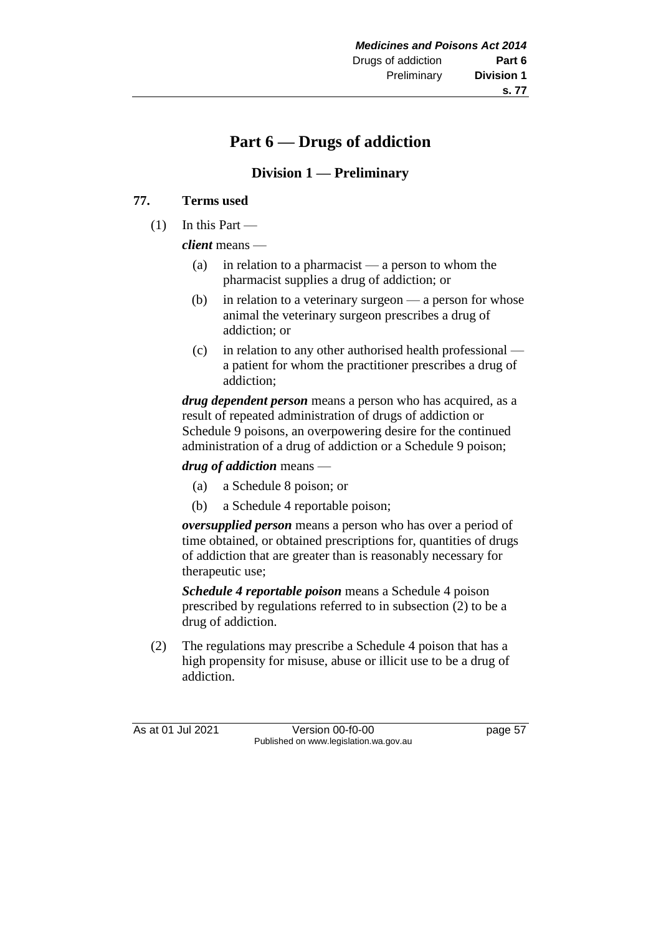# **s. 77**

# **Part 6 — Drugs of addiction**

## **Division 1 — Preliminary**

## **77. Terms used**

 $(1)$  In this Part —

*client* means —

- (a) in relation to a pharmacist a person to whom the pharmacist supplies a drug of addiction; or
- (b) in relation to a veterinary surgeon a person for whose animal the veterinary surgeon prescribes a drug of addiction; or
- (c) in relation to any other authorised health professional a patient for whom the practitioner prescribes a drug of addiction;

*drug dependent person* means a person who has acquired, as a result of repeated administration of drugs of addiction or Schedule 9 poisons, an overpowering desire for the continued administration of a drug of addiction or a Schedule 9 poison;

*drug of addiction* means —

- (a) a Schedule 8 poison; or
- (b) a Schedule 4 reportable poison;

*oversupplied person* means a person who has over a period of time obtained, or obtained prescriptions for, quantities of drugs of addiction that are greater than is reasonably necessary for therapeutic use;

*Schedule 4 reportable poison* means a Schedule 4 poison prescribed by regulations referred to in subsection (2) to be a drug of addiction.

(2) The regulations may prescribe a Schedule 4 poison that has a high propensity for misuse, abuse or illicit use to be a drug of addiction.

As at 01 Jul 2021 Version 00-f0-00 page 57 Published on www.legislation.wa.gov.au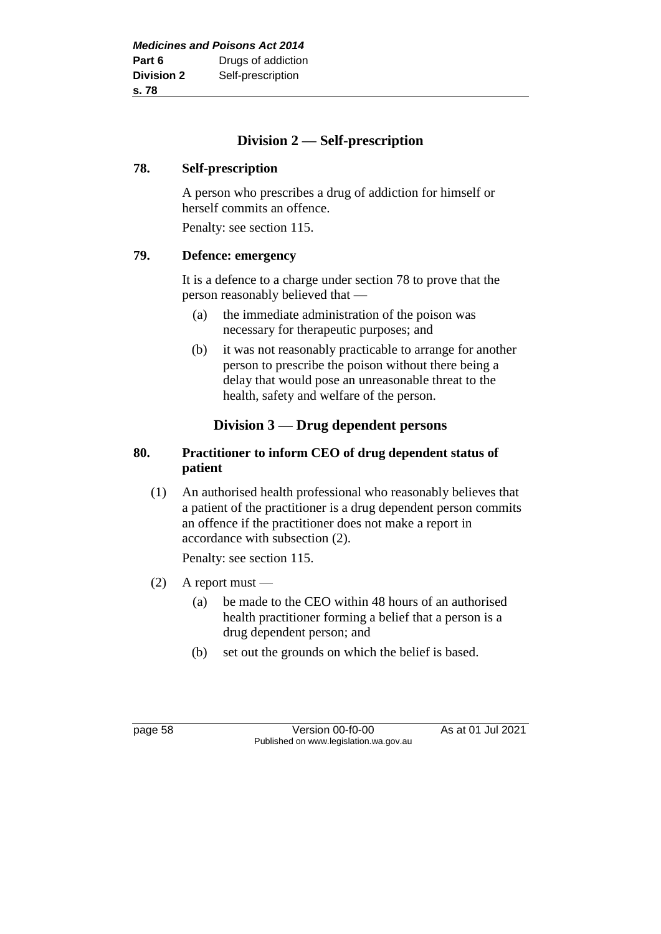## **Division 2 — Self-prescription**

#### **78. Self-prescription**

A person who prescribes a drug of addiction for himself or herself commits an offence.

Penalty: see section 115.

## **79. Defence: emergency**

It is a defence to a charge under section 78 to prove that the person reasonably believed that —

- (a) the immediate administration of the poison was necessary for therapeutic purposes; and
- (b) it was not reasonably practicable to arrange for another person to prescribe the poison without there being a delay that would pose an unreasonable threat to the health, safety and welfare of the person.

## **Division 3 — Drug dependent persons**

#### **80. Practitioner to inform CEO of drug dependent status of patient**

(1) An authorised health professional who reasonably believes that a patient of the practitioner is a drug dependent person commits an offence if the practitioner does not make a report in accordance with subsection (2).

Penalty: see section 115.

- $(2)$  A report must
	- (a) be made to the CEO within 48 hours of an authorised health practitioner forming a belief that a person is a drug dependent person; and
	- (b) set out the grounds on which the belief is based.

page 58 Version 00-f0-00 As at 01 Jul 2021 Published on www.legislation.wa.gov.au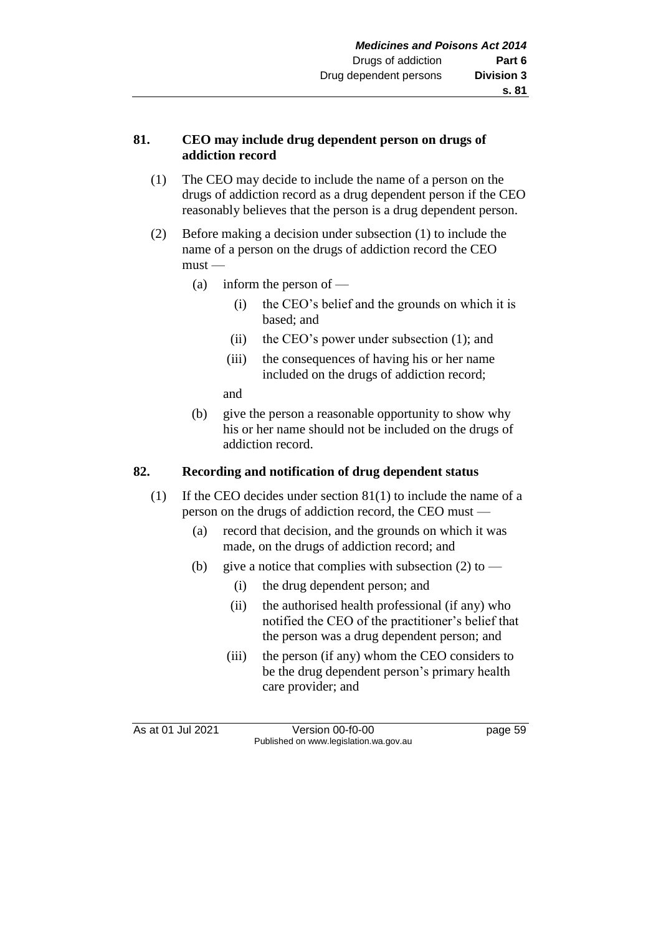## **81. CEO may include drug dependent person on drugs of addiction record**

- (1) The CEO may decide to include the name of a person on the drugs of addiction record as a drug dependent person if the CEO reasonably believes that the person is a drug dependent person.
- (2) Before making a decision under subsection (1) to include the name of a person on the drugs of addiction record the CEO  $must -$ 
	- (a) inform the person of
		- (i) the CEO's belief and the grounds on which it is based; and
		- (ii) the CEO's power under subsection (1); and
		- (iii) the consequences of having his or her name included on the drugs of addiction record;

and

(b) give the person a reasonable opportunity to show why his or her name should not be included on the drugs of addiction record.

# **82. Recording and notification of drug dependent status**

- (1) If the CEO decides under section 81(1) to include the name of a person on the drugs of addiction record, the CEO must —
	- (a) record that decision, and the grounds on which it was made, on the drugs of addiction record; and
	- (b) give a notice that complies with subsection  $(2)$  to
		- (i) the drug dependent person; and
		- (ii) the authorised health professional (if any) who notified the CEO of the practitioner's belief that the person was a drug dependent person; and
		- (iii) the person (if any) whom the CEO considers to be the drug dependent person's primary health care provider; and

As at 01 Jul 2021 Version 00-f0-00 page 59 Published on www.legislation.wa.gov.au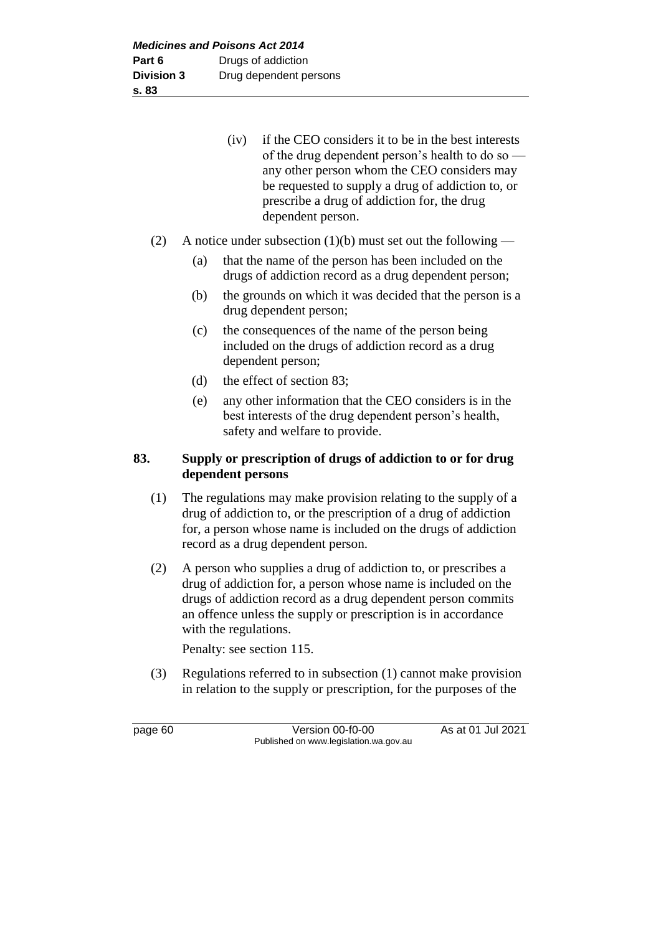| (iv) | if the CEO considers it to be in the best interests |
|------|-----------------------------------------------------|
|      | of the drug dependent person's health to do so —    |
|      | any other person whom the CEO considers may         |
|      | be requested to supply a drug of addiction to, or   |
|      | prescribe a drug of addiction for, the drug         |
|      | dependent person.                                   |

- (2) A notice under subsection (1)(b) must set out the following
	- (a) that the name of the person has been included on the drugs of addiction record as a drug dependent person;
	- (b) the grounds on which it was decided that the person is a drug dependent person;
	- (c) the consequences of the name of the person being included on the drugs of addiction record as a drug dependent person;
	- (d) the effect of section 83;
	- (e) any other information that the CEO considers is in the best interests of the drug dependent person's health, safety and welfare to provide.

# **83. Supply or prescription of drugs of addiction to or for drug dependent persons**

- (1) The regulations may make provision relating to the supply of a drug of addiction to, or the prescription of a drug of addiction for, a person whose name is included on the drugs of addiction record as a drug dependent person.
- (2) A person who supplies a drug of addiction to, or prescribes a drug of addiction for, a person whose name is included on the drugs of addiction record as a drug dependent person commits an offence unless the supply or prescription is in accordance with the regulations.

Penalty: see section 115.

(3) Regulations referred to in subsection (1) cannot make provision in relation to the supply or prescription, for the purposes of the

page 60 Version 00-f0-00 As at 01 Jul 2021 Published on www.legislation.wa.gov.au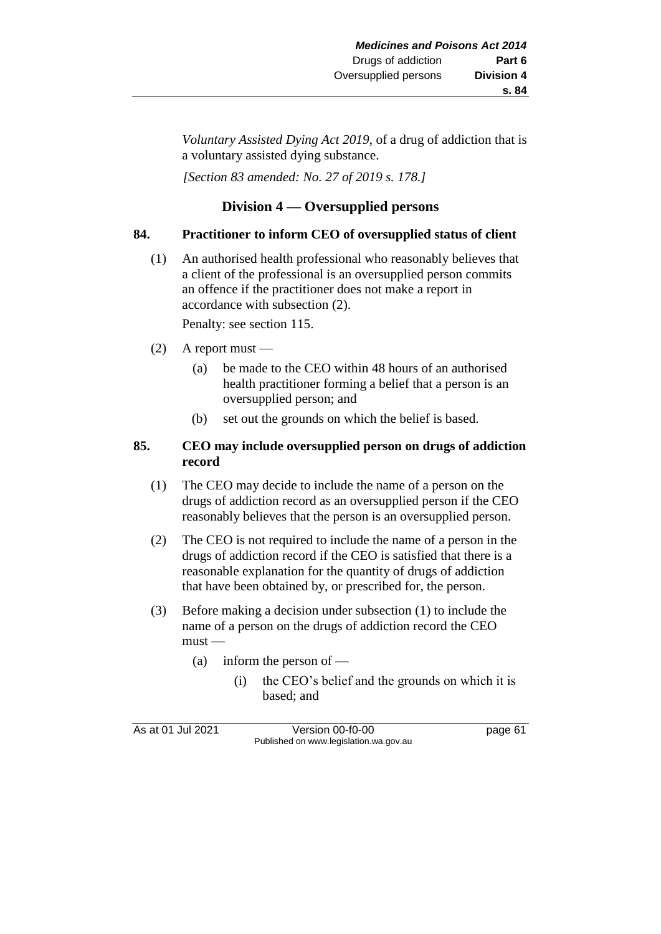*Voluntary Assisted Dying Act 2019*, of a drug of addiction that is a voluntary assisted dying substance.

*[Section 83 amended: No. 27 of 2019 s. 178.]*

# **Division 4 — Oversupplied persons**

# **84. Practitioner to inform CEO of oversupplied status of client**

(1) An authorised health professional who reasonably believes that a client of the professional is an oversupplied person commits an offence if the practitioner does not make a report in accordance with subsection (2).

Penalty: see section 115.

- $(2)$  A report must
	- (a) be made to the CEO within 48 hours of an authorised health practitioner forming a belief that a person is an oversupplied person; and
	- (b) set out the grounds on which the belief is based.

# **85. CEO may include oversupplied person on drugs of addiction record**

- (1) The CEO may decide to include the name of a person on the drugs of addiction record as an oversupplied person if the CEO reasonably believes that the person is an oversupplied person.
- (2) The CEO is not required to include the name of a person in the drugs of addiction record if the CEO is satisfied that there is a reasonable explanation for the quantity of drugs of addiction that have been obtained by, or prescribed for, the person.
- (3) Before making a decision under subsection (1) to include the name of a person on the drugs of addiction record the CEO  $must$ —
	- (a) inform the person of
		- (i) the CEO's belief and the grounds on which it is based; and

As at 01 Jul 2021 Version 00-f0-00 page 61 Published on www.legislation.wa.gov.au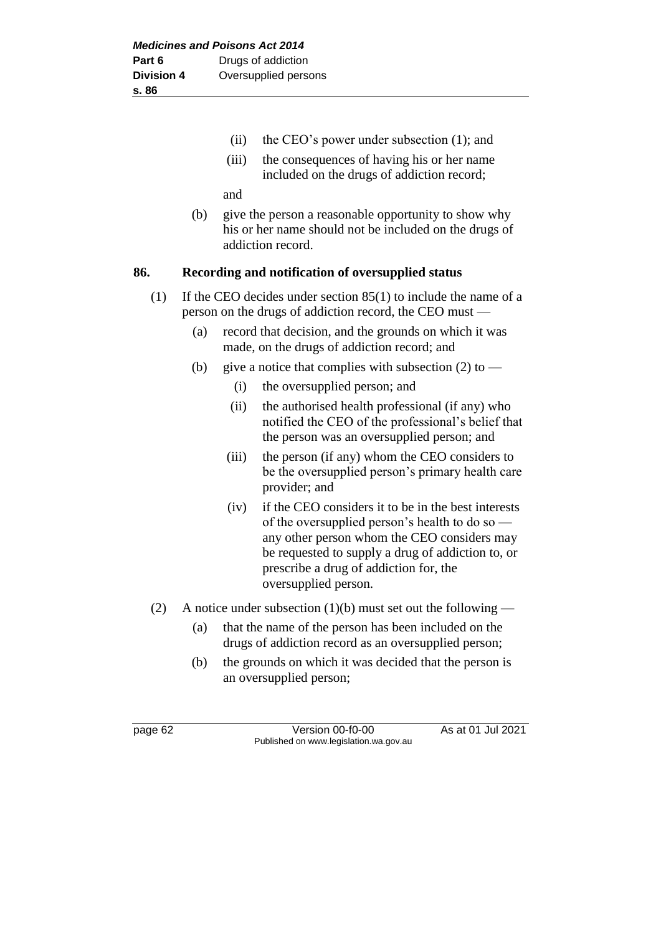- (ii) the CEO's power under subsection (1); and
- (iii) the consequences of having his or her name included on the drugs of addiction record;

and

(b) give the person a reasonable opportunity to show why his or her name should not be included on the drugs of addiction record.

#### **86. Recording and notification of oversupplied status**

- (1) If the CEO decides under section 85(1) to include the name of a person on the drugs of addiction record, the CEO must —
	- (a) record that decision, and the grounds on which it was made, on the drugs of addiction record; and
	- (b) give a notice that complies with subsection (2) to
		- (i) the oversupplied person; and
		- (ii) the authorised health professional (if any) who notified the CEO of the professional's belief that the person was an oversupplied person; and
		- (iii) the person (if any) whom the CEO considers to be the oversupplied person's primary health care provider; and
		- (iv) if the CEO considers it to be in the best interests of the oversupplied person's health to do so any other person whom the CEO considers may be requested to supply a drug of addiction to, or prescribe a drug of addiction for, the oversupplied person.
- (2) A notice under subsection (1)(b) must set out the following
	- (a) that the name of the person has been included on the drugs of addiction record as an oversupplied person;
	- (b) the grounds on which it was decided that the person is an oversupplied person;

page 62 Version 00-f0-00 As at 01 Jul 2021 Published on www.legislation.wa.gov.au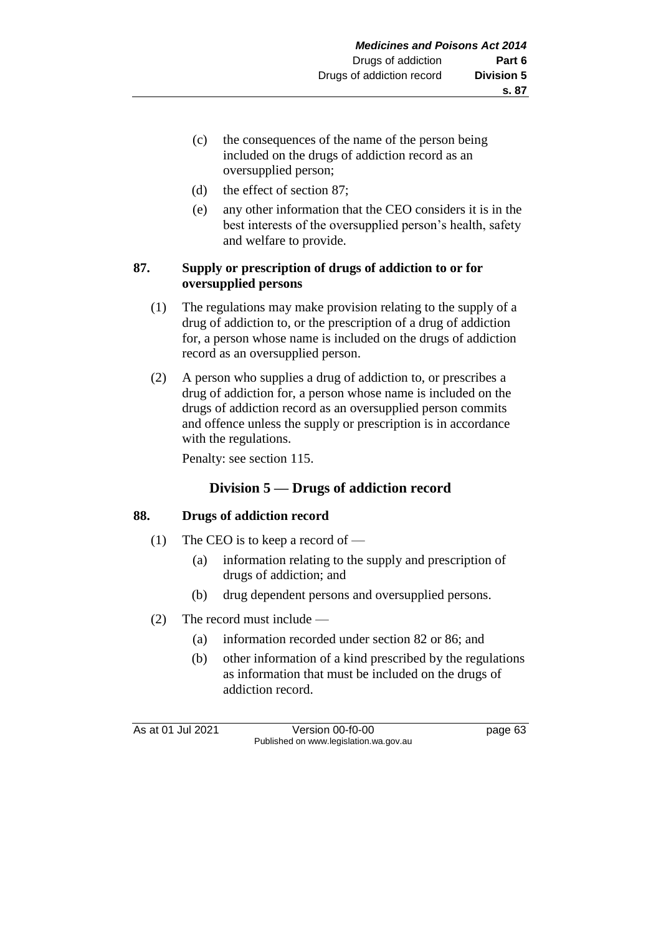- (c) the consequences of the name of the person being included on the drugs of addiction record as an oversupplied person;
- (d) the effect of section 87;
- (e) any other information that the CEO considers it is in the best interests of the oversupplied person's health, safety and welfare to provide.

# **87. Supply or prescription of drugs of addiction to or for oversupplied persons**

- (1) The regulations may make provision relating to the supply of a drug of addiction to, or the prescription of a drug of addiction for, a person whose name is included on the drugs of addiction record as an oversupplied person.
- (2) A person who supplies a drug of addiction to, or prescribes a drug of addiction for, a person whose name is included on the drugs of addiction record as an oversupplied person commits and offence unless the supply or prescription is in accordance with the regulations.

Penalty: see section 115.

# **Division 5 — Drugs of addiction record**

# **88. Drugs of addiction record**

- (1) The CEO is to keep a record of
	- (a) information relating to the supply and prescription of drugs of addiction; and
	- (b) drug dependent persons and oversupplied persons.
- (2) The record must include
	- (a) information recorded under section 82 or 86; and
	- (b) other information of a kind prescribed by the regulations as information that must be included on the drugs of addiction record.

As at 01 Jul 2021 Version 00-f0-00 page 63 Published on www.legislation.wa.gov.au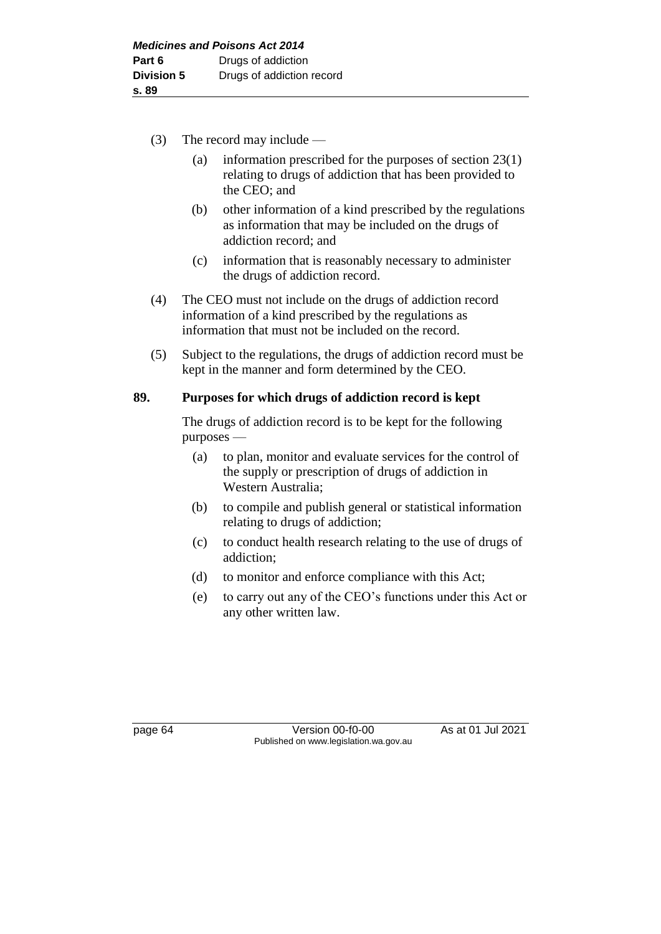- (3) The record may include
	- (a) information prescribed for the purposes of section 23(1) relating to drugs of addiction that has been provided to the CEO; and
	- (b) other information of a kind prescribed by the regulations as information that may be included on the drugs of addiction record; and
	- (c) information that is reasonably necessary to administer the drugs of addiction record.
- (4) The CEO must not include on the drugs of addiction record information of a kind prescribed by the regulations as information that must not be included on the record.
- (5) Subject to the regulations, the drugs of addiction record must be kept in the manner and form determined by the CEO.

### **89. Purposes for which drugs of addiction record is kept**

The drugs of addiction record is to be kept for the following purposes —

- (a) to plan, monitor and evaluate services for the control of the supply or prescription of drugs of addiction in Western Australia;
- (b) to compile and publish general or statistical information relating to drugs of addiction;
- (c) to conduct health research relating to the use of drugs of addiction;
- (d) to monitor and enforce compliance with this Act;
- (e) to carry out any of the CEO's functions under this Act or any other written law.

page 64 Version 00-f0-00 As at 01 Jul 2021 Published on www.legislation.wa.gov.au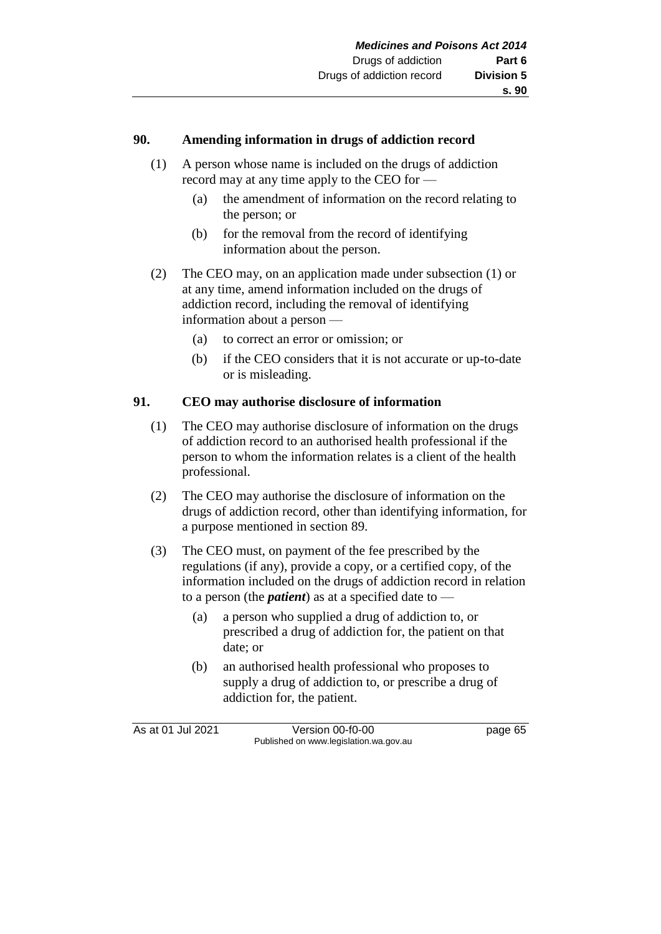#### **90. Amending information in drugs of addiction record**

- (1) A person whose name is included on the drugs of addiction record may at any time apply to the CEO for —
	- (a) the amendment of information on the record relating to the person; or
	- (b) for the removal from the record of identifying information about the person.
- (2) The CEO may, on an application made under subsection (1) or at any time, amend information included on the drugs of addiction record, including the removal of identifying information about a person —
	- (a) to correct an error or omission; or
	- (b) if the CEO considers that it is not accurate or up-to-date or is misleading.

#### **91. CEO may authorise disclosure of information**

- (1) The CEO may authorise disclosure of information on the drugs of addiction record to an authorised health professional if the person to whom the information relates is a client of the health professional.
- (2) The CEO may authorise the disclosure of information on the drugs of addiction record, other than identifying information, for a purpose mentioned in section 89.
- (3) The CEO must, on payment of the fee prescribed by the regulations (if any), provide a copy, or a certified copy, of the information included on the drugs of addiction record in relation to a person (the *patient*) as at a specified date to —
	- (a) a person who supplied a drug of addiction to, or prescribed a drug of addiction for, the patient on that date; or
	- (b) an authorised health professional who proposes to supply a drug of addiction to, or prescribe a drug of addiction for, the patient.

As at 01 Jul 2021 Version 00-f0-00 page 65 Published on www.legislation.wa.gov.au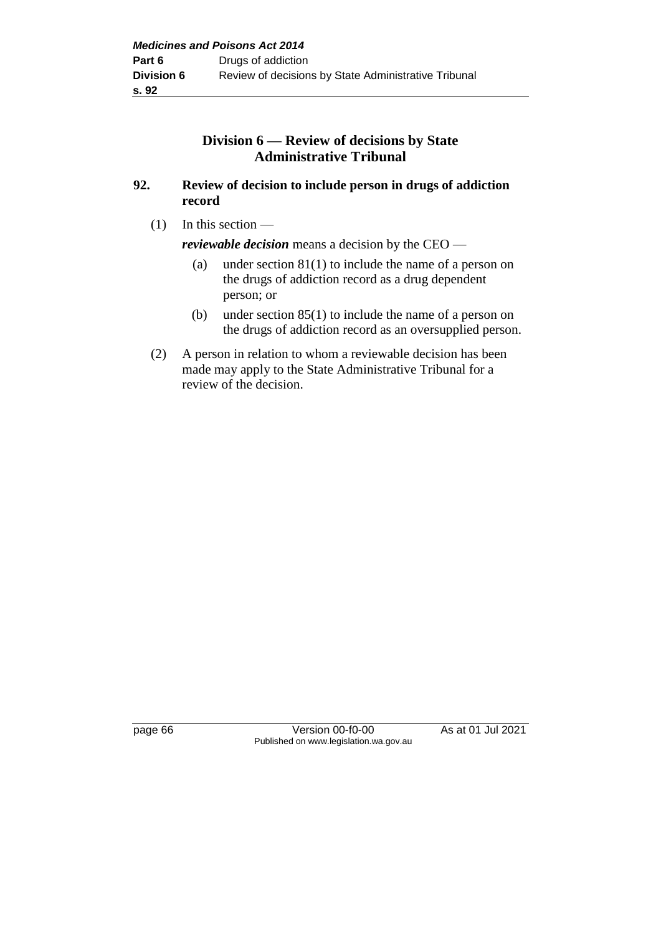# **Division 6 — Review of decisions by State Administrative Tribunal**

## **92. Review of decision to include person in drugs of addiction record**

(1) In this section —

*reviewable decision* means a decision by the CEO —

- (a) under section 81(1) to include the name of a person on the drugs of addiction record as a drug dependent person; or
- (b) under section 85(1) to include the name of a person on the drugs of addiction record as an oversupplied person.
- (2) A person in relation to whom a reviewable decision has been made may apply to the State Administrative Tribunal for a review of the decision.

page 66 Version 00-f0-00 As at 01 Jul 2021 Published on www.legislation.wa.gov.au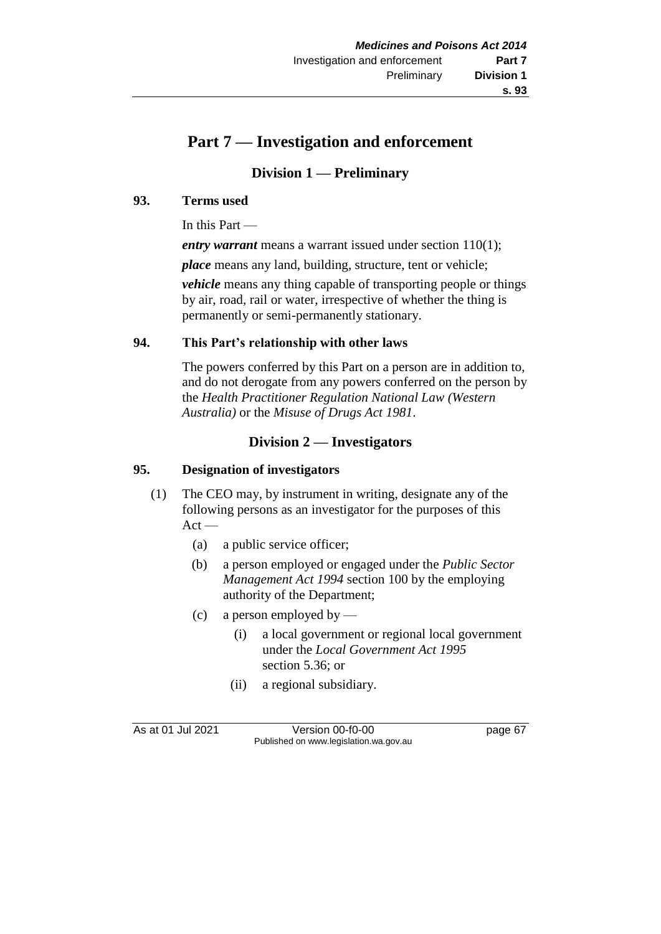# **Part 7 — Investigation and enforcement**

# **Division 1 — Preliminary**

## **93. Terms used**

In this Part —

*entry warrant* means a warrant issued under section 110(1);

*place* means any land, building, structure, tent or vehicle;

*vehicle* means any thing capable of transporting people or things by air, road, rail or water, irrespective of whether the thing is permanently or semi-permanently stationary.

## **94. This Part's relationship with other laws**

The powers conferred by this Part on a person are in addition to, and do not derogate from any powers conferred on the person by the *Health Practitioner Regulation National Law (Western Australia)* or the *Misuse of Drugs Act 1981*.

# **Division 2 — Investigators**

# **95. Designation of investigators**

- (1) The CEO may, by instrument in writing, designate any of the following persons as an investigator for the purposes of this  $Act -$ 
	- (a) a public service officer;
	- (b) a person employed or engaged under the *Public Sector Management Act 1994* section 100 by the employing authority of the Department;
	- (c) a person employed by
		- (i) a local government or regional local government under the *Local Government Act 1995* section 5.36; or
		- (ii) a regional subsidiary.

As at 01 Jul 2021 Version 00-f0-00 page 67 Published on www.legislation.wa.gov.au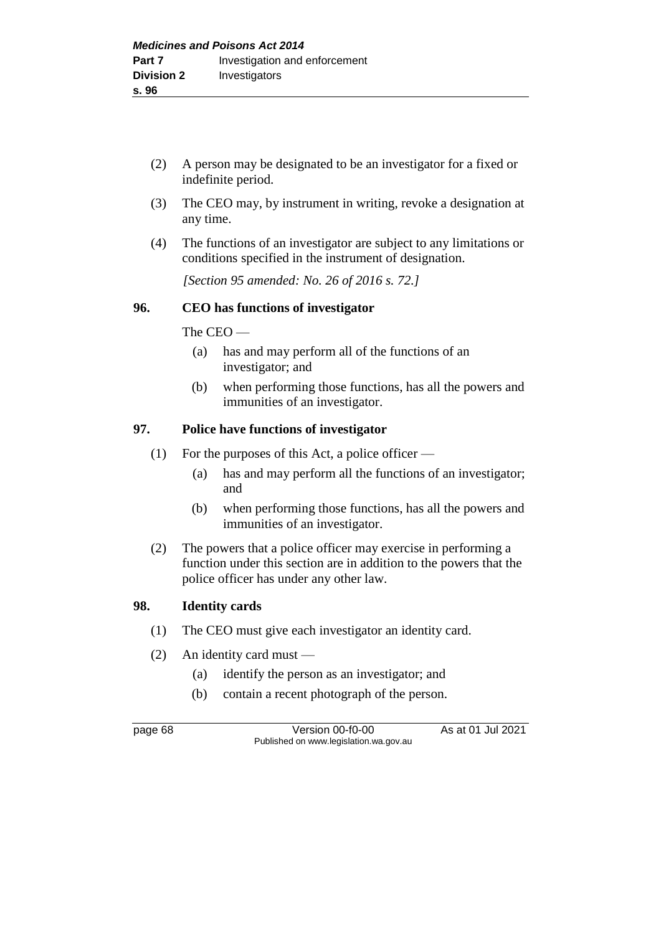- (2) A person may be designated to be an investigator for a fixed or indefinite period.
- (3) The CEO may, by instrument in writing, revoke a designation at any time.
- (4) The functions of an investigator are subject to any limitations or conditions specified in the instrument of designation.

*[Section 95 amended: No. 26 of 2016 s. 72.]* 

# **96. CEO has functions of investigator**

The CEO —

- (a) has and may perform all of the functions of an investigator; and
- (b) when performing those functions, has all the powers and immunities of an investigator.

### **97. Police have functions of investigator**

- (1) For the purposes of this Act, a police officer
	- (a) has and may perform all the functions of an investigator; and
	- (b) when performing those functions, has all the powers and immunities of an investigator.
- (2) The powers that a police officer may exercise in performing a function under this section are in addition to the powers that the police officer has under any other law.

#### **98. Identity cards**

- (1) The CEO must give each investigator an identity card.
- (2) An identity card must
	- (a) identify the person as an investigator; and
	- (b) contain a recent photograph of the person.

page 68 Version 00-f0-00 As at 01 Jul 2021 Published on www.legislation.wa.gov.au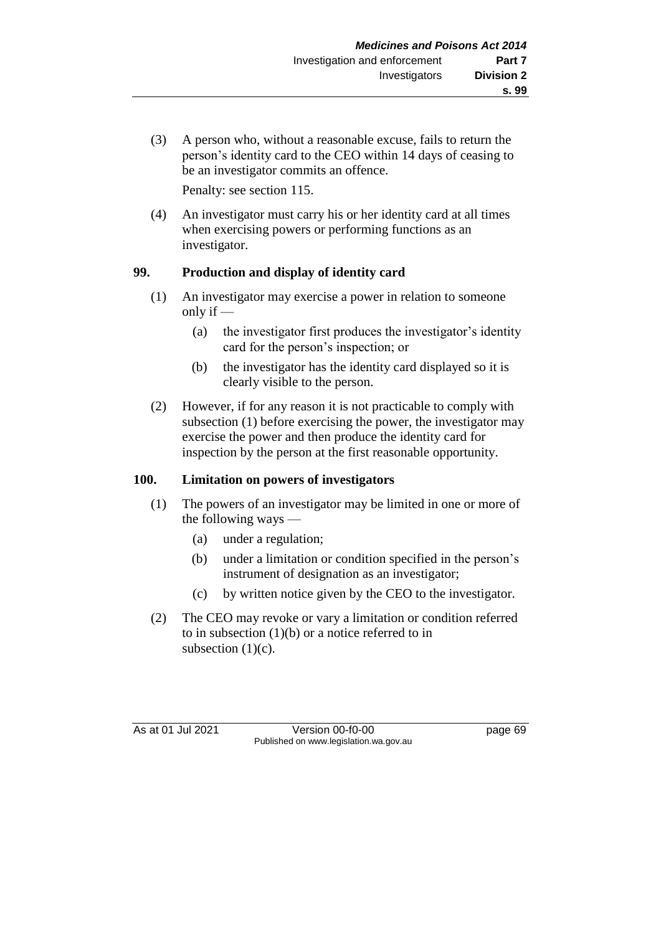(3) A person who, without a reasonable excuse, fails to return the person's identity card to the CEO within 14 days of ceasing to be an investigator commits an offence.

Penalty: see section 115.

(4) An investigator must carry his or her identity card at all times when exercising powers or performing functions as an investigator.

# **99. Production and display of identity card**

- (1) An investigator may exercise a power in relation to someone only if —
	- (a) the investigator first produces the investigator's identity card for the person's inspection; or
	- (b) the investigator has the identity card displayed so it is clearly visible to the person.
- (2) However, if for any reason it is not practicable to comply with subsection (1) before exercising the power, the investigator may exercise the power and then produce the identity card for inspection by the person at the first reasonable opportunity.

# **100. Limitation on powers of investigators**

- (1) The powers of an investigator may be limited in one or more of the following ways —
	- (a) under a regulation;
	- (b) under a limitation or condition specified in the person's instrument of designation as an investigator;
	- (c) by written notice given by the CEO to the investigator.
- (2) The CEO may revoke or vary a limitation or condition referred to in subsection  $(1)(b)$  or a notice referred to in subsection  $(1)(c)$ .

As at 01 Jul 2021 Version 00-f0-00 page 69 Published on www.legislation.wa.gov.au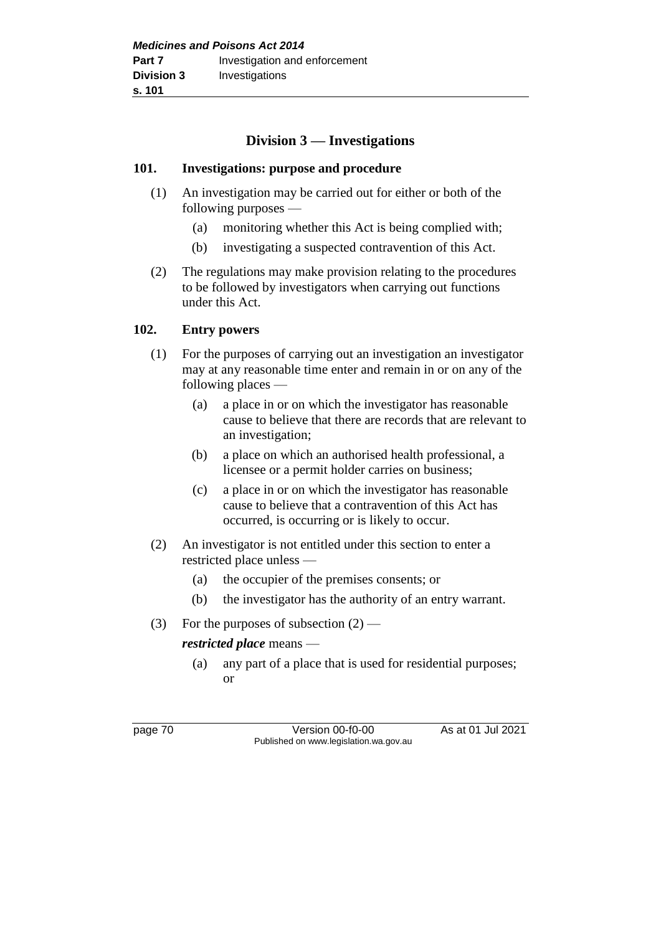# **Division 3 — Investigations**

### **101. Investigations: purpose and procedure**

- (1) An investigation may be carried out for either or both of the following purposes —
	- (a) monitoring whether this Act is being complied with;
	- (b) investigating a suspected contravention of this Act.
- (2) The regulations may make provision relating to the procedures to be followed by investigators when carrying out functions under this Act.

# **102. Entry powers**

- (1) For the purposes of carrying out an investigation an investigator may at any reasonable time enter and remain in or on any of the following places —
	- (a) a place in or on which the investigator has reasonable cause to believe that there are records that are relevant to an investigation;
	- (b) a place on which an authorised health professional, a licensee or a permit holder carries on business;
	- (c) a place in or on which the investigator has reasonable cause to believe that a contravention of this Act has occurred, is occurring or is likely to occur.
- (2) An investigator is not entitled under this section to enter a restricted place unless —
	- (a) the occupier of the premises consents; or
	- (b) the investigator has the authority of an entry warrant.
- (3) For the purposes of subsection  $(2)$  —

# *restricted place* means —

(a) any part of a place that is used for residential purposes; or

page 70 Version 00-f0-00 As at 01 Jul 2021 Published on www.legislation.wa.gov.au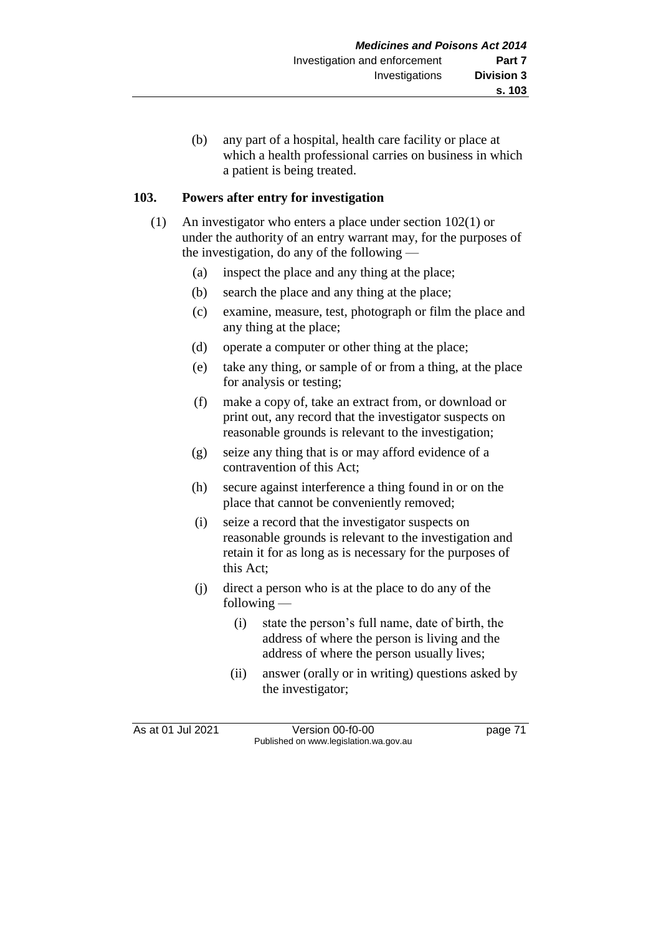(b) any part of a hospital, health care facility or place at which a health professional carries on business in which a patient is being treated.

## **103. Powers after entry for investigation**

- (1) An investigator who enters a place under section 102(1) or under the authority of an entry warrant may, for the purposes of the investigation, do any of the following —
	- (a) inspect the place and any thing at the place;
	- (b) search the place and any thing at the place;
	- (c) examine, measure, test, photograph or film the place and any thing at the place;
	- (d) operate a computer or other thing at the place;
	- (e) take any thing, or sample of or from a thing, at the place for analysis or testing;
	- (f) make a copy of, take an extract from, or download or print out, any record that the investigator suspects on reasonable grounds is relevant to the investigation;
	- (g) seize any thing that is or may afford evidence of a contravention of this Act;
	- (h) secure against interference a thing found in or on the place that cannot be conveniently removed;
	- (i) seize a record that the investigator suspects on reasonable grounds is relevant to the investigation and retain it for as long as is necessary for the purposes of this Act;
	- (j) direct a person who is at the place to do any of the following —
		- (i) state the person's full name, date of birth, the address of where the person is living and the address of where the person usually lives;
		- (ii) answer (orally or in writing) questions asked by the investigator;

As at 01 Jul 2021 Version 00-f0-00 page 71 Published on www.legislation.wa.gov.au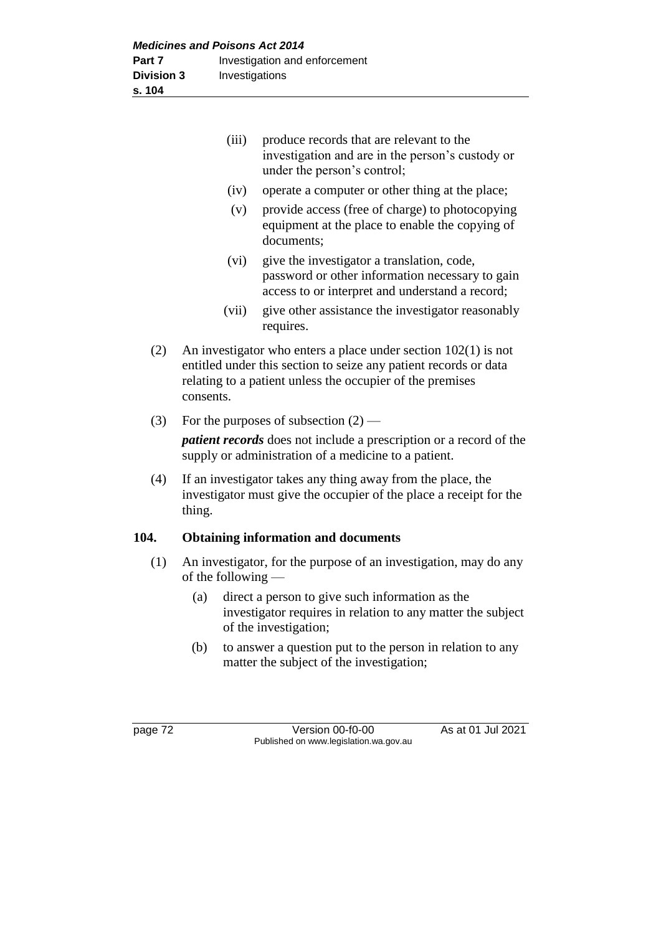|      | (iii)                                                                                                                                                                                                          | produce records that are relevant to the<br>investigation and are in the person's custody or<br>under the person's control;                      |
|------|----------------------------------------------------------------------------------------------------------------------------------------------------------------------------------------------------------------|--------------------------------------------------------------------------------------------------------------------------------------------------|
|      | (iv)                                                                                                                                                                                                           | operate a computer or other thing at the place;                                                                                                  |
|      | (v)                                                                                                                                                                                                            | provide access (free of charge) to photocopying<br>equipment at the place to enable the copying of<br>documents;                                 |
|      | (vi)                                                                                                                                                                                                           | give the investigator a translation, code,<br>password or other information necessary to gain<br>access to or interpret and understand a record; |
|      | (vii)                                                                                                                                                                                                          | give other assistance the investigator reasonably<br>requires.                                                                                   |
| (2)  | An investigator who enters a place under section $102(1)$ is not<br>entitled under this section to seize any patient records or data<br>relating to a patient unless the occupier of the premises<br>consents. |                                                                                                                                                  |
| (3)  | For the purposes of subsection $(2)$ —                                                                                                                                                                         |                                                                                                                                                  |
|      |                                                                                                                                                                                                                | <i>patient records</i> does not include a prescription or a record of the<br>supply or administration of a medicine to a patient.                |
| (4)  | If an investigator takes any thing away from the place, the<br>investigator must give the occupier of the place a receipt for the<br>thing.                                                                    |                                                                                                                                                  |
| 104. |                                                                                                                                                                                                                | <b>Obtaining information and documents</b>                                                                                                       |
| (1)  | An investigator, for the purpose of an investigation, may do any<br>of the following $-$                                                                                                                       |                                                                                                                                                  |
|      | (a)                                                                                                                                                                                                            | direct a person to give such information as the                                                                                                  |

- investigator requires in relation to any matter the subject of the investigation;
- (b) to answer a question put to the person in relation to any matter the subject of the investigation;

| и<br>ε |  |
|--------|--|
|--------|--|

page 72 Version 00-f0-00 As at 01 Jul 2021 Published on www.legislation.wa.gov.au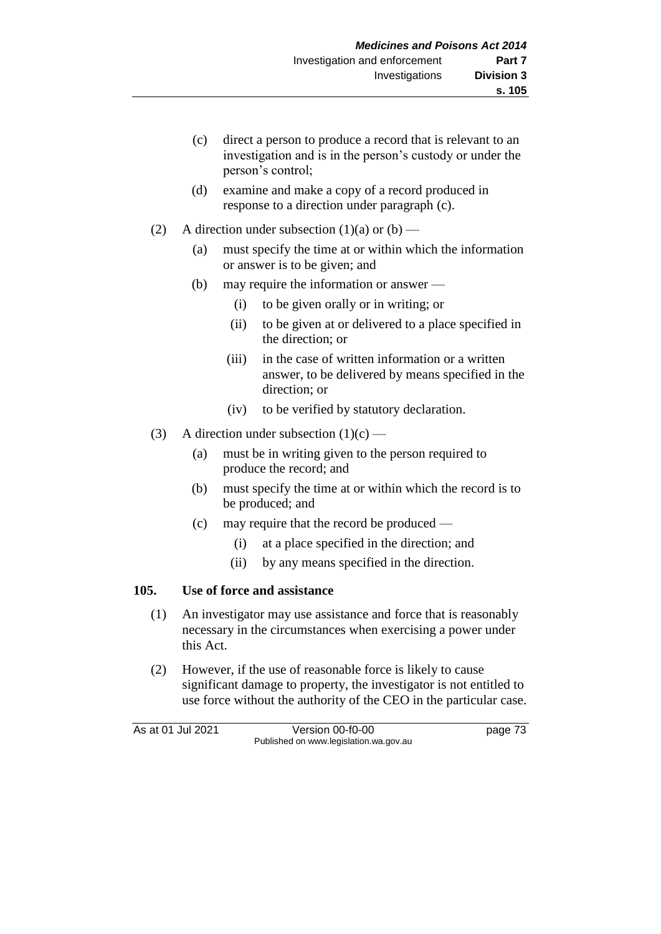- (c) direct a person to produce a record that is relevant to an investigation and is in the person's custody or under the person's control;
- (d) examine and make a copy of a record produced in response to a direction under paragraph (c).
- (2) A direction under subsection  $(1)(a)$  or  $(b)$ 
	- (a) must specify the time at or within which the information or answer is to be given; and
	- (b) may require the information or answer
		- (i) to be given orally or in writing; or
		- (ii) to be given at or delivered to a place specified in the direction; or
		- (iii) in the case of written information or a written answer, to be delivered by means specified in the direction; or
		- (iv) to be verified by statutory declaration.
- (3) A direction under subsection  $(1)(c)$ 
	- (a) must be in writing given to the person required to produce the record; and
	- (b) must specify the time at or within which the record is to be produced; and
	- (c) may require that the record be produced
		- (i) at a place specified in the direction; and
		- (ii) by any means specified in the direction.

#### **105. Use of force and assistance**

- (1) An investigator may use assistance and force that is reasonably necessary in the circumstances when exercising a power under this Act.
- (2) However, if the use of reasonable force is likely to cause significant damage to property, the investigator is not entitled to use force without the authority of the CEO in the particular case.

As at 01 Jul 2021 Version 00-f0-00 page 73 Published on www.legislation.wa.gov.au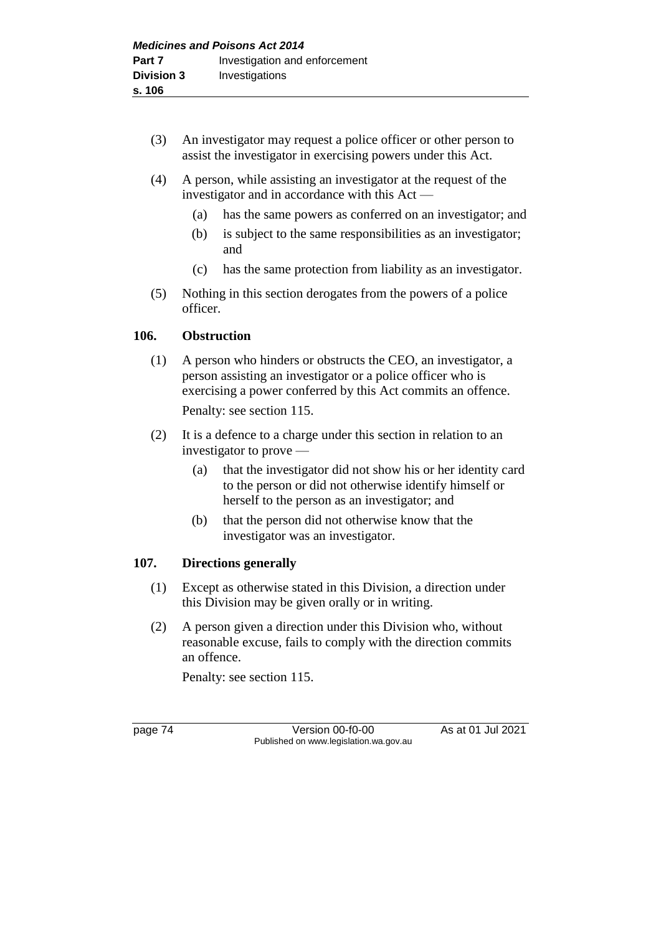- (3) An investigator may request a police officer or other person to assist the investigator in exercising powers under this Act.
- (4) A person, while assisting an investigator at the request of the investigator and in accordance with this Act —
	- (a) has the same powers as conferred on an investigator; and
	- (b) is subject to the same responsibilities as an investigator; and
	- (c) has the same protection from liability as an investigator.
- (5) Nothing in this section derogates from the powers of a police officer.

# **106. Obstruction**

- (1) A person who hinders or obstructs the CEO, an investigator, a person assisting an investigator or a police officer who is exercising a power conferred by this Act commits an offence. Penalty: see section 115.
- (2) It is a defence to a charge under this section in relation to an investigator to prove —
	- (a) that the investigator did not show his or her identity card to the person or did not otherwise identify himself or herself to the person as an investigator; and
	- (b) that the person did not otherwise know that the investigator was an investigator.

# **107. Directions generally**

- (1) Except as otherwise stated in this Division, a direction under this Division may be given orally or in writing.
- (2) A person given a direction under this Division who, without reasonable excuse, fails to comply with the direction commits an offence.

Penalty: see section 115.

page 74 Version 00-f0-00 As at 01 Jul 2021 Published on www.legislation.wa.gov.au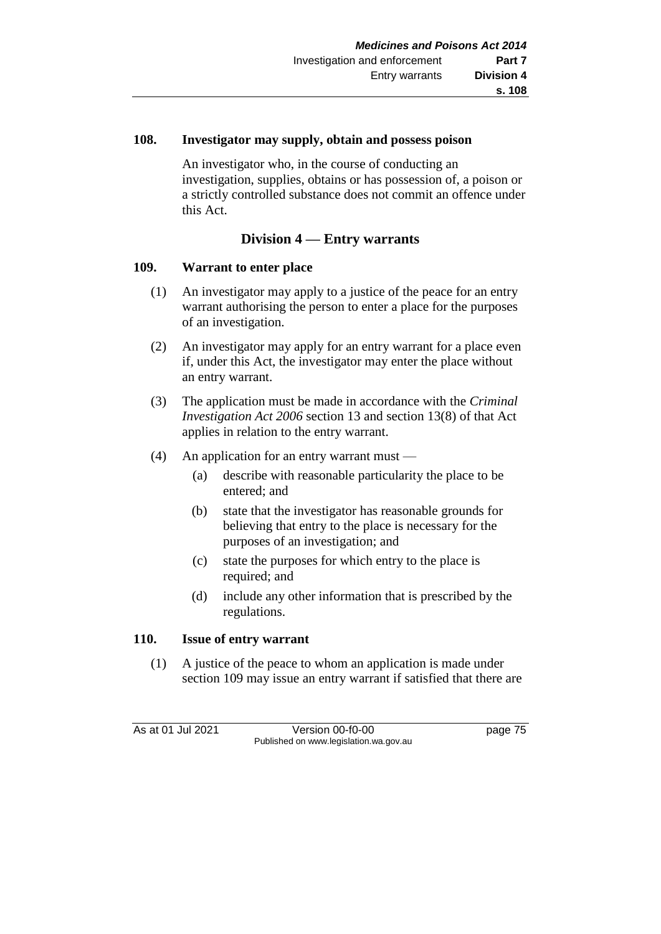### **108. Investigator may supply, obtain and possess poison**

An investigator who, in the course of conducting an investigation, supplies, obtains or has possession of, a poison or a strictly controlled substance does not commit an offence under this Act.

# **Division 4 — Entry warrants**

# **109. Warrant to enter place**

- (1) An investigator may apply to a justice of the peace for an entry warrant authorising the person to enter a place for the purposes of an investigation.
- (2) An investigator may apply for an entry warrant for a place even if, under this Act, the investigator may enter the place without an entry warrant.
- (3) The application must be made in accordance with the *Criminal Investigation Act 2006* section 13 and section 13(8) of that Act applies in relation to the entry warrant.
- (4) An application for an entry warrant must
	- (a) describe with reasonable particularity the place to be entered; and
	- (b) state that the investigator has reasonable grounds for believing that entry to the place is necessary for the purposes of an investigation; and
	- (c) state the purposes for which entry to the place is required; and
	- (d) include any other information that is prescribed by the regulations.

# **110. Issue of entry warrant**

(1) A justice of the peace to whom an application is made under section 109 may issue an entry warrant if satisfied that there are

As at 01 Jul 2021 Version 00-f0-00 page 75 Published on www.legislation.wa.gov.au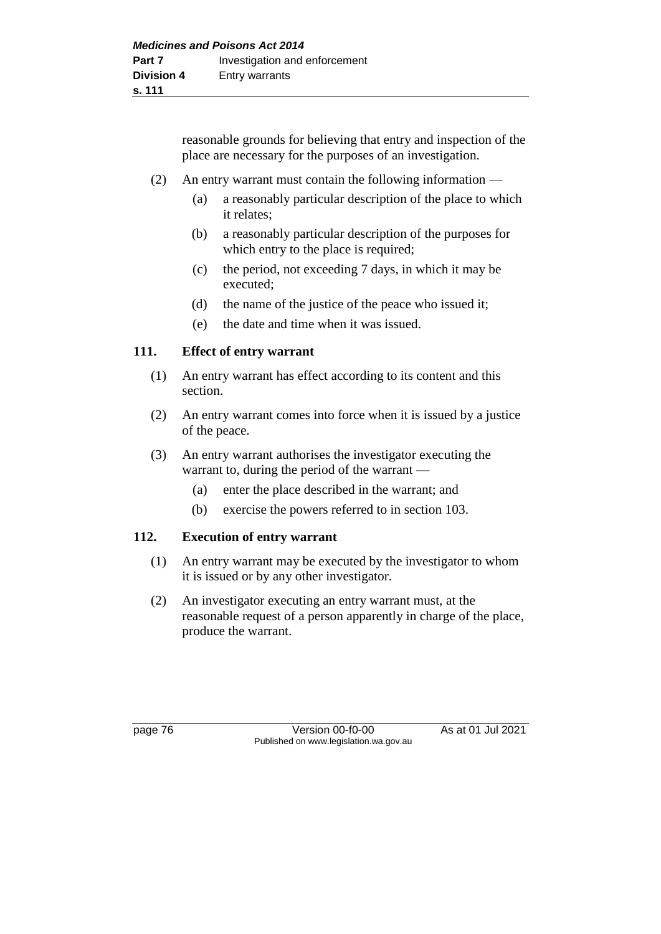reasonable grounds for believing that entry and inspection of the place are necessary for the purposes of an investigation.

- (2) An entry warrant must contain the following information
	- (a) a reasonably particular description of the place to which it relates;
	- (b) a reasonably particular description of the purposes for which entry to the place is required;
	- (c) the period, not exceeding 7 days, in which it may be executed;
	- (d) the name of the justice of the peace who issued it;
	- (e) the date and time when it was issued.

### **111. Effect of entry warrant**

- (1) An entry warrant has effect according to its content and this section.
- (2) An entry warrant comes into force when it is issued by a justice of the peace.
- (3) An entry warrant authorises the investigator executing the warrant to, during the period of the warrant —
	- (a) enter the place described in the warrant; and
	- (b) exercise the powers referred to in section 103.

#### **112. Execution of entry warrant**

- (1) An entry warrant may be executed by the investigator to whom it is issued or by any other investigator.
- (2) An investigator executing an entry warrant must, at the reasonable request of a person apparently in charge of the place, produce the warrant.

page 76 Version 00-f0-00 As at 01 Jul 2021 Published on www.legislation.wa.gov.au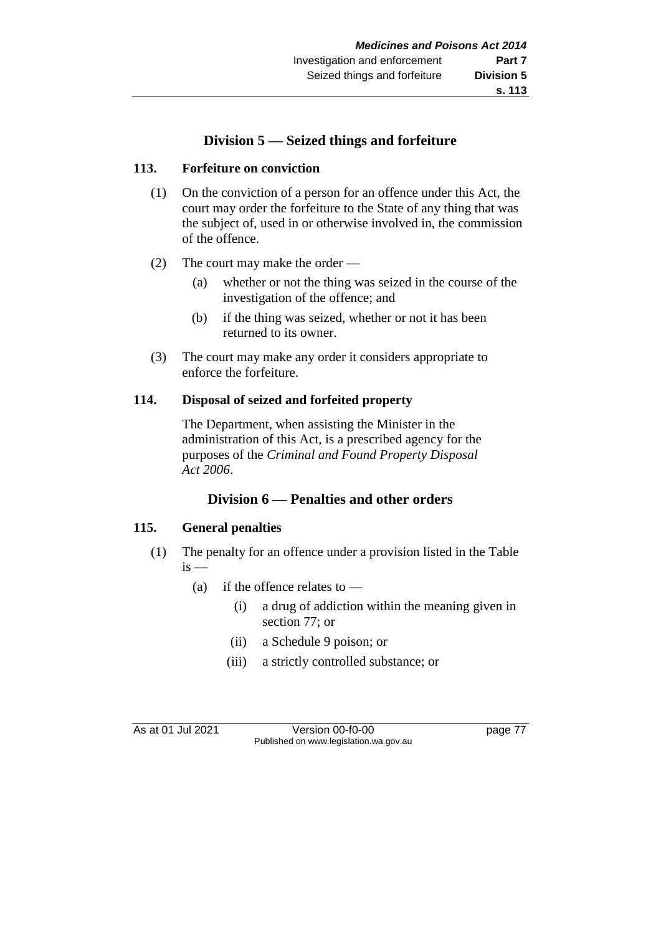# **Division 5 — Seized things and forfeiture**

### **113. Forfeiture on conviction**

- (1) On the conviction of a person for an offence under this Act, the court may order the forfeiture to the State of any thing that was the subject of, used in or otherwise involved in, the commission of the offence.
- (2) The court may make the order
	- (a) whether or not the thing was seized in the course of the investigation of the offence; and
	- (b) if the thing was seized, whether or not it has been returned to its owner.
- (3) The court may make any order it considers appropriate to enforce the forfeiture.

### **114. Disposal of seized and forfeited property**

The Department, when assisting the Minister in the administration of this Act, is a prescribed agency for the purposes of the *Criminal and Found Property Disposal Act 2006*.

# **Division 6 — Penalties and other orders**

# **115. General penalties**

- (1) The penalty for an offence under a provision listed in the Table  $i<sub>s</sub>$ 
	- (a) if the offence relates to  $-$ 
		- (i) a drug of addiction within the meaning given in section 77; or
		- (ii) a Schedule 9 poison; or
		- (iii) a strictly controlled substance; or

As at 01 Jul 2021 Version 00-f0-00 page 77 Published on www.legislation.wa.gov.au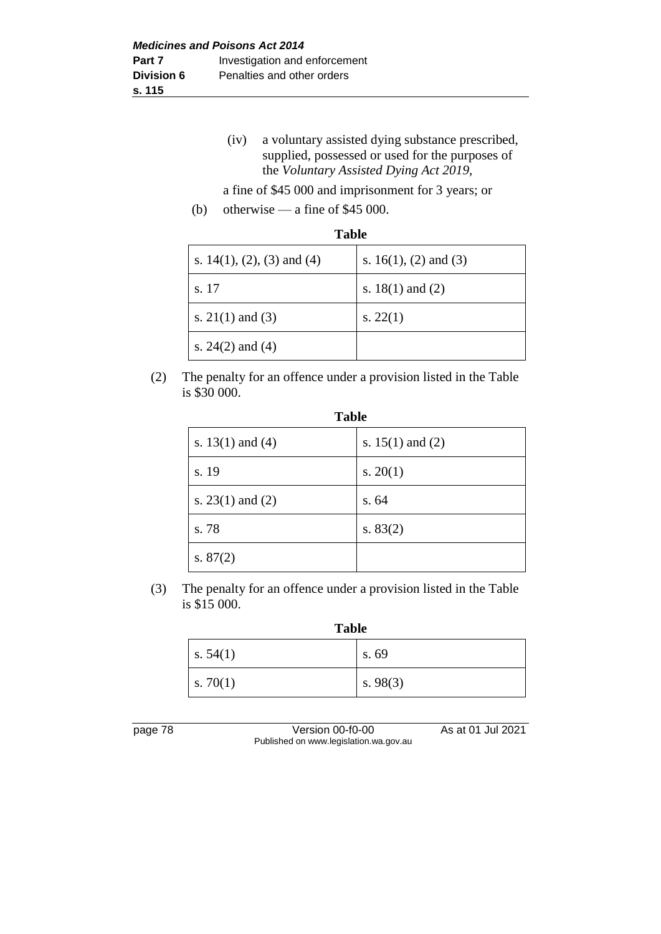(iv) a voluntary assisted dying substance prescribed, supplied, possessed or used for the purposes of the *Voluntary Assisted Dying Act 2019*,

a fine of \$45 000 and imprisonment for 3 years; or

(b) otherwise — a fine of \$45 000.

| Tavic                         |                          |  |
|-------------------------------|--------------------------|--|
| s. $14(1)$ , (2), (3) and (4) | s. $16(1)$ , (2) and (3) |  |
| s. 17                         | s. $18(1)$ and $(2)$     |  |
| s. $21(1)$ and (3)            | s. $22(1)$               |  |
| s. $24(2)$ and $(4)$          |                          |  |

(2) The penalty for an offence under a provision listed in the Table is \$30 000.

| <b>Table</b>         |                      |  |
|----------------------|----------------------|--|
| s. $13(1)$ and $(4)$ | s. $15(1)$ and $(2)$ |  |
| s. 19                | s. $20(1)$           |  |
| s. $23(1)$ and $(2)$ | s. 64                |  |
| s. 78                | s. $83(2)$           |  |
| s. $87(2)$           |                      |  |

(3) The penalty for an offence under a provision listed in the Table is \$15 000.

**Table**

| s. $54(1)$ | s. 69      |
|------------|------------|
| s. $70(1)$ | s. $98(3)$ |

page 78 Version 00-f0-00 As at 01 Jul 2021 Published on www.legislation.wa.gov.au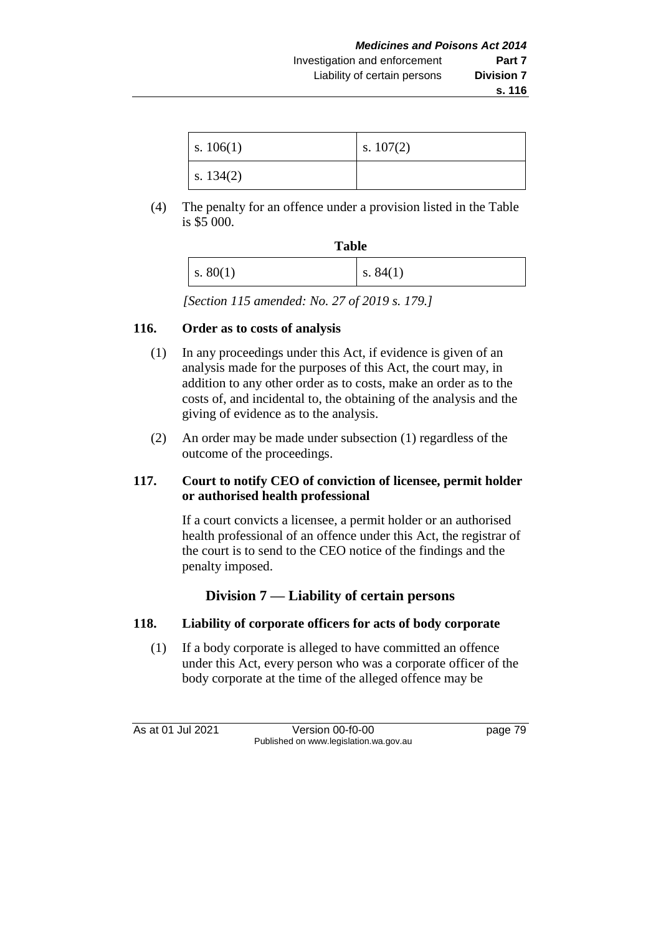| s. $106(1)$ | s. $107(2)$ |
|-------------|-------------|
| s. $134(2)$ |             |

(4) The penalty for an offence under a provision listed in the Table is \$5 000.

| <b>Table</b>           |            |
|------------------------|------------|
| $\vert s. 80(1) \vert$ | s. $84(1)$ |

*[Section 115 amended: No. 27 of 2019 s. 179.]*

# **116. Order as to costs of analysis**

- (1) In any proceedings under this Act, if evidence is given of an analysis made for the purposes of this Act, the court may, in addition to any other order as to costs, make an order as to the costs of, and incidental to, the obtaining of the analysis and the giving of evidence as to the analysis.
- (2) An order may be made under subsection (1) regardless of the outcome of the proceedings.

# **117. Court to notify CEO of conviction of licensee, permit holder or authorised health professional**

If a court convicts a licensee, a permit holder or an authorised health professional of an offence under this Act, the registrar of the court is to send to the CEO notice of the findings and the penalty imposed.

# **Division 7 — Liability of certain persons**

# **118. Liability of corporate officers for acts of body corporate**

(1) If a body corporate is alleged to have committed an offence under this Act, every person who was a corporate officer of the body corporate at the time of the alleged offence may be

As at 01 Jul 2021 Version 00-f0-00 Page 79 Published on www.legislation.wa.gov.au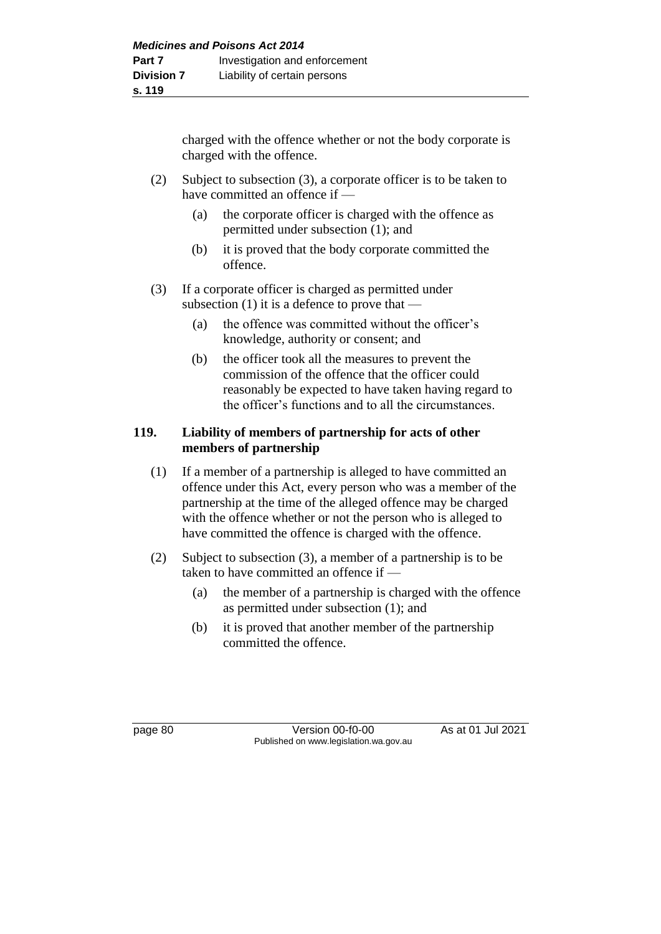charged with the offence whether or not the body corporate is charged with the offence.

- (2) Subject to subsection (3), a corporate officer is to be taken to have committed an offence if —
	- (a) the corporate officer is charged with the offence as permitted under subsection (1); and
	- (b) it is proved that the body corporate committed the offence.
- (3) If a corporate officer is charged as permitted under subsection  $(1)$  it is a defence to prove that —
	- (a) the offence was committed without the officer's knowledge, authority or consent; and
	- (b) the officer took all the measures to prevent the commission of the offence that the officer could reasonably be expected to have taken having regard to the officer's functions and to all the circumstances.

# **119. Liability of members of partnership for acts of other members of partnership**

- (1) If a member of a partnership is alleged to have committed an offence under this Act, every person who was a member of the partnership at the time of the alleged offence may be charged with the offence whether or not the person who is alleged to have committed the offence is charged with the offence.
- (2) Subject to subsection (3), a member of a partnership is to be taken to have committed an offence if —
	- (a) the member of a partnership is charged with the offence as permitted under subsection (1); and
	- (b) it is proved that another member of the partnership committed the offence.

page 80 Version 00-f0-00 As at 01 Jul 2021 Published on www.legislation.wa.gov.au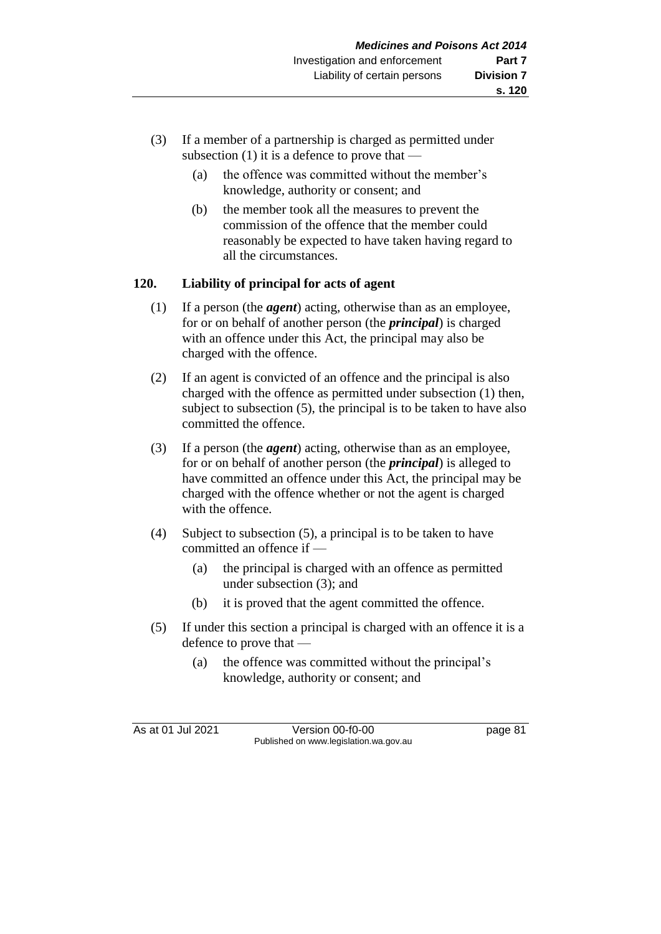- (3) If a member of a partnership is charged as permitted under subsection (1) it is a defence to prove that —
	- (a) the offence was committed without the member's knowledge, authority or consent; and
	- (b) the member took all the measures to prevent the commission of the offence that the member could reasonably be expected to have taken having regard to all the circumstances.

# **120. Liability of principal for acts of agent**

- (1) If a person (the *agent*) acting, otherwise than as an employee, for or on behalf of another person (the *principal*) is charged with an offence under this Act, the principal may also be charged with the offence.
- (2) If an agent is convicted of an offence and the principal is also charged with the offence as permitted under subsection (1) then, subject to subsection (5), the principal is to be taken to have also committed the offence.
- (3) If a person (the *agent*) acting, otherwise than as an employee, for or on behalf of another person (the *principal*) is alleged to have committed an offence under this Act, the principal may be charged with the offence whether or not the agent is charged with the offence.
- (4) Subject to subsection (5), a principal is to be taken to have committed an offence if —
	- (a) the principal is charged with an offence as permitted under subsection (3); and
	- (b) it is proved that the agent committed the offence.
- (5) If under this section a principal is charged with an offence it is a defence to prove that —
	- (a) the offence was committed without the principal's knowledge, authority or consent; and

As at 01 Jul 2021 Version 00-f0-00 page 81 Published on www.legislation.wa.gov.au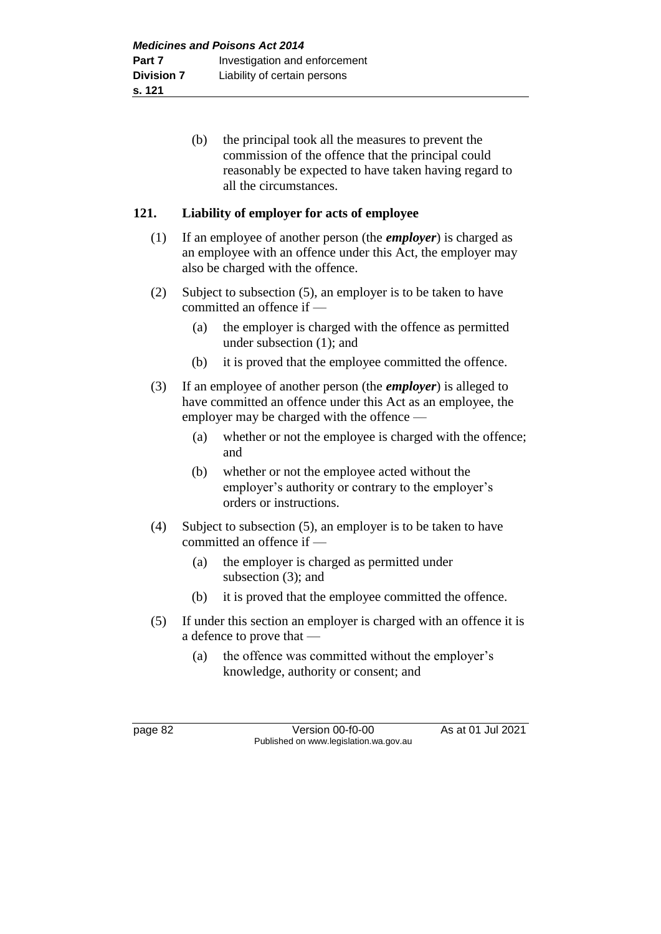(b) the principal took all the measures to prevent the commission of the offence that the principal could reasonably be expected to have taken having regard to all the circumstances.

## **121. Liability of employer for acts of employee**

- (1) If an employee of another person (the *employer*) is charged as an employee with an offence under this Act, the employer may also be charged with the offence.
- (2) Subject to subsection (5), an employer is to be taken to have committed an offence if —
	- (a) the employer is charged with the offence as permitted under subsection (1); and
	- (b) it is proved that the employee committed the offence.
- (3) If an employee of another person (the *employer*) is alleged to have committed an offence under this Act as an employee, the employer may be charged with the offence —
	- (a) whether or not the employee is charged with the offence; and
	- (b) whether or not the employee acted without the employer's authority or contrary to the employer's orders or instructions.
- (4) Subject to subsection (5), an employer is to be taken to have committed an offence if —
	- (a) the employer is charged as permitted under subsection (3); and
	- (b) it is proved that the employee committed the offence.
- (5) If under this section an employer is charged with an offence it is a defence to prove that —
	- (a) the offence was committed without the employer's knowledge, authority or consent; and

page 82 Version 00-f0-00 As at 01 Jul 2021 Published on www.legislation.wa.gov.au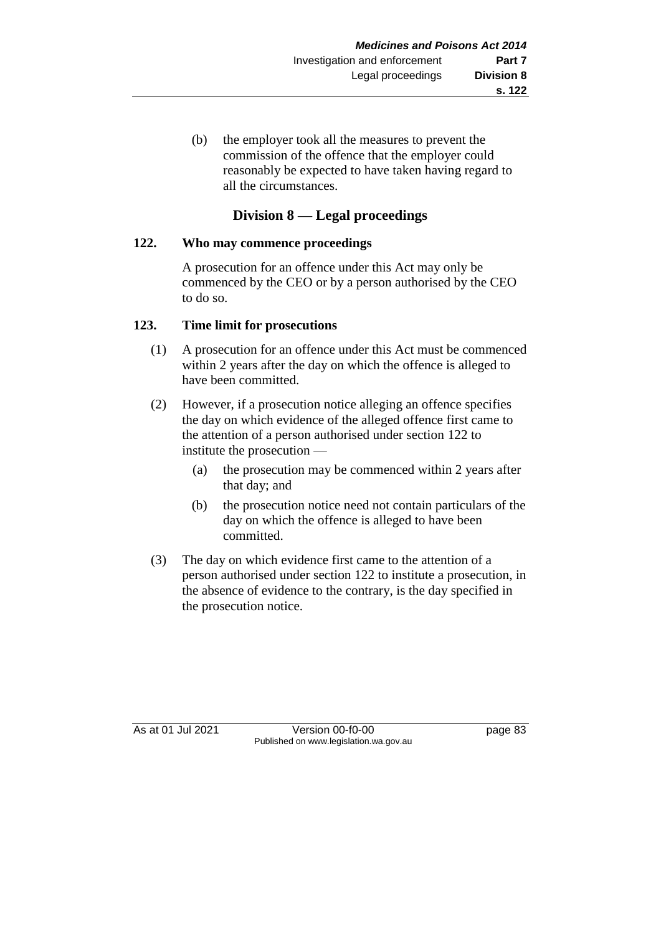(b) the employer took all the measures to prevent the commission of the offence that the employer could reasonably be expected to have taken having regard to all the circumstances.

# **Division 8 — Legal proceedings**

### **122. Who may commence proceedings**

A prosecution for an offence under this Act may only be commenced by the CEO or by a person authorised by the CEO to do so.

# **123. Time limit for prosecutions**

- (1) A prosecution for an offence under this Act must be commenced within 2 years after the day on which the offence is alleged to have been committed.
- (2) However, if a prosecution notice alleging an offence specifies the day on which evidence of the alleged offence first came to the attention of a person authorised under section 122 to institute the prosecution —
	- (a) the prosecution may be commenced within 2 years after that day; and
	- (b) the prosecution notice need not contain particulars of the day on which the offence is alleged to have been committed.
- (3) The day on which evidence first came to the attention of a person authorised under section 122 to institute a prosecution, in the absence of evidence to the contrary, is the day specified in the prosecution notice.

As at 01 Jul 2021 Version 00-f0-00 page 83 Published on www.legislation.wa.gov.au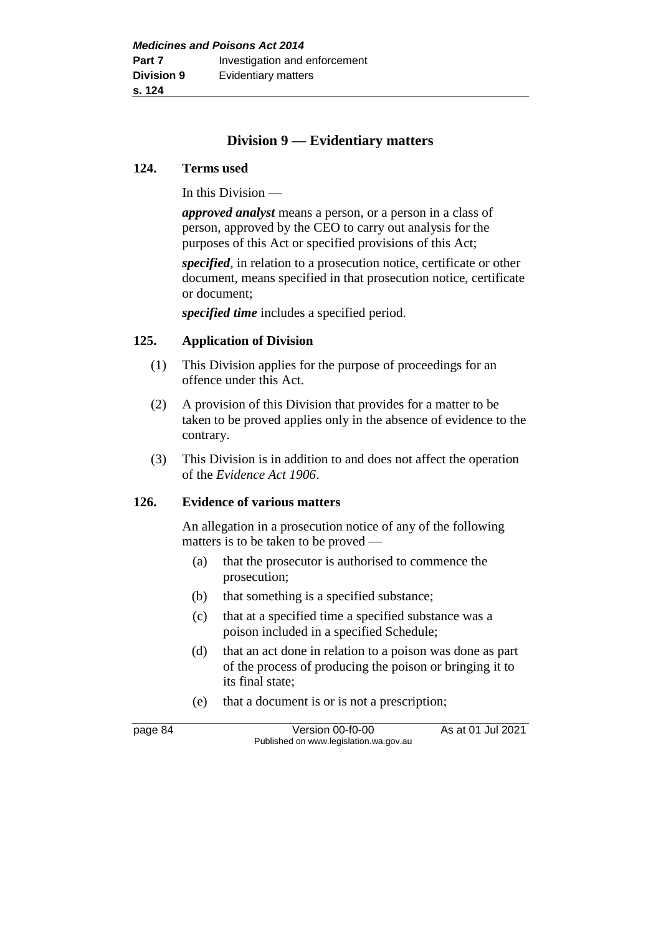# **Division 9 — Evidentiary matters**

#### **124. Terms used**

In this Division —

*approved analyst* means a person, or a person in a class of person, approved by the CEO to carry out analysis for the purposes of this Act or specified provisions of this Act;

*specified*, in relation to a prosecution notice, certificate or other document, means specified in that prosecution notice, certificate or document;

*specified time* includes a specified period.

#### **125. Application of Division**

- (1) This Division applies for the purpose of proceedings for an offence under this Act.
- (2) A provision of this Division that provides for a matter to be taken to be proved applies only in the absence of evidence to the contrary.
- (3) This Division is in addition to and does not affect the operation of the *Evidence Act 1906*.

#### **126. Evidence of various matters**

An allegation in a prosecution notice of any of the following matters is to be taken to be proved —

- (a) that the prosecutor is authorised to commence the prosecution;
- (b) that something is a specified substance;
- (c) that at a specified time a specified substance was a poison included in a specified Schedule;
- (d) that an act done in relation to a poison was done as part of the process of producing the poison or bringing it to its final state;
- (e) that a document is or is not a prescription;

page 84 Version 00-f0-00 As at 01 Jul 2021 Published on www.legislation.wa.gov.au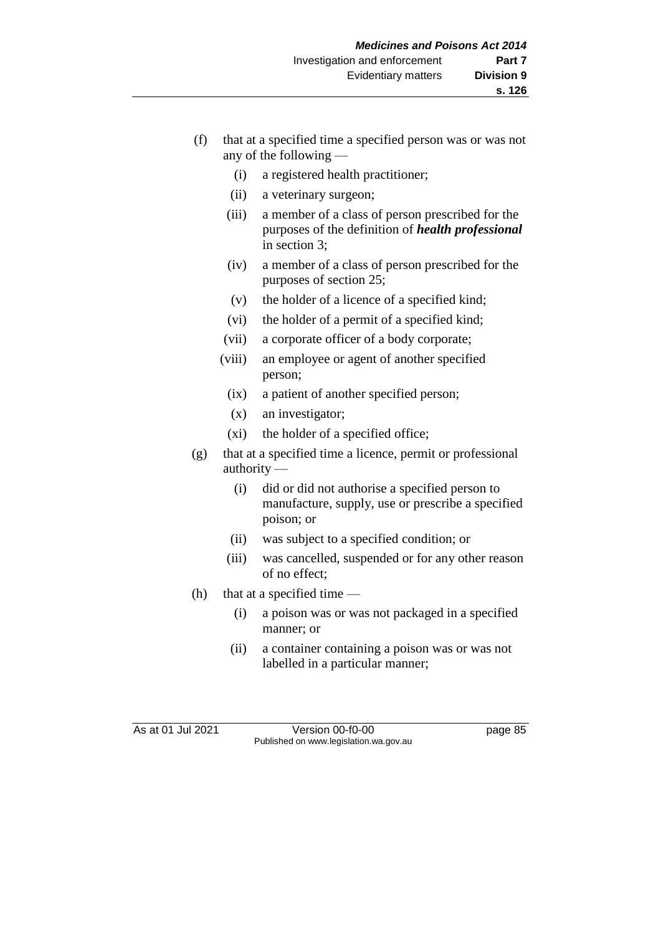- (f) that at a specified time a specified person was or was not any of the following —
	- (i) a registered health practitioner;
	- (ii) a veterinary surgeon;
	- (iii) a member of a class of person prescribed for the purposes of the definition of *health professional* in section 3;
	- (iv) a member of a class of person prescribed for the purposes of section 25;
	- (v) the holder of a licence of a specified kind;
	- (vi) the holder of a permit of a specified kind;
	- (vii) a corporate officer of a body corporate;
	- (viii) an employee or agent of another specified person;
	- (ix) a patient of another specified person;
	- (x) an investigator;
	- (xi) the holder of a specified office;
- (g) that at a specified time a licence, permit or professional authority —
	- (i) did or did not authorise a specified person to manufacture, supply, use or prescribe a specified poison; or
	- (ii) was subject to a specified condition; or
	- (iii) was cancelled, suspended or for any other reason of no effect;
- (h) that at a specified time  $-$ 
	- (i) a poison was or was not packaged in a specified manner; or
	- (ii) a container containing a poison was or was not labelled in a particular manner;

As at 01 Jul 2021 Version 00-f0-00 page 85 Published on www.legislation.wa.gov.au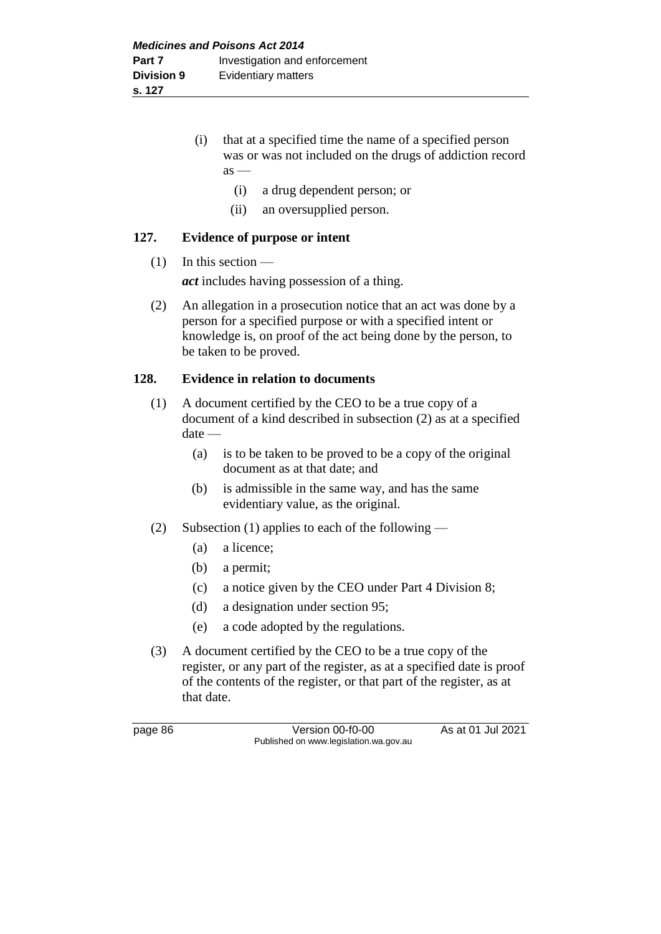(i) that at a specified time the name of a specified person was or was not included on the drugs of addiction record  $as -$ 

- (i) a drug dependent person; or
- (ii) an oversupplied person.

#### **127. Evidence of purpose or intent**

#### $(1)$  In this section —

*act* includes having possession of a thing.

(2) An allegation in a prosecution notice that an act was done by a person for a specified purpose or with a specified intent or knowledge is, on proof of the act being done by the person, to be taken to be proved.

#### **128. Evidence in relation to documents**

- (1) A document certified by the CEO to be a true copy of a document of a kind described in subsection (2) as at a specified date —
	- (a) is to be taken to be proved to be a copy of the original document as at that date; and
	- (b) is admissible in the same way, and has the same evidentiary value, as the original.
- (2) Subsection (1) applies to each of the following
	- (a) a licence;
	- (b) a permit;
	- (c) a notice given by the CEO under Part 4 Division 8;
	- (d) a designation under section 95;
	- (e) a code adopted by the regulations.
- (3) A document certified by the CEO to be a true copy of the register, or any part of the register, as at a specified date is proof of the contents of the register, or that part of the register, as at that date.

page 86 Version 00-f0-00 As at 01 Jul 2021 Published on www.legislation.wa.gov.au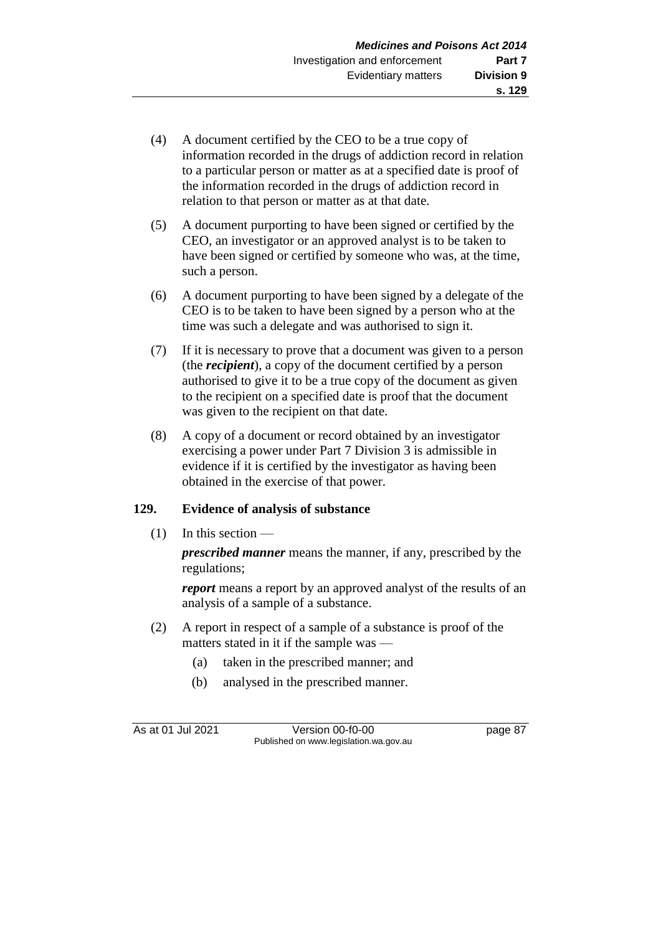- (4) A document certified by the CEO to be a true copy of information recorded in the drugs of addiction record in relation to a particular person or matter as at a specified date is proof of the information recorded in the drugs of addiction record in relation to that person or matter as at that date.
- (5) A document purporting to have been signed or certified by the CEO, an investigator or an approved analyst is to be taken to have been signed or certified by someone who was, at the time, such a person.
- (6) A document purporting to have been signed by a delegate of the CEO is to be taken to have been signed by a person who at the time was such a delegate and was authorised to sign it.
- (7) If it is necessary to prove that a document was given to a person (the *recipient*), a copy of the document certified by a person authorised to give it to be a true copy of the document as given to the recipient on a specified date is proof that the document was given to the recipient on that date.
- (8) A copy of a document or record obtained by an investigator exercising a power under Part 7 Division 3 is admissible in evidence if it is certified by the investigator as having been obtained in the exercise of that power.

# **129. Evidence of analysis of substance**

 $(1)$  In this section —

*prescribed manner* means the manner, if any, prescribed by the regulations;

*report* means a report by an approved analyst of the results of an analysis of a sample of a substance.

- (2) A report in respect of a sample of a substance is proof of the matters stated in it if the sample was —
	- (a) taken in the prescribed manner; and
	- (b) analysed in the prescribed manner.

As at 01 Jul 2021 Version 00-f0-00 page 87 Published on www.legislation.wa.gov.au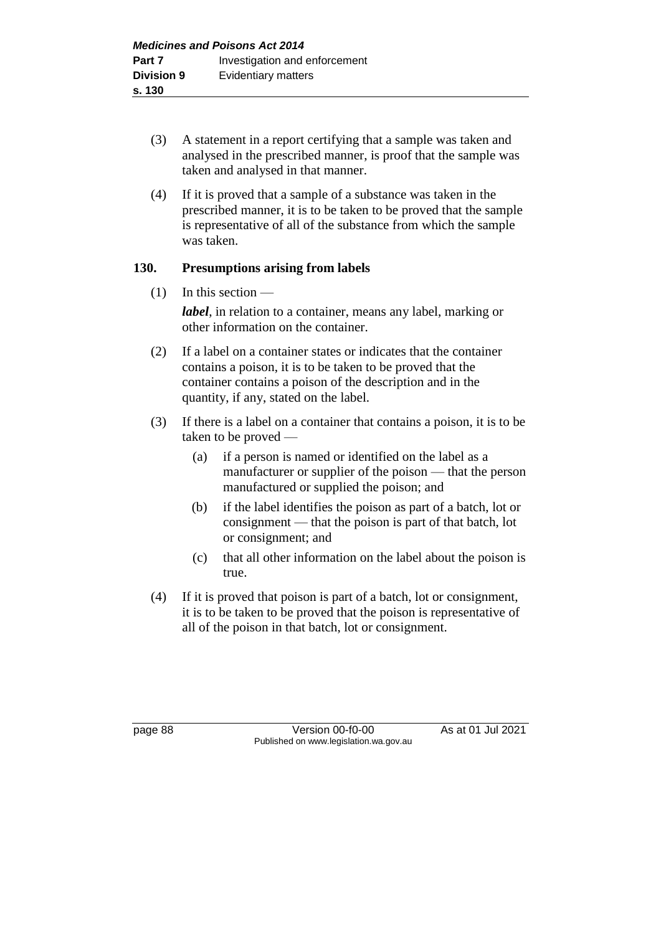- (3) A statement in a report certifying that a sample was taken and analysed in the prescribed manner, is proof that the sample was taken and analysed in that manner.
- (4) If it is proved that a sample of a substance was taken in the prescribed manner, it is to be taken to be proved that the sample is representative of all of the substance from which the sample was taken.

# **130. Presumptions arising from labels**

 $(1)$  In this section —

*label*, in relation to a container, means any label, marking or other information on the container.

- (2) If a label on a container states or indicates that the container contains a poison, it is to be taken to be proved that the container contains a poison of the description and in the quantity, if any, stated on the label.
- (3) If there is a label on a container that contains a poison, it is to be taken to be proved —
	- (a) if a person is named or identified on the label as a manufacturer or supplier of the poison — that the person manufactured or supplied the poison; and
	- (b) if the label identifies the poison as part of a batch, lot or consignment — that the poison is part of that batch, lot or consignment; and
	- (c) that all other information on the label about the poison is true.
- (4) If it is proved that poison is part of a batch, lot or consignment, it is to be taken to be proved that the poison is representative of all of the poison in that batch, lot or consignment.

page 88 Version 00-f0-00 As at 01 Jul 2021 Published on www.legislation.wa.gov.au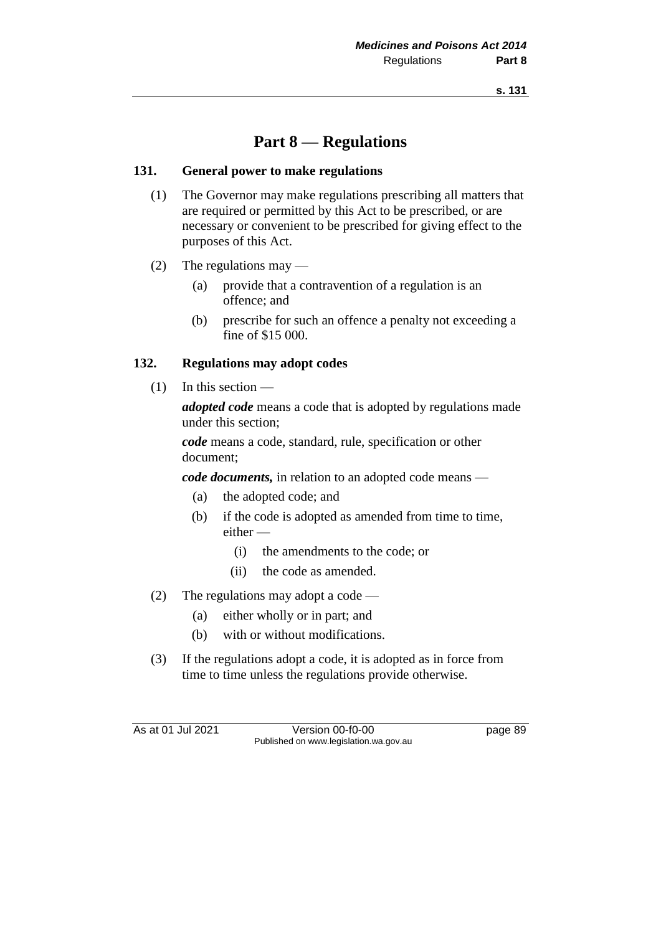# **Part 8 — Regulations**

### **131. General power to make regulations**

- (1) The Governor may make regulations prescribing all matters that are required or permitted by this Act to be prescribed, or are necessary or convenient to be prescribed for giving effect to the purposes of this Act.
- (2) The regulations may  $-$ 
	- (a) provide that a contravention of a regulation is an offence; and
	- (b) prescribe for such an offence a penalty not exceeding a fine of \$15 000.

### **132. Regulations may adopt codes**

 $(1)$  In this section —

*adopted code* means a code that is adopted by regulations made under this section;

*code* means a code, standard, rule, specification or other document;

*code documents,* in relation to an adopted code means —

- (a) the adopted code; and
- (b) if the code is adopted as amended from time to time, either —
	- (i) the amendments to the code; or
	- (ii) the code as amended.
- (2) The regulations may adopt a code
	- (a) either wholly or in part; and
	- (b) with or without modifications.
- (3) If the regulations adopt a code, it is adopted as in force from time to time unless the regulations provide otherwise.

As at 01 Jul 2021 Version 00-f0-00 page 89 Published on www.legislation.wa.gov.au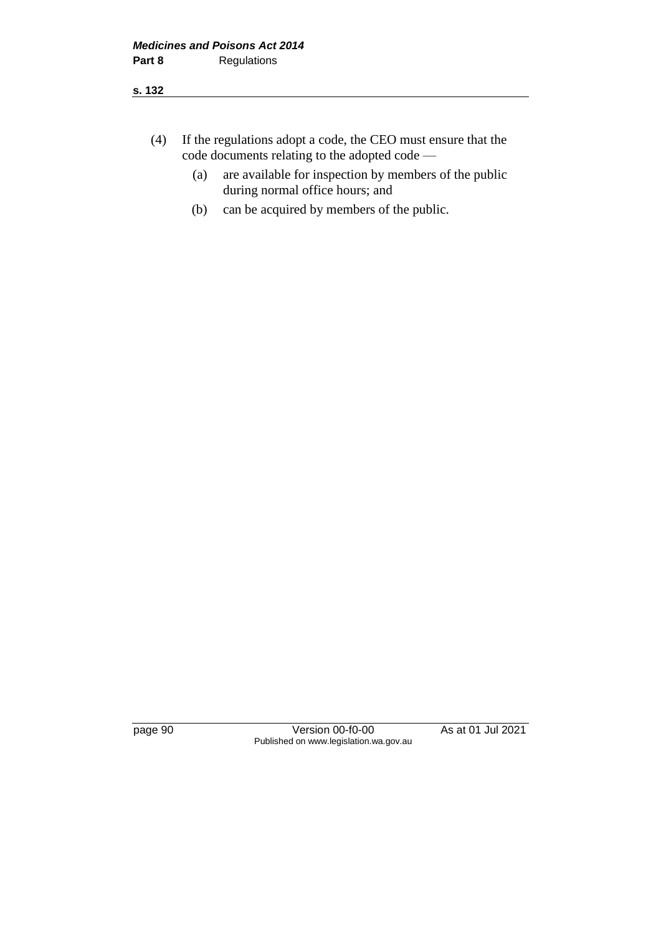- (4) If the regulations adopt a code, the CEO must ensure that the code documents relating to the adopted code —
	- (a) are available for inspection by members of the public during normal office hours; and
	- (b) can be acquired by members of the public.

page 90 Version 00-f0-00 As at 01 Jul 2021 Published on www.legislation.wa.gov.au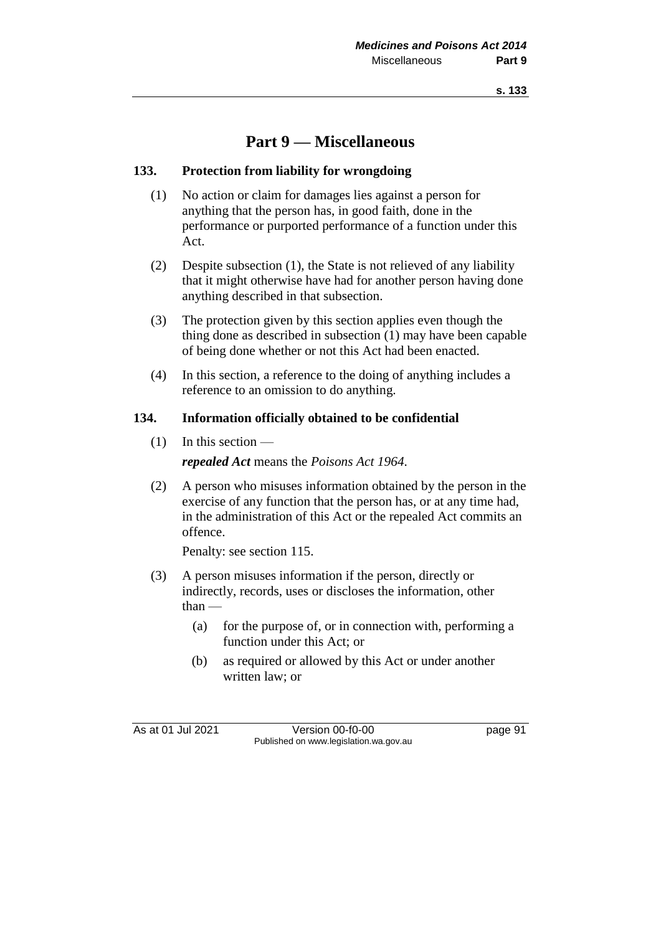# **Part 9 — Miscellaneous**

### **133. Protection from liability for wrongdoing**

- (1) No action or claim for damages lies against a person for anything that the person has, in good faith, done in the performance or purported performance of a function under this Act.
- (2) Despite subsection (1), the State is not relieved of any liability that it might otherwise have had for another person having done anything described in that subsection.
- (3) The protection given by this section applies even though the thing done as described in subsection (1) may have been capable of being done whether or not this Act had been enacted.
- (4) In this section, a reference to the doing of anything includes a reference to an omission to do anything.

#### **134. Information officially obtained to be confidential**

 $(1)$  In this section —

*repealed Act* means the *Poisons Act 1964*.

(2) A person who misuses information obtained by the person in the exercise of any function that the person has, or at any time had, in the administration of this Act or the repealed Act commits an offence.

Penalty: see section 115.

- (3) A person misuses information if the person, directly or indirectly, records, uses or discloses the information, other than —
	- (a) for the purpose of, or in connection with, performing a function under this Act; or
	- (b) as required or allowed by this Act or under another written law; or

As at 01 Jul 2021 Version 00-f0-00 page 91 Published on www.legislation.wa.gov.au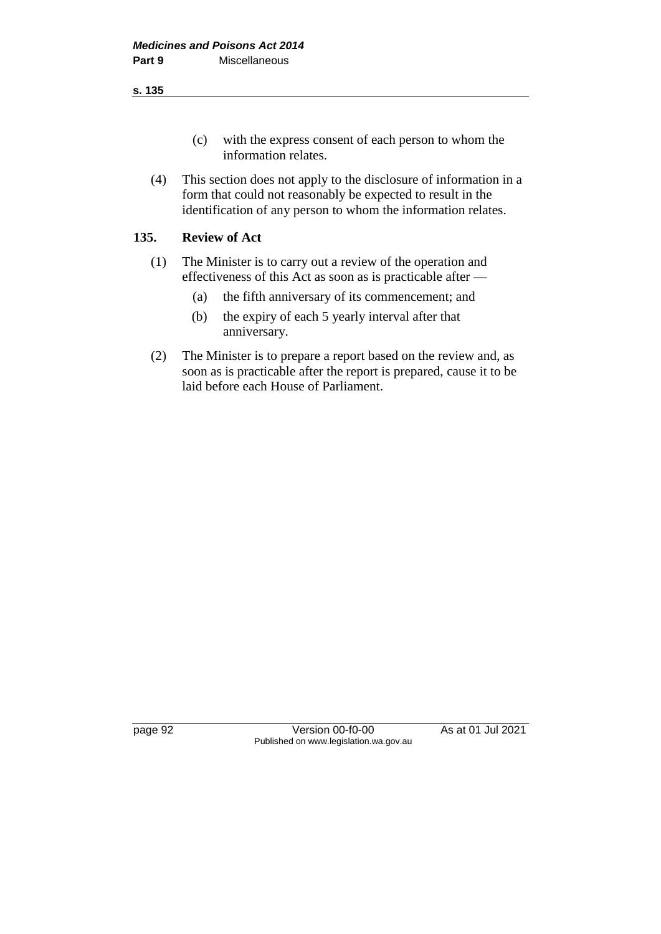**s. 135**

- (c) with the express consent of each person to whom the information relates.
- (4) This section does not apply to the disclosure of information in a form that could not reasonably be expected to result in the identification of any person to whom the information relates.

# **135. Review of Act**

- (1) The Minister is to carry out a review of the operation and effectiveness of this Act as soon as is practicable after —
	- (a) the fifth anniversary of its commencement; and
	- (b) the expiry of each 5 yearly interval after that anniversary.
- (2) The Minister is to prepare a report based on the review and, as soon as is practicable after the report is prepared, cause it to be laid before each House of Parliament.

page 92 Version 00-f0-00 As at 01 Jul 2021 Published on www.legislation.wa.gov.au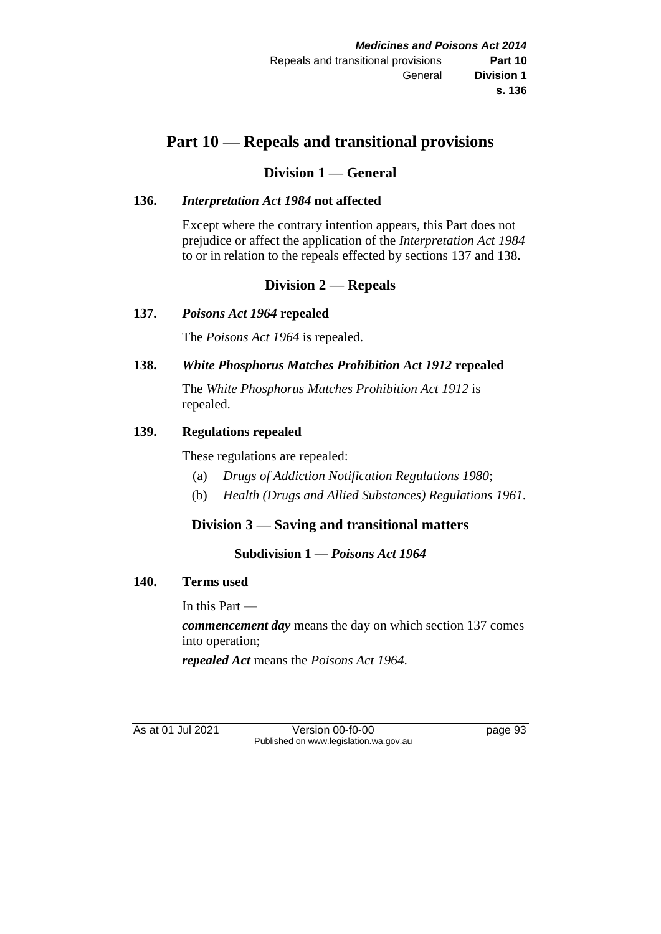# **Part 10 — Repeals and transitional provisions**

# **Division 1 — General**

# **136.** *Interpretation Act 1984* **not affected**

Except where the contrary intention appears, this Part does not prejudice or affect the application of the *Interpretation Act 1984* to or in relation to the repeals effected by sections 137 and 138.

# **Division 2 — Repeals**

### **137.** *Poisons Act 1964* **repealed**

The *Poisons Act 1964* is repealed.

### **138.** *White Phosphorus Matches Prohibition Act 1912* **repealed**

The *White Phosphorus Matches Prohibition Act 1912* is repealed.

### **139. Regulations repealed**

These regulations are repealed:

- (a) *Drugs of Addiction Notification Regulations 1980*;
- (b) *Health (Drugs and Allied Substances) Regulations 1961*.

# **Division 3 — Saving and transitional matters**

# **Subdivision 1 —** *Poisons Act 1964*

#### **140. Terms used**

In this Part —

*commencement day* means the day on which section 137 comes into operation;

*repealed Act* means the *Poisons Act 1964*.

As at 01 Jul 2021 Version 00-f0-00 page 93 Published on www.legislation.wa.gov.au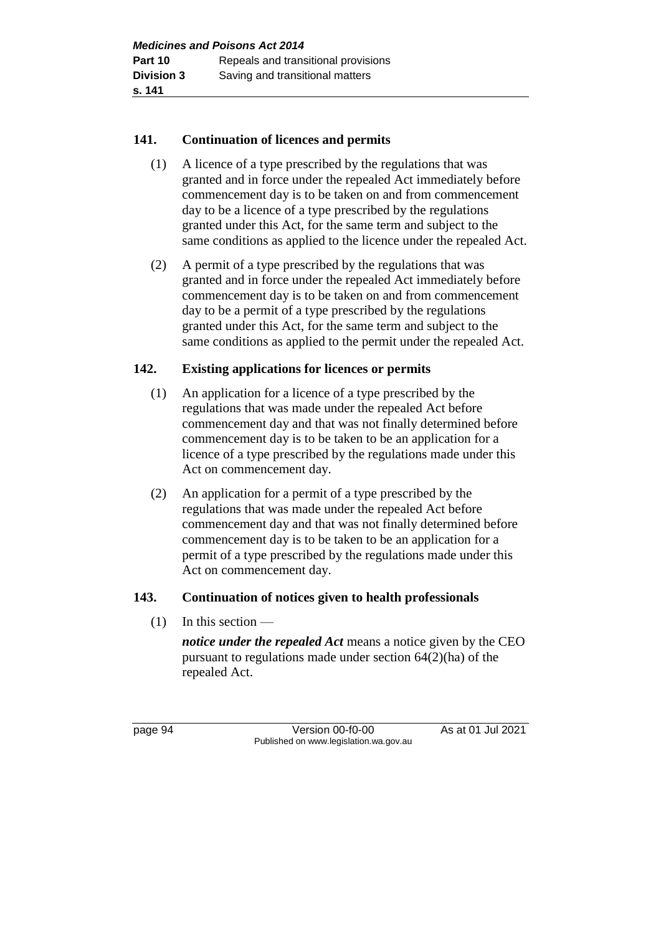# **141. Continuation of licences and permits**

- (1) A licence of a type prescribed by the regulations that was granted and in force under the repealed Act immediately before commencement day is to be taken on and from commencement day to be a licence of a type prescribed by the regulations granted under this Act, for the same term and subject to the same conditions as applied to the licence under the repealed Act.
- (2) A permit of a type prescribed by the regulations that was granted and in force under the repealed Act immediately before commencement day is to be taken on and from commencement day to be a permit of a type prescribed by the regulations granted under this Act, for the same term and subject to the same conditions as applied to the permit under the repealed Act.

# **142. Existing applications for licences or permits**

- (1) An application for a licence of a type prescribed by the regulations that was made under the repealed Act before commencement day and that was not finally determined before commencement day is to be taken to be an application for a licence of a type prescribed by the regulations made under this Act on commencement day.
- (2) An application for a permit of a type prescribed by the regulations that was made under the repealed Act before commencement day and that was not finally determined before commencement day is to be taken to be an application for a permit of a type prescribed by the regulations made under this Act on commencement day.

#### **143. Continuation of notices given to health professionals**

 $(1)$  In this section —

*notice under the repealed Act* means a notice given by the CEO pursuant to regulations made under section 64(2)(ha) of the repealed Act.

page 94 Version 00-f0-00 As at 01 Jul 2021 Published on www.legislation.wa.gov.au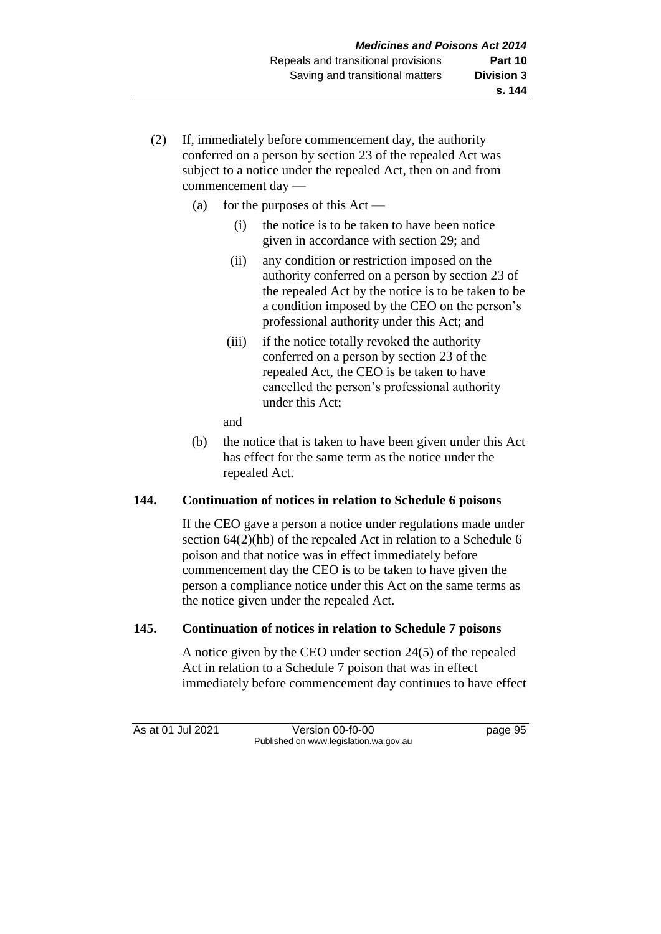- (2) If, immediately before commencement day, the authority conferred on a person by section 23 of the repealed Act was subject to a notice under the repealed Act, then on and from commencement day —
	- (a) for the purposes of this  $Act -$ 
		- (i) the notice is to be taken to have been notice given in accordance with section 29; and
		- (ii) any condition or restriction imposed on the authority conferred on a person by section 23 of the repealed Act by the notice is to be taken to be a condition imposed by the CEO on the person's professional authority under this Act; and
		- (iii) if the notice totally revoked the authority conferred on a person by section 23 of the repealed Act, the CEO is be taken to have cancelled the person's professional authority under this Act;
		- and
	- (b) the notice that is taken to have been given under this Act has effect for the same term as the notice under the repealed Act.

## **144. Continuation of notices in relation to Schedule 6 poisons**

If the CEO gave a person a notice under regulations made under section 64(2)(hb) of the repealed Act in relation to a Schedule 6 poison and that notice was in effect immediately before commencement day the CEO is to be taken to have given the person a compliance notice under this Act on the same terms as the notice given under the repealed Act.

## **145. Continuation of notices in relation to Schedule 7 poisons**

A notice given by the CEO under section 24(5) of the repealed Act in relation to a Schedule 7 poison that was in effect immediately before commencement day continues to have effect

As at 01 Jul 2021 Version 00-f0-00 page 95 Published on www.legislation.wa.gov.au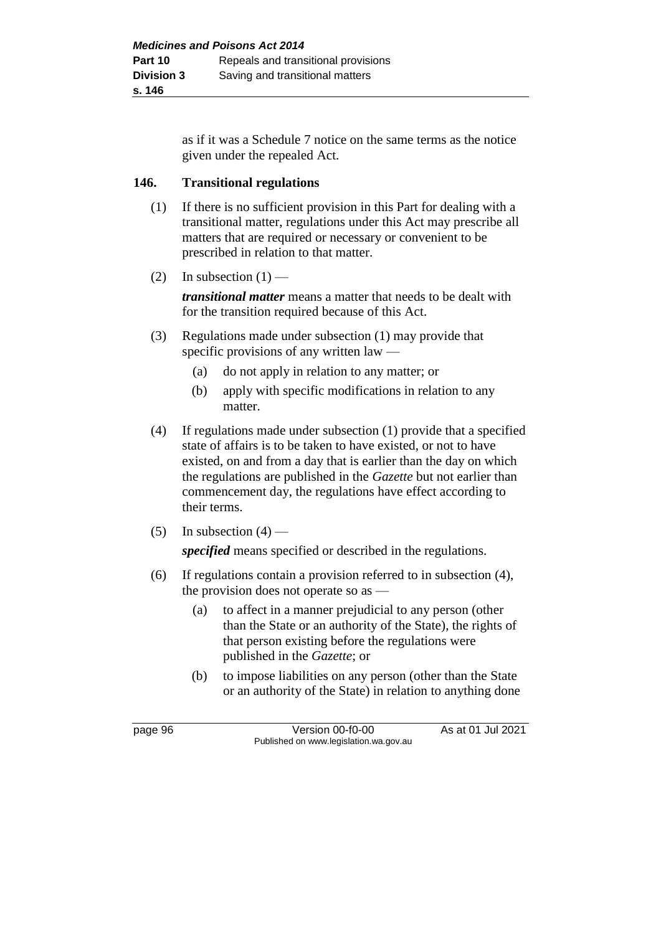as if it was a Schedule 7 notice on the same terms as the notice given under the repealed Act.

#### **146. Transitional regulations**

- (1) If there is no sufficient provision in this Part for dealing with a transitional matter, regulations under this Act may prescribe all matters that are required or necessary or convenient to be prescribed in relation to that matter.
- (2) In subsection  $(1)$  —

*transitional matter* means a matter that needs to be dealt with for the transition required because of this Act.

- (3) Regulations made under subsection (1) may provide that specific provisions of any written law —
	- (a) do not apply in relation to any matter; or
	- (b) apply with specific modifications in relation to any matter.
- (4) If regulations made under subsection (1) provide that a specified state of affairs is to be taken to have existed, or not to have existed, on and from a day that is earlier than the day on which the regulations are published in the *Gazette* but not earlier than commencement day, the regulations have effect according to their terms.
- (5) In subsection  $(4)$  —

*specified* means specified or described in the regulations.

- (6) If regulations contain a provision referred to in subsection (4), the provision does not operate so as —
	- (a) to affect in a manner prejudicial to any person (other than the State or an authority of the State), the rights of that person existing before the regulations were published in the *Gazette*; or
	- (b) to impose liabilities on any person (other than the State or an authority of the State) in relation to anything done

page 96 Version 00-f0-00 As at 01 Jul 2021 Published on www.legislation.wa.gov.au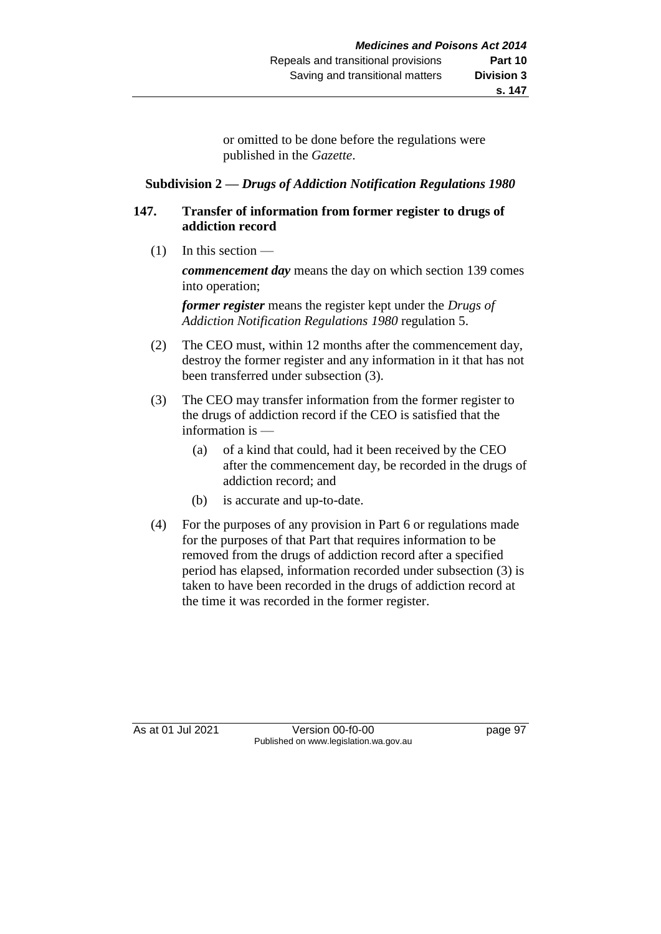or omitted to be done before the regulations were published in the *Gazette*.

#### **Subdivision 2 —** *Drugs of Addiction Notification Regulations 1980*

#### **147. Transfer of information from former register to drugs of addiction record**

 $(1)$  In this section —

*commencement day* means the day on which section 139 comes into operation;

*former register* means the register kept under the *Drugs of Addiction Notification Regulations 1980* regulation 5.

- (2) The CEO must, within 12 months after the commencement day, destroy the former register and any information in it that has not been transferred under subsection (3).
- (3) The CEO may transfer information from the former register to the drugs of addiction record if the CEO is satisfied that the information is —
	- (a) of a kind that could, had it been received by the CEO after the commencement day, be recorded in the drugs of addiction record; and
	- (b) is accurate and up-to-date.
- (4) For the purposes of any provision in Part 6 or regulations made for the purposes of that Part that requires information to be removed from the drugs of addiction record after a specified period has elapsed, information recorded under subsection (3) is taken to have been recorded in the drugs of addiction record at the time it was recorded in the former register.

As at 01 Jul 2021 Version 00-f0-00 page 97 Published on www.legislation.wa.gov.au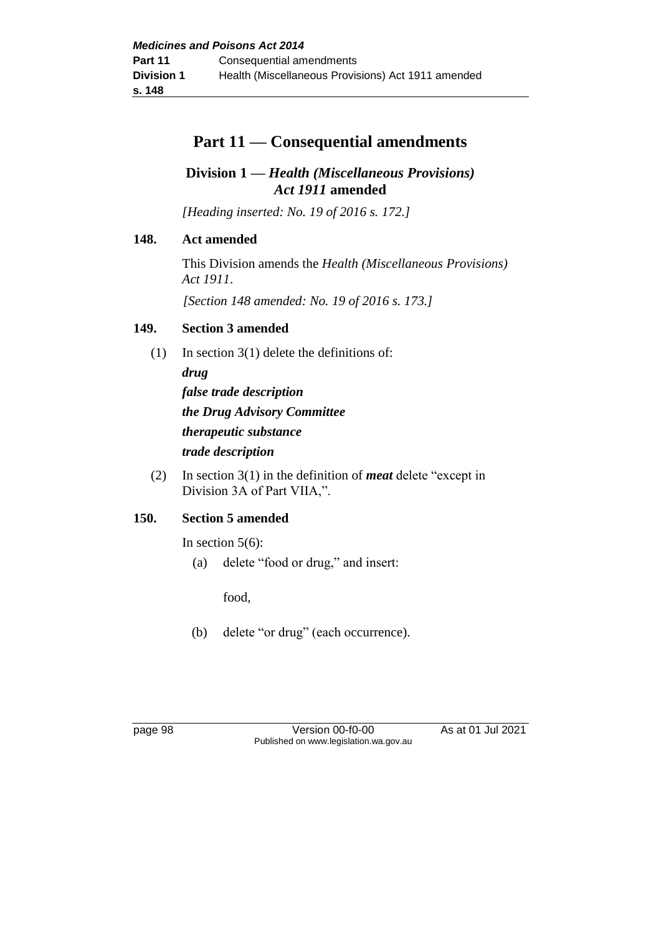# **Part 11 — Consequential amendments**

## **Division 1 —** *Health (Miscellaneous Provisions) Act 1911* **amended**

*[Heading inserted: No. 19 of 2016 s. 172.]*

## **148. Act amended**

This Division amends the *Health (Miscellaneous Provisions) Act 1911*.

*[Section 148 amended: No. 19 of 2016 s. 173.]*

## **149. Section 3 amended**

- (1) In section 3(1) delete the definitions of: *drug false trade description the Drug Advisory Committee therapeutic substance trade description*
- (2) In section 3(1) in the definition of *meat* delete "except in Division 3A of Part VIIA,".

## **150. Section 5 amended**

In section  $5(6)$ :

(a) delete "food or drug," and insert:

food,

(b) delete "or drug" (each occurrence).

page 98 Version 00-f0-00 As at 01 Jul 2021 Published on www.legislation.wa.gov.au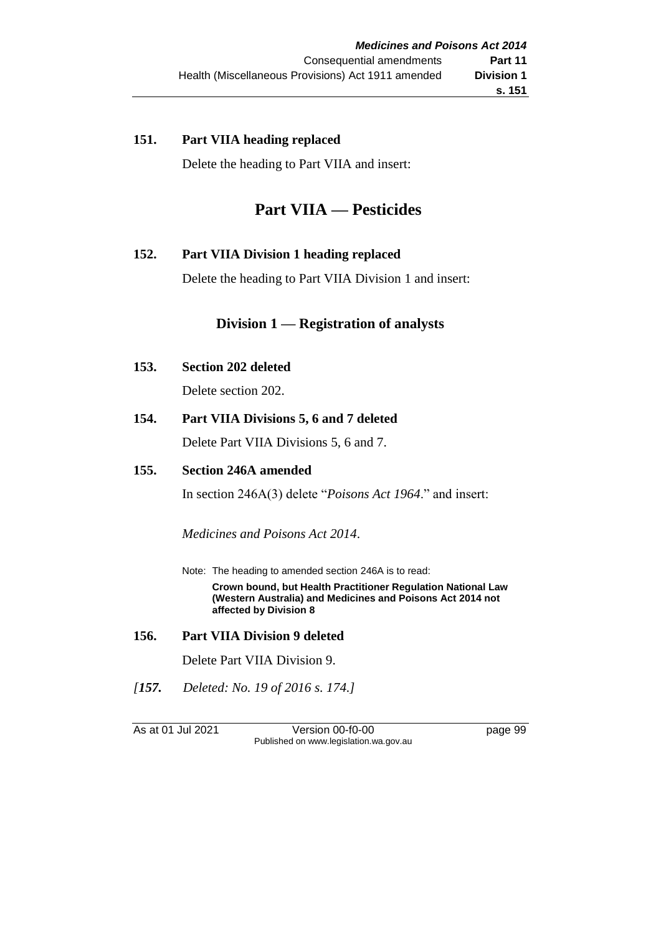#### **151. Part VIIA heading replaced**

Delete the heading to Part VIIA and insert:

# **Part VIIA — Pesticides**

## **152. Part VIIA Division 1 heading replaced**

Delete the heading to Part VIIA Division 1 and insert:

## **Division 1 — Registration of analysts**

**153. Section 202 deleted**

Delete section 202.

**154. Part VIIA Divisions 5, 6 and 7 deleted**

Delete Part VIIA Divisions 5, 6 and 7.

#### **155. Section 246A amended**

In section 246A(3) delete "*Poisons Act 1964*." and insert:

*Medicines and Poisons Act 2014*.

Note: The heading to amended section 246A is to read: **Crown bound, but Health Practitioner Regulation National Law (Western Australia) and Medicines and Poisons Act 2014 not affected by Division 8**

#### **156. Part VIIA Division 9 deleted**

Delete Part VIIA Division 9.

*[157. Deleted: No. 19 of 2016 s. 174.]*

As at 01 Jul 2021 Version 00-f0-00 page 99 Published on www.legislation.wa.gov.au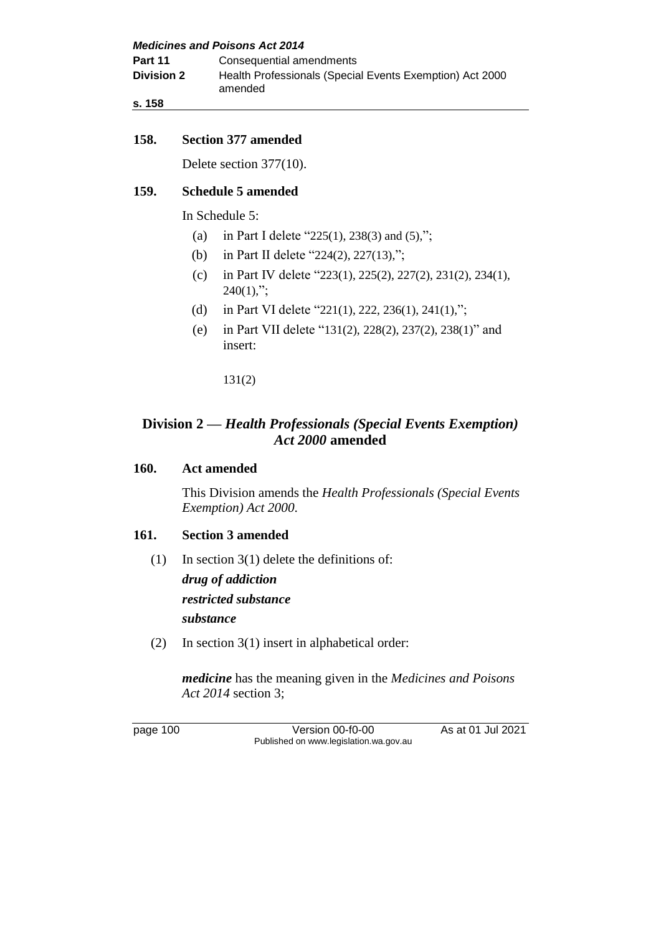| <b>Medicines and Poisons Act 2014</b> |                                                                     |  |  |
|---------------------------------------|---------------------------------------------------------------------|--|--|
| Part 11                               | Consequential amendments                                            |  |  |
| <b>Division 2</b>                     | Health Professionals (Special Events Exemption) Act 2000<br>amended |  |  |
| s. 158                                |                                                                     |  |  |

#### **158. Section 377 amended**

Delete section 377(10).

#### **159. Schedule 5 amended**

In Schedule 5:

- (a) in Part I delete "225(1), 238(3) and  $(5)$ ,";
- (b) in Part II delete "224(2), 227(13),";
- (c) in Part IV delete "223(1), 225(2), 227(2), 231(2), 234(1),  $240(1)$ ,";
- (d) in Part VI delete "221(1), 222, 236(1), 241(1),";
- (e) in Part VII delete "131(2), 228(2), 237(2), 238(1)" and insert:

131(2)

## **Division 2 —** *Health Professionals (Special Events Exemption) Act 2000* **amended**

#### **160. Act amended**

This Division amends the *Health Professionals (Special Events Exemption) Act 2000*.

#### **161. Section 3 amended**

(1) In section 3(1) delete the definitions of: *drug of addiction*

*restricted substance*

*substance*

(2) In section 3(1) insert in alphabetical order:

*medicine* has the meaning given in the *Medicines and Poisons Act 2014* section 3;

page 100 Version 00-f0-00 As at 01 Jul 2021 Published on www.legislation.wa.gov.au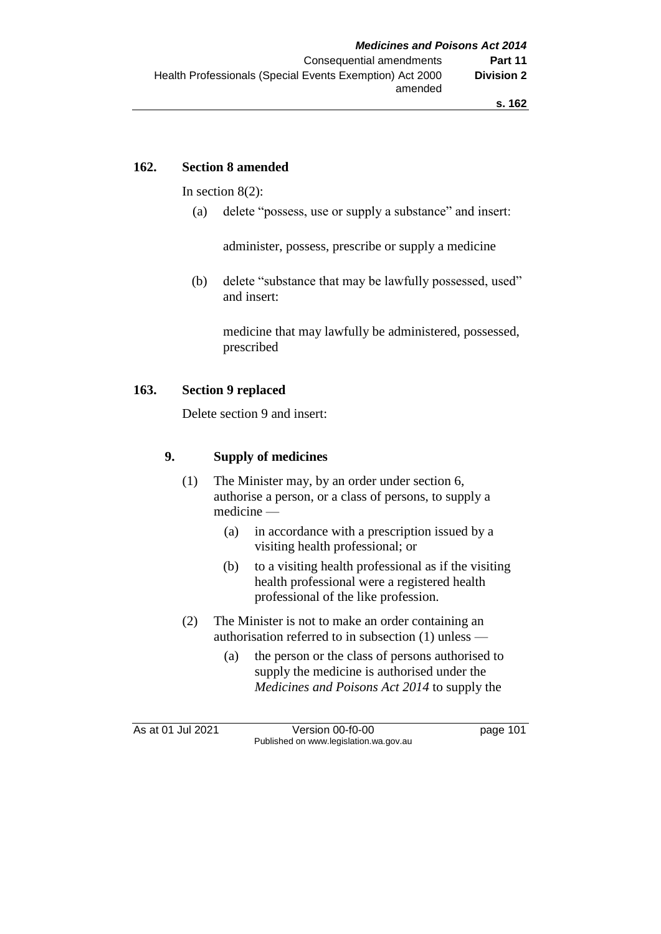#### **162. Section 8 amended**

In section 8(2):

(a) delete "possess, use or supply a substance" and insert:

administer, possess, prescribe or supply a medicine

(b) delete "substance that may be lawfully possessed, used" and insert:

medicine that may lawfully be administered, possessed, prescribed

#### **163. Section 9 replaced**

Delete section 9 and insert:

## **9. Supply of medicines**

- (1) The Minister may, by an order under section 6, authorise a person, or a class of persons, to supply a medicine —
	- (a) in accordance with a prescription issued by a visiting health professional; or
	- (b) to a visiting health professional as if the visiting health professional were a registered health professional of the like profession.
- (2) The Minister is not to make an order containing an authorisation referred to in subsection (1) unless —
	- (a) the person or the class of persons authorised to supply the medicine is authorised under the *Medicines and Poisons Act 2014* to supply the

As at 01 Jul 2021 Version 00-f0-00 page 101 Published on www.legislation.wa.gov.au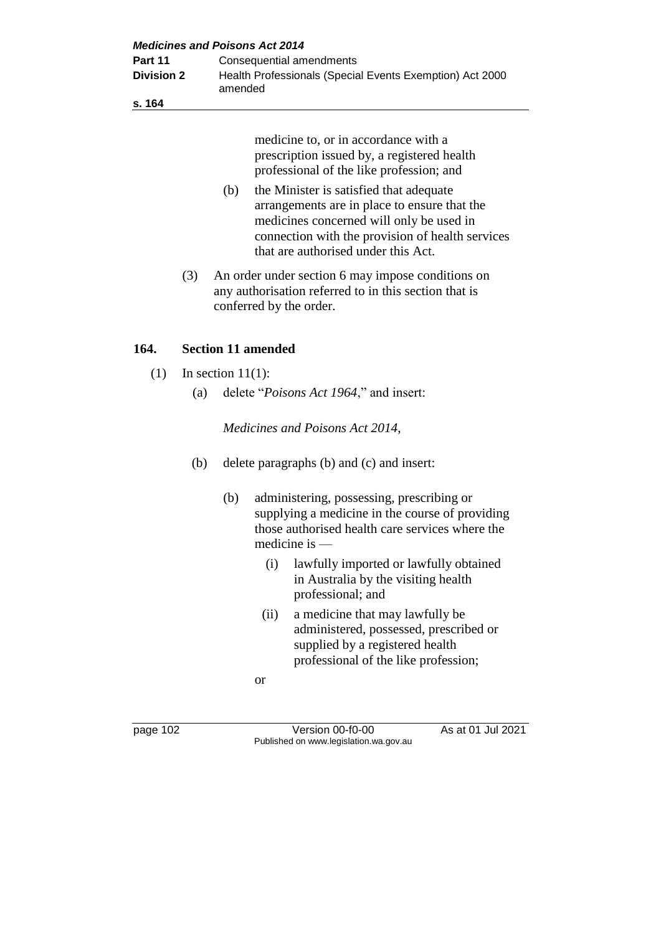| <b>Medicines and Poisons Act 2014</b> |                                                                     |  |  |
|---------------------------------------|---------------------------------------------------------------------|--|--|
| Part 11                               | Consequential amendments                                            |  |  |
| <b>Division 2</b>                     | Health Professionals (Special Events Exemption) Act 2000<br>amended |  |  |
| s. 164                                |                                                                     |  |  |

medicine to, or in accordance with a prescription issued by, a registered health professional of the like profession; and

- (b) the Minister is satisfied that adequate arrangements are in place to ensure that the medicines concerned will only be used in connection with the provision of health services that are authorised under this Act.
- (3) An order under section 6 may impose conditions on any authorisation referred to in this section that is conferred by the order.

## **164. Section 11 amended**

- $(1)$  In section 11(1):
	- (a) delete "*Poisons Act 1964*," and insert:

*Medicines and Poisons Act 2014*,

- (b) delete paragraphs (b) and (c) and insert:
	- (b) administering, possessing, prescribing or supplying a medicine in the course of providing those authorised health care services where the medicine is —
		- (i) lawfully imported or lawfully obtained in Australia by the visiting health professional; and
		- (ii) a medicine that may lawfully be administered, possessed, prescribed or supplied by a registered health professional of the like profession;
		- or

page 102 Version 00-f0-00 As at 01 Jul 2021 Published on www.legislation.wa.gov.au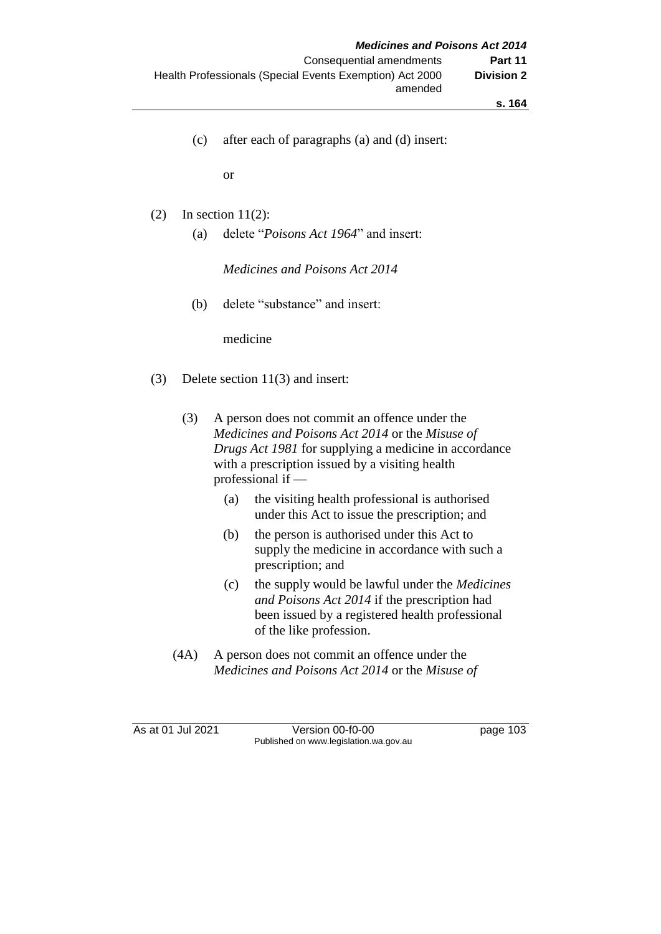- **s. 164**
- (c) after each of paragraphs (a) and (d) insert:

or

- (2) In section  $11(2)$ :
	- (a) delete "*Poisons Act 1964*" and insert:

*Medicines and Poisons Act 2014*

(b) delete "substance" and insert:

medicine

- (3) Delete section 11(3) and insert:
	- (3) A person does not commit an offence under the *Medicines and Poisons Act 2014* or the *Misuse of Drugs Act 1981* for supplying a medicine in accordance with a prescription issued by a visiting health professional if —
		- (a) the visiting health professional is authorised under this Act to issue the prescription; and
		- (b) the person is authorised under this Act to supply the medicine in accordance with such a prescription; and
		- (c) the supply would be lawful under the *Medicines and Poisons Act 2014* if the prescription had been issued by a registered health professional of the like profession.
	- (4A) A person does not commit an offence under the *Medicines and Poisons Act 2014* or the *Misuse of*

As at 01 Jul 2021 Version 00-f0-00 page 103 Published on www.legislation.wa.gov.au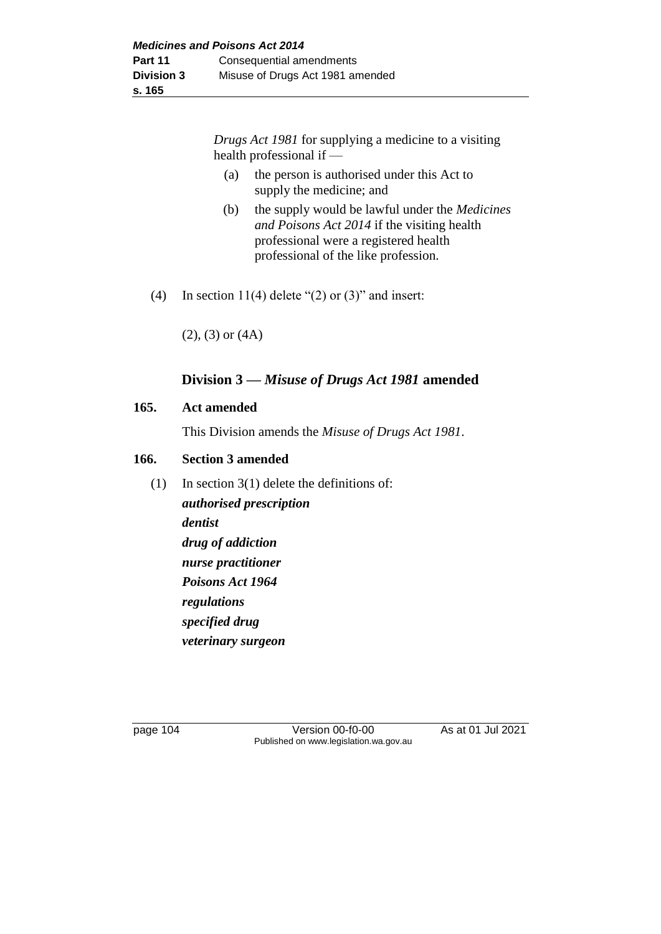*Drugs Act 1981* for supplying a medicine to a visiting health professional if —

- (a) the person is authorised under this Act to supply the medicine; and
- (b) the supply would be lawful under the *Medicines and Poisons Act 2014* if the visiting health professional were a registered health professional of the like profession.
- (4) In section 11(4) delete " $(2)$  or  $(3)$ " and insert:

(2), (3) or (4A)

## **Division 3 —** *Misuse of Drugs Act 1981* **amended**

#### **165. Act amended**

This Division amends the *Misuse of Drugs Act 1981*.

#### **166. Section 3 amended**

(1) In section 3(1) delete the definitions of: *authorised prescription dentist drug of addiction nurse practitioner Poisons Act 1964 regulations specified drug veterinary surgeon*

page 104 Version 00-f0-00 As at 01 Jul 2021 Published on www.legislation.wa.gov.au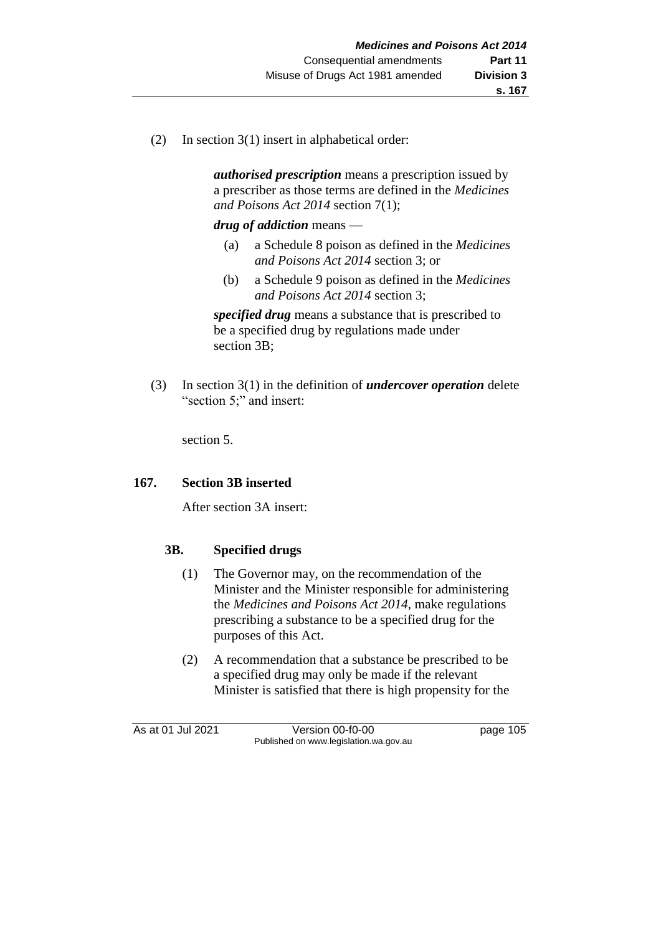(2) In section 3(1) insert in alphabetical order:

*authorised prescription* means a prescription issued by a prescriber as those terms are defined in the *Medicines and Poisons Act 2014* section 7(1);

*drug of addiction* means —

- (a) a Schedule 8 poison as defined in the *Medicines and Poisons Act 2014* section 3; or
- (b) a Schedule 9 poison as defined in the *Medicines and Poisons Act 2014* section 3;

*specified drug* means a substance that is prescribed to be a specified drug by regulations made under section 3B;

(3) In section 3(1) in the definition of *undercover operation* delete "section 5;" and insert:

section 5.

## **167. Section 3B inserted**

After section 3A insert:

## **3B. Specified drugs**

- (1) The Governor may, on the recommendation of the Minister and the Minister responsible for administering the *Medicines and Poisons Act 2014*, make regulations prescribing a substance to be a specified drug for the purposes of this Act.
- (2) A recommendation that a substance be prescribed to be a specified drug may only be made if the relevant Minister is satisfied that there is high propensity for the

As at 01 Jul 2021 Version 00-f0-00 page 105 Published on www.legislation.wa.gov.au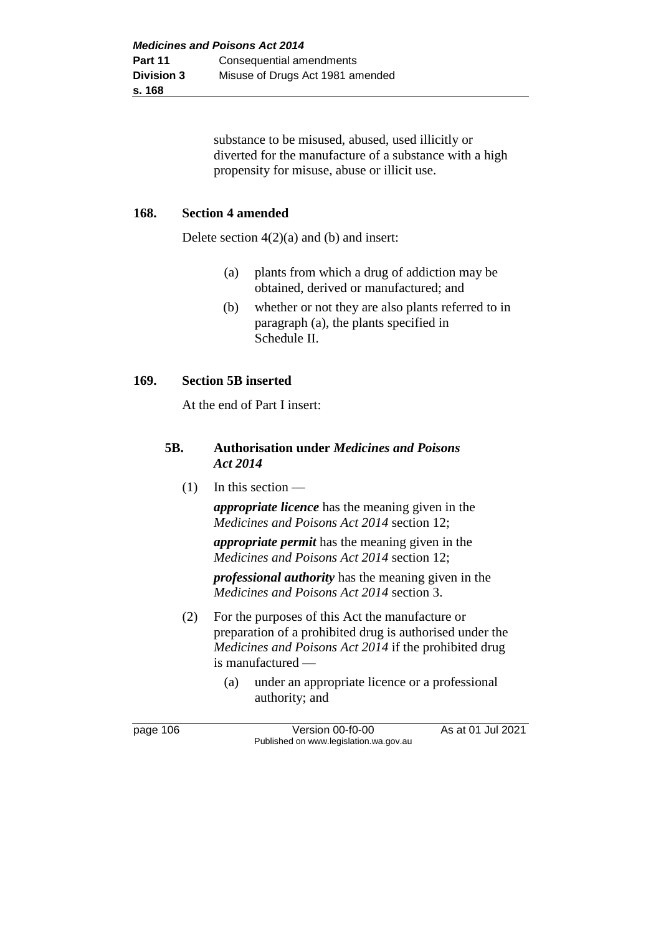substance to be misused, abused, used illicitly or diverted for the manufacture of a substance with a high propensity for misuse, abuse or illicit use.

#### **168. Section 4 amended**

Delete section  $4(2)(a)$  and (b) and insert:

- (a) plants from which a drug of addiction may be obtained, derived or manufactured; and
- (b) whether or not they are also plants referred to in paragraph (a), the plants specified in Schedule II.

#### **169. Section 5B inserted**

At the end of Part I insert:

#### **5B. Authorisation under** *Medicines and Poisons Act 2014*

(1) In this section —

*appropriate licence* has the meaning given in the *Medicines and Poisons Act 2014* section 12;

*appropriate permit* has the meaning given in the *Medicines and Poisons Act 2014* section 12;

*professional authority* has the meaning given in the *Medicines and Poisons Act 2014* section 3.

- (2) For the purposes of this Act the manufacture or preparation of a prohibited drug is authorised under the *Medicines and Poisons Act 2014* if the prohibited drug is manufactured —
	- (a) under an appropriate licence or a professional authority; and

page 106 Version 00-f0-00 As at 01 Jul 2021 Published on www.legislation.wa.gov.au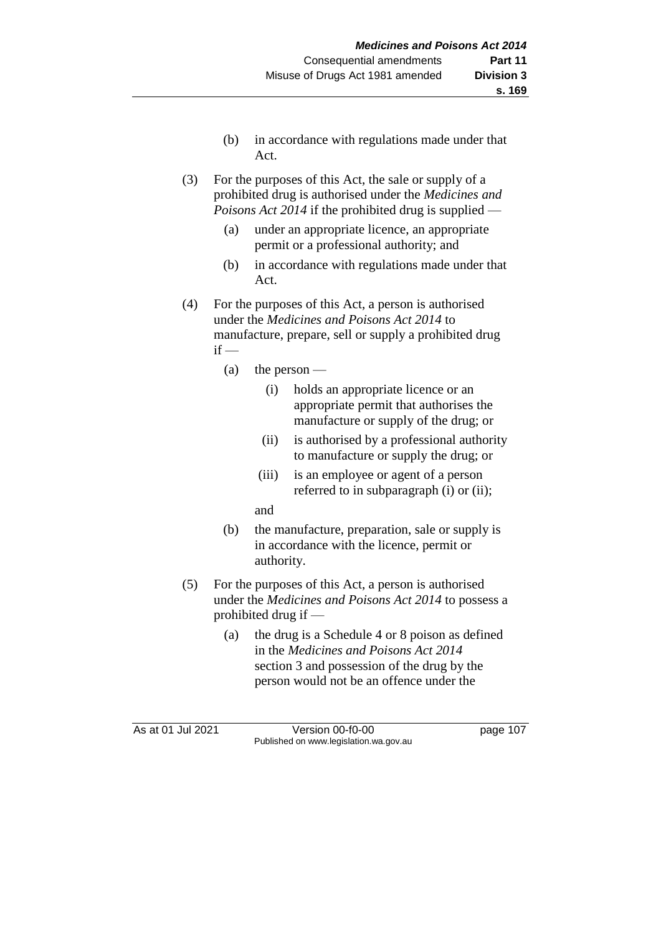- (b) in accordance with regulations made under that Act.
- (3) For the purposes of this Act, the sale or supply of a prohibited drug is authorised under the *Medicines and Poisons Act 2014* if the prohibited drug is supplied —
	- (a) under an appropriate licence, an appropriate permit or a professional authority; and
	- (b) in accordance with regulations made under that Act.
- (4) For the purposes of this Act, a person is authorised under the *Medicines and Poisons Act 2014* to manufacture, prepare, sell or supply a prohibited drug  $if -$ 
	- (a) the person
		- (i) holds an appropriate licence or an appropriate permit that authorises the manufacture or supply of the drug; or
		- (ii) is authorised by a professional authority to manufacture or supply the drug; or
		- (iii) is an employee or agent of a person referred to in subparagraph (i) or (ii);
		- and
	- (b) the manufacture, preparation, sale or supply is in accordance with the licence, permit or authority.
- (5) For the purposes of this Act, a person is authorised under the *Medicines and Poisons Act 2014* to possess a prohibited drug if —
	- (a) the drug is a Schedule 4 or 8 poison as defined in the *Medicines and Poisons Act 2014*  section 3 and possession of the drug by the person would not be an offence under the

As at 01 Jul 2021 Version 00-f0-00 page 107 Published on www.legislation.wa.gov.au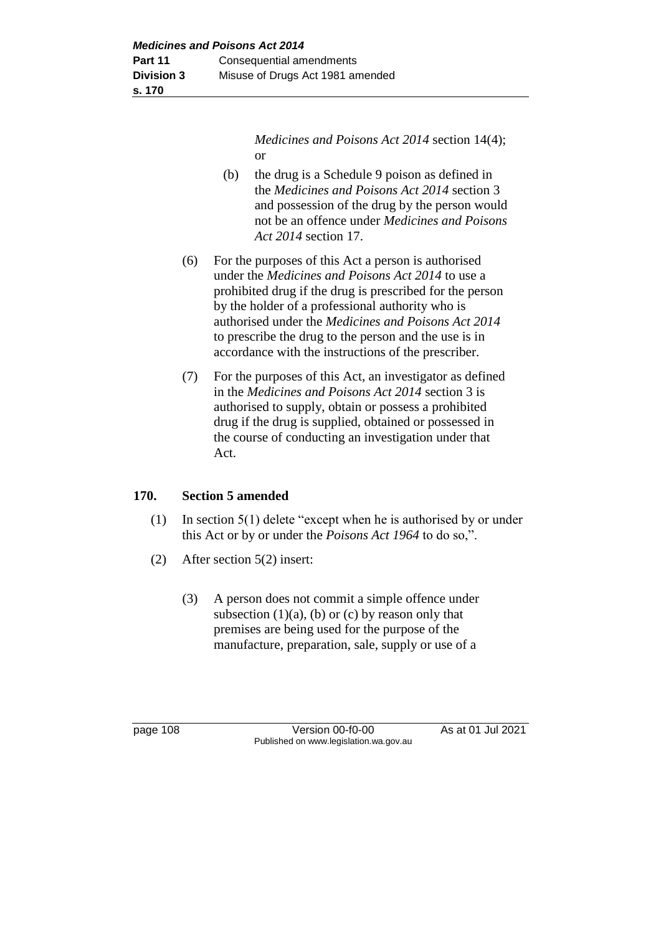*Medicines and Poisons Act 2014* section 14(4); or

- (b) the drug is a Schedule 9 poison as defined in the *Medicines and Poisons Act 2014* section 3 and possession of the drug by the person would not be an offence under *Medicines and Poisons Act 2014* section 17.
- (6) For the purposes of this Act a person is authorised under the *Medicines and Poisons Act 2014* to use a prohibited drug if the drug is prescribed for the person by the holder of a professional authority who is authorised under the *Medicines and Poisons Act 2014*  to prescribe the drug to the person and the use is in accordance with the instructions of the prescriber.
- (7) For the purposes of this Act, an investigator as defined in the *Medicines and Poisons Act 2014* section 3 is authorised to supply, obtain or possess a prohibited drug if the drug is supplied, obtained or possessed in the course of conducting an investigation under that Act.

## **170. Section 5 amended**

- (1) In section 5(1) delete "except when he is authorised by or under this Act or by or under the *Poisons Act 1964* to do so,".
- (2) After section 5(2) insert:
	- (3) A person does not commit a simple offence under subsection  $(1)(a)$ ,  $(b)$  or  $(c)$  by reason only that premises are being used for the purpose of the manufacture, preparation, sale, supply or use of a

page 108 Version 00-f0-00 As at 01 Jul 2021 Published on www.legislation.wa.gov.au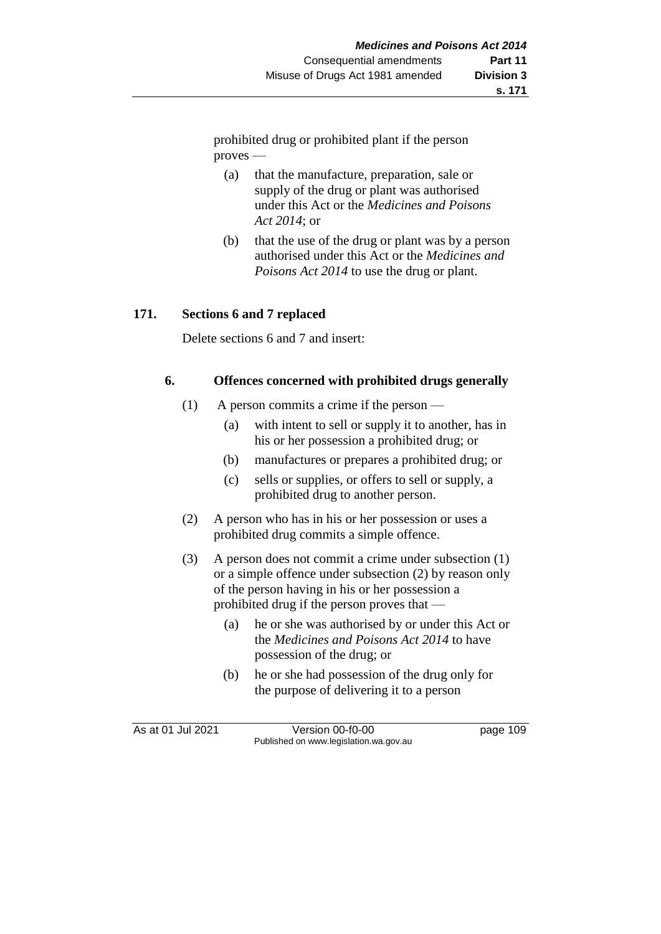prohibited drug or prohibited plant if the person proves —

- (a) that the manufacture, preparation, sale or supply of the drug or plant was authorised under this Act or the *Medicines and Poisons Act 2014*; or
- (b) that the use of the drug or plant was by a person authorised under this Act or the *Medicines and Poisons Act 2014* to use the drug or plant.

## **171. Sections 6 and 7 replaced**

Delete sections 6 and 7 and insert:

#### **6. Offences concerned with prohibited drugs generally**

- (1) A person commits a crime if the person
	- (a) with intent to sell or supply it to another, has in his or her possession a prohibited drug; or
	- (b) manufactures or prepares a prohibited drug; or
	- (c) sells or supplies, or offers to sell or supply, a prohibited drug to another person.
- (2) A person who has in his or her possession or uses a prohibited drug commits a simple offence.
- (3) A person does not commit a crime under subsection (1) or a simple offence under subsection (2) by reason only of the person having in his or her possession a prohibited drug if the person proves that —
	- (a) he or she was authorised by or under this Act or the *Medicines and Poisons Act 2014* to have possession of the drug; or
	- (b) he or she had possession of the drug only for the purpose of delivering it to a person

As at 01 Jul 2021 Version 00-f0-00 Page 109 Published on www.legislation.wa.gov.au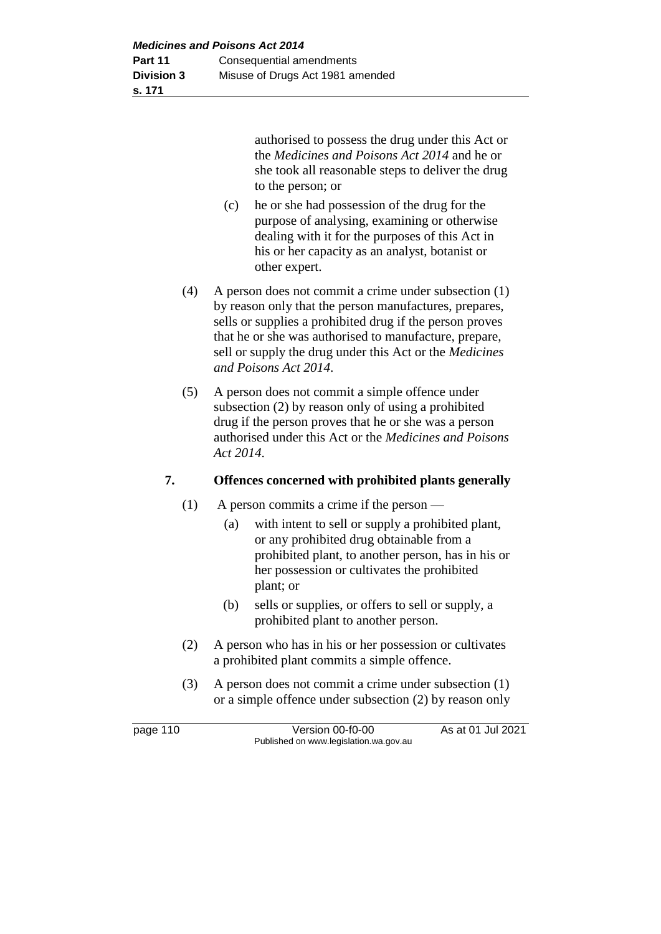authorised to possess the drug under this Act or the *Medicines and Poisons Act 2014* and he or she took all reasonable steps to deliver the drug to the person; or

- (c) he or she had possession of the drug for the purpose of analysing, examining or otherwise dealing with it for the purposes of this Act in his or her capacity as an analyst, botanist or other expert.
- (4) A person does not commit a crime under subsection (1) by reason only that the person manufactures, prepares, sells or supplies a prohibited drug if the person proves that he or she was authorised to manufacture, prepare, sell or supply the drug under this Act or the *Medicines and Poisons Act 2014*.
- (5) A person does not commit a simple offence under subsection (2) by reason only of using a prohibited drug if the person proves that he or she was a person authorised under this Act or the *Medicines and Poisons Act 2014*.

## **7. Offences concerned with prohibited plants generally**

- (1) A person commits a crime if the person
	- (a) with intent to sell or supply a prohibited plant, or any prohibited drug obtainable from a prohibited plant, to another person, has in his or her possession or cultivates the prohibited plant; or
	- (b) sells or supplies, or offers to sell or supply, a prohibited plant to another person.
- (2) A person who has in his or her possession or cultivates a prohibited plant commits a simple offence.
- (3) A person does not commit a crime under subsection (1) or a simple offence under subsection (2) by reason only

page 110 Version 00-f0-00 As at 01 Jul 2021 Published on www.legislation.wa.gov.au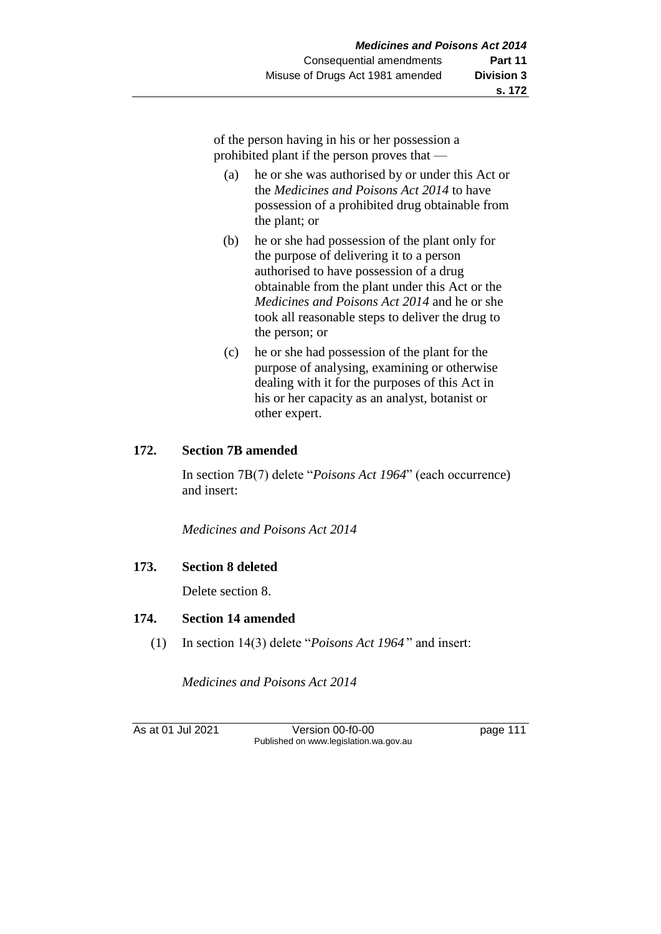of the person having in his or her possession a prohibited plant if the person proves that —

- (a) he or she was authorised by or under this Act or the *Medicines and Poisons Act 2014* to have possession of a prohibited drug obtainable from the plant; or
- (b) he or she had possession of the plant only for the purpose of delivering it to a person authorised to have possession of a drug obtainable from the plant under this Act or the *Medicines and Poisons Act 2014* and he or she took all reasonable steps to deliver the drug to the person; or
- (c) he or she had possession of the plant for the purpose of analysing, examining or otherwise dealing with it for the purposes of this Act in his or her capacity as an analyst, botanist or other expert.

#### **172. Section 7B amended**

In section 7B(7) delete "*Poisons Act 1964*" (each occurrence) and insert:

*Medicines and Poisons Act 2014*

## **173. Section 8 deleted**

Delete section 8.

#### **174. Section 14 amended**

(1) In section 14(3) delete "*Poisons Act 1964* " and insert:

*Medicines and Poisons Act 2014*

As at 01 Jul 2021 Version 00-f0-00 Page 111 Published on www.legislation.wa.gov.au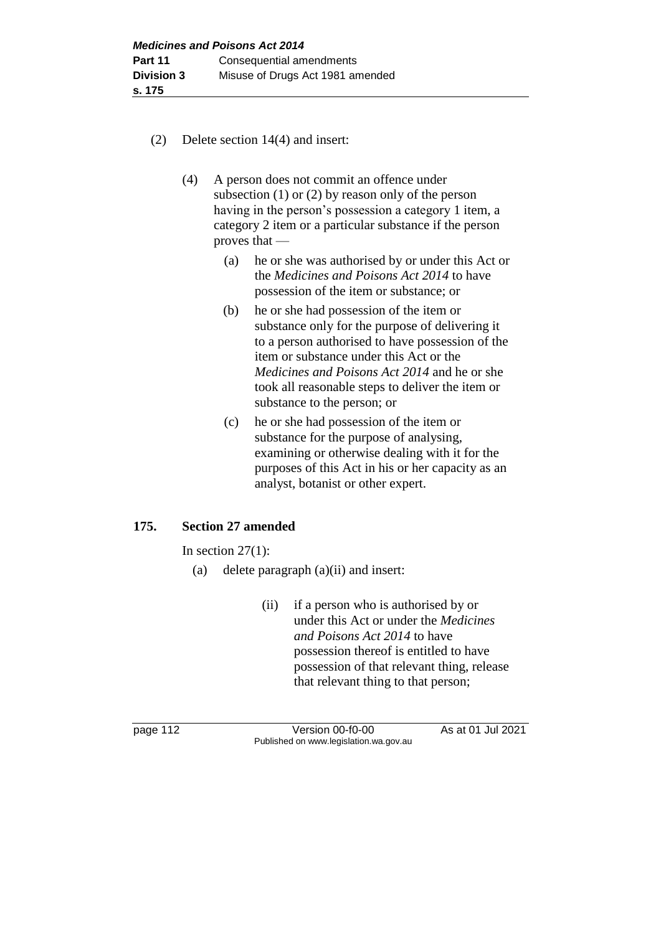- (2) Delete section 14(4) and insert:
	- (4) A person does not commit an offence under subsection (1) or (2) by reason only of the person having in the person's possession a category 1 item, a category 2 item or a particular substance if the person proves that —
		- (a) he or she was authorised by or under this Act or the *Medicines and Poisons Act 2014* to have possession of the item or substance; or
		- (b) he or she had possession of the item or substance only for the purpose of delivering it to a person authorised to have possession of the item or substance under this Act or the *Medicines and Poisons Act 2014* and he or she took all reasonable steps to deliver the item or substance to the person; or
		- (c) he or she had possession of the item or substance for the purpose of analysing, examining or otherwise dealing with it for the purposes of this Act in his or her capacity as an analyst, botanist or other expert.

#### **175. Section 27 amended**

In section  $27(1)$ :

- (a) delete paragraph (a)(ii) and insert:
	- (ii) if a person who is authorised by or under this Act or under the *Medicines and Poisons Act 2014* to have possession thereof is entitled to have possession of that relevant thing, release that relevant thing to that person;

page 112 Version 00-f0-00 As at 01 Jul 2021 Published on www.legislation.wa.gov.au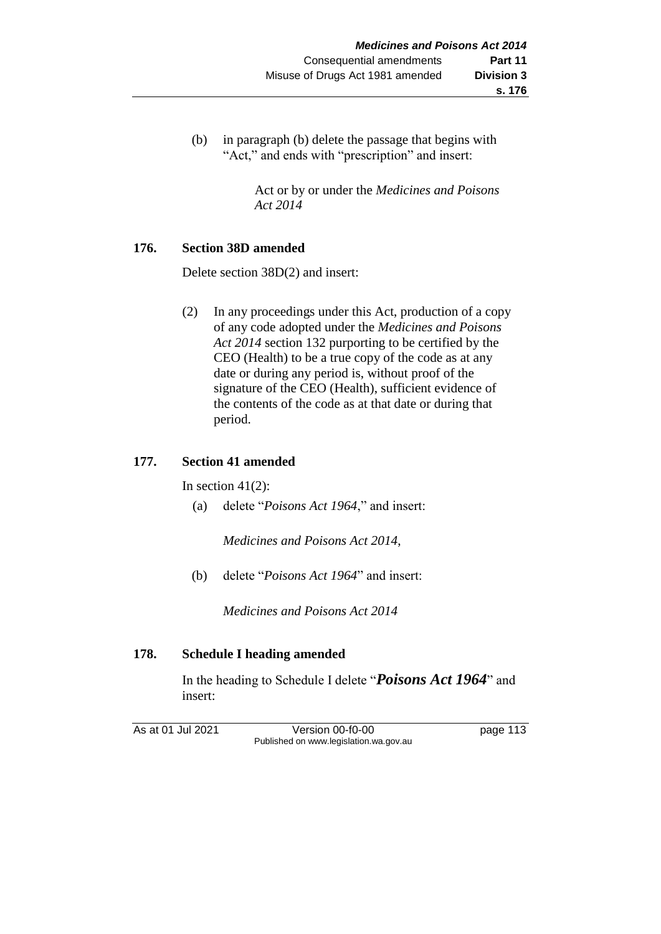(b) in paragraph (b) delete the passage that begins with "Act," and ends with "prescription" and insert:

> Act or by or under the *Medicines and Poisons Act 2014*

#### **176. Section 38D amended**

Delete section 38D(2) and insert:

(2) In any proceedings under this Act, production of a copy of any code adopted under the *Medicines and Poisons Act 2014* section 132 purporting to be certified by the CEO (Health) to be a true copy of the code as at any date or during any period is, without proof of the signature of the CEO (Health), sufficient evidence of the contents of the code as at that date or during that period.

## **177. Section 41 amended**

In section  $41(2)$ :

(a) delete "*Poisons Act 1964*," and insert:

*Medicines and Poisons Act 2014*,

(b) delete "*Poisons Act 1964*" and insert:

*Medicines and Poisons Act 2014*

## **178. Schedule I heading amended**

In the heading to Schedule I delete "*Poisons Act 1964*" and insert:

As at 01 Jul 2021 Version 00-f0-00 page 113 Published on www.legislation.wa.gov.au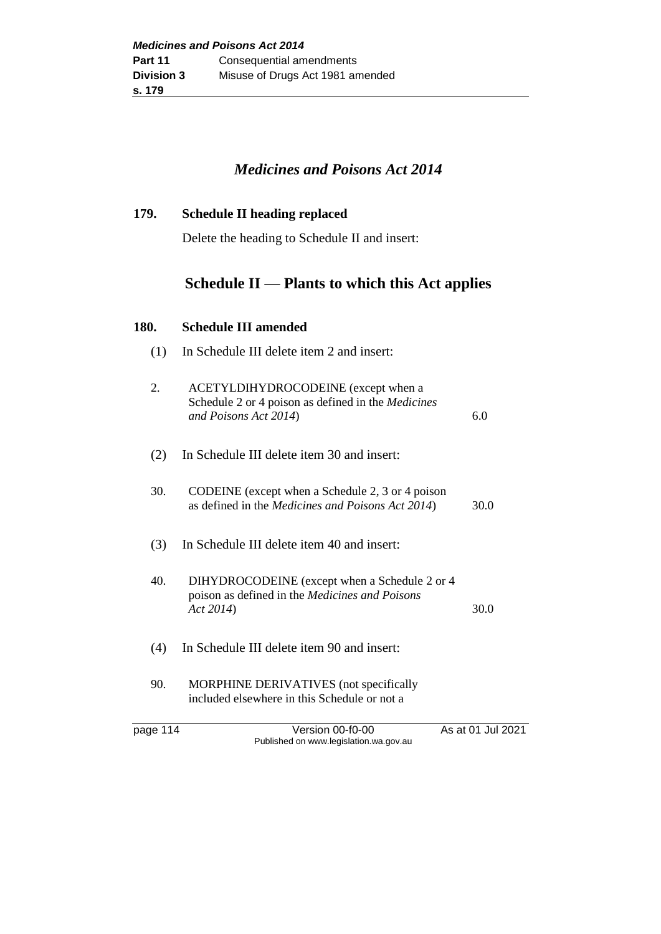# *Medicines and Poisons Act 2014*

| 179. | <b>Schedule II heading replaced</b> |
|------|-------------------------------------|
|      |                                     |

Delete the heading to Schedule II and insert:

# **Schedule II — Plants to which this Act applies**

#### **180. Schedule III amended**

| (1) | In Schedule III delete item 2 and insert:                                                                           |      |
|-----|---------------------------------------------------------------------------------------------------------------------|------|
| 2.  | ACETYLDIHYDROCODEINE (except when a<br>Schedule 2 or 4 poison as defined in the Medicines<br>and Poisons Act 2014)  | 6.0  |
| (2) | In Schedule III delete item 30 and insert:                                                                          |      |
| 30. | CODEINE (except when a Schedule 2, 3 or 4 poison<br>as defined in the <i>Medicines and Poisons Act 2014</i> )       | 30.0 |
| (3) | In Schedule III delete item 40 and insert:                                                                          |      |
| 40. | DIHYDROCODEINE (except when a Schedule 2 or 4<br>poison as defined in the <i>Medicines and Poisons</i><br>Act 2014) | 30.0 |
| (4) | In Schedule III delete item 90 and insert:                                                                          |      |
| 90. | MORPHINE DERIVATIVES (not specifically<br>included elsewhere in this Schedule or not a                              |      |

page 114 Version 00-f0-00 As at 01 Jul 2021 Published on www.legislation.wa.gov.au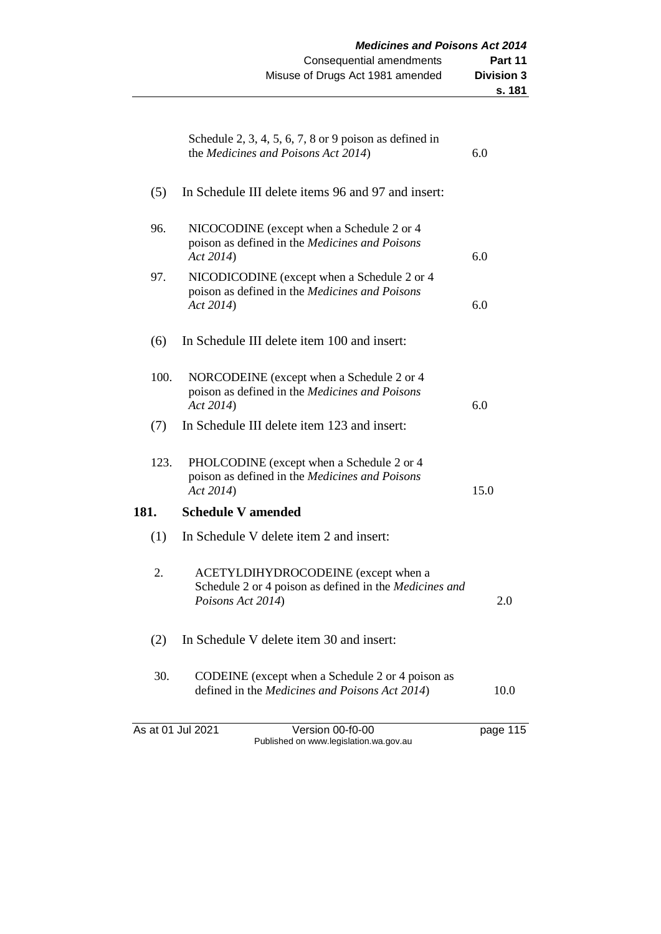|      | Schedule 2, 3, 4, 5, 6, 7, 8 or 9 poison as defined in<br>the Medicines and Poisons Act 2014)                      | 6.0      |
|------|--------------------------------------------------------------------------------------------------------------------|----------|
| (5)  | In Schedule III delete items 96 and 97 and insert:                                                                 |          |
| 96.  | NICOCODINE (except when a Schedule 2 or 4<br>poison as defined in the Medicines and Poisons<br>Act 2014)           | 6.0      |
| 97.  | NICODICODINE (except when a Schedule 2 or 4<br>poison as defined in the Medicines and Poisons<br>Act 2014)         | 6.0      |
| (6)  | In Schedule III delete item 100 and insert:                                                                        |          |
| 100. | NORCODEINE (except when a Schedule 2 or 4<br>poison as defined in the Medicines and Poisons<br>Act 2014)           | 6.0      |
| (7)  | In Schedule III delete item 123 and insert:                                                                        |          |
| 123. | PHOLCODINE (except when a Schedule 2 or 4<br>poison as defined in the Medicines and Poisons<br>Act 2014)           | 15.0     |
| 181. | <b>Schedule V amended</b>                                                                                          |          |
| (1)  | In Schedule V delete item 2 and insert:                                                                            |          |
| 2.   | ACETYLDIHYDROCODEINE (except when a<br>Schedule 2 or 4 poison as defined in the Medicines and<br>Poisons Act 2014) | 2.0      |
| (2)  | In Schedule V delete item 30 and insert:                                                                           |          |
| 30.  | CODEINE (except when a Schedule 2 or 4 poison as<br>defined in the Medicines and Poisons Act 2014)                 | 10.0     |
|      | As at 01 Jul 2021<br>Version 00-f0-00<br>Published on www.legislation.wa.gov.au                                    | page 115 |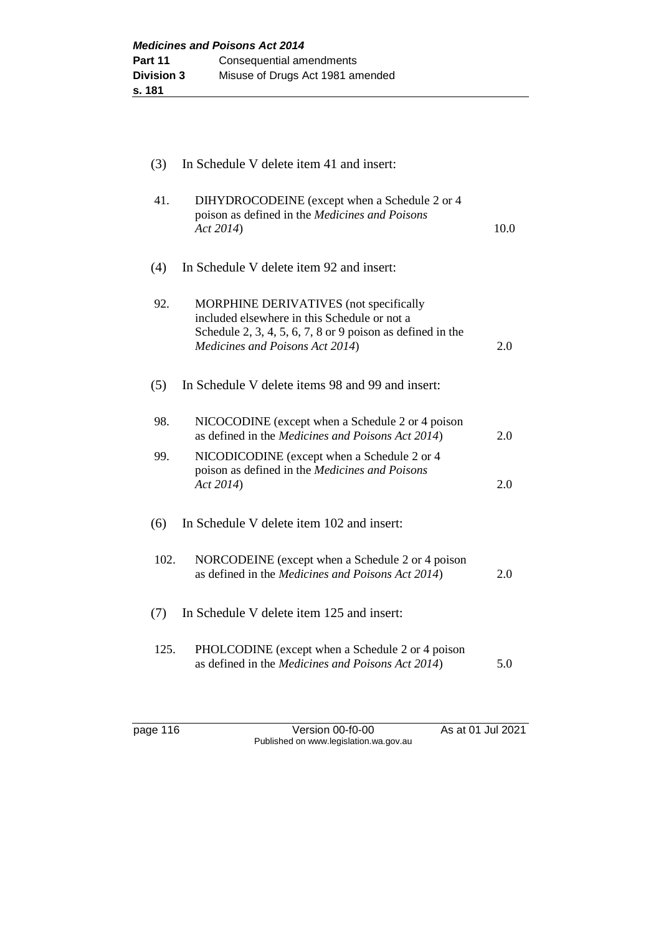| (3)  | In Schedule V delete item 41 and insert:                                                                                                                                                |      |
|------|-----------------------------------------------------------------------------------------------------------------------------------------------------------------------------------------|------|
| 41.  | DIHYDROCODEINE (except when a Schedule 2 or 4<br>poison as defined in the Medicines and Poisons<br>Act 2014)                                                                            | 10.0 |
| (4)  | In Schedule V delete item 92 and insert:                                                                                                                                                |      |
| 92.  | MORPHINE DERIVATIVES (not specifically<br>included elsewhere in this Schedule or not a<br>Schedule 2, 3, 4, 5, 6, 7, 8 or 9 poison as defined in the<br>Medicines and Poisons Act 2014) | 2.0  |
| (5)  | In Schedule V delete items 98 and 99 and insert:                                                                                                                                        |      |
| 98.  | NICOCODINE (except when a Schedule 2 or 4 poison<br>as defined in the Medicines and Poisons Act 2014)                                                                                   | 2.0  |
| 99.  | NICODICODINE (except when a Schedule 2 or 4<br>poison as defined in the Medicines and Poisons<br>Act 2014)                                                                              | 2.0  |
| (6)  | In Schedule V delete item 102 and insert:                                                                                                                                               |      |
| 102. | NORCODEINE (except when a Schedule 2 or 4 poison<br>as defined in the Medicines and Poisons Act 2014)                                                                                   | 2.0  |
| (7)  | In Schedule V delete item 125 and insert:                                                                                                                                               |      |
| 125. | PHOLCODINE (except when a Schedule 2 or 4 poison<br>as defined in the Medicines and Poisons Act 2014)                                                                                   | 5.0  |

page 116 Version 00-f0-00 As at 01 Jul 2021 Published on www.legislation.wa.gov.au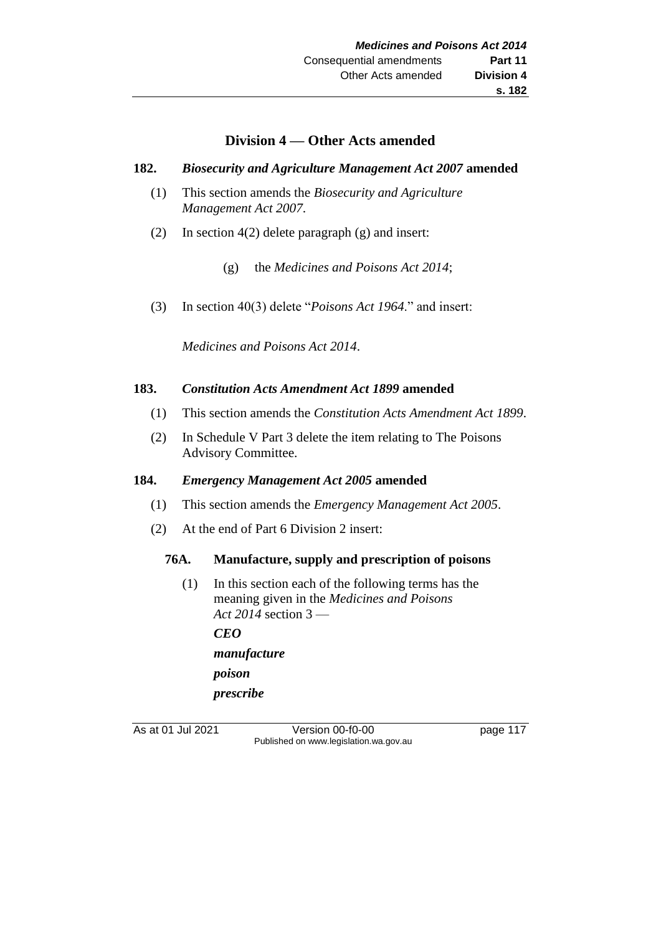## **Division 4 — Other Acts amended**

#### **182.** *Biosecurity and Agriculture Management Act 2007* **amended**

- (1) This section amends the *Biosecurity and Agriculture Management Act 2007*.
- (2) In section 4(2) delete paragraph (g) and insert:
	- (g) the *Medicines and Poisons Act 2014*;
- (3) In section 40(3) delete "*Poisons Act 1964*." and insert:

*Medicines and Poisons Act 2014*.

#### **183.** *Constitution Acts Amendment Act 1899* **amended**

- (1) This section amends the *Constitution Acts Amendment Act 1899*.
- (2) In Schedule V Part 3 delete the item relating to The Poisons Advisory Committee.

#### **184.** *Emergency Management Act 2005* **amended**

- (1) This section amends the *Emergency Management Act 2005*.
- (2) At the end of Part 6 Division 2 insert:

## **76A. Manufacture, supply and prescription of poisons**

(1) In this section each of the following terms has the meaning given in the *Medicines and Poisons Act 2014* section 3 — *CEO manufacture poison prescribe*

As at 01 Jul 2021 Version 00-f0-00 page 117 Published on www.legislation.wa.gov.au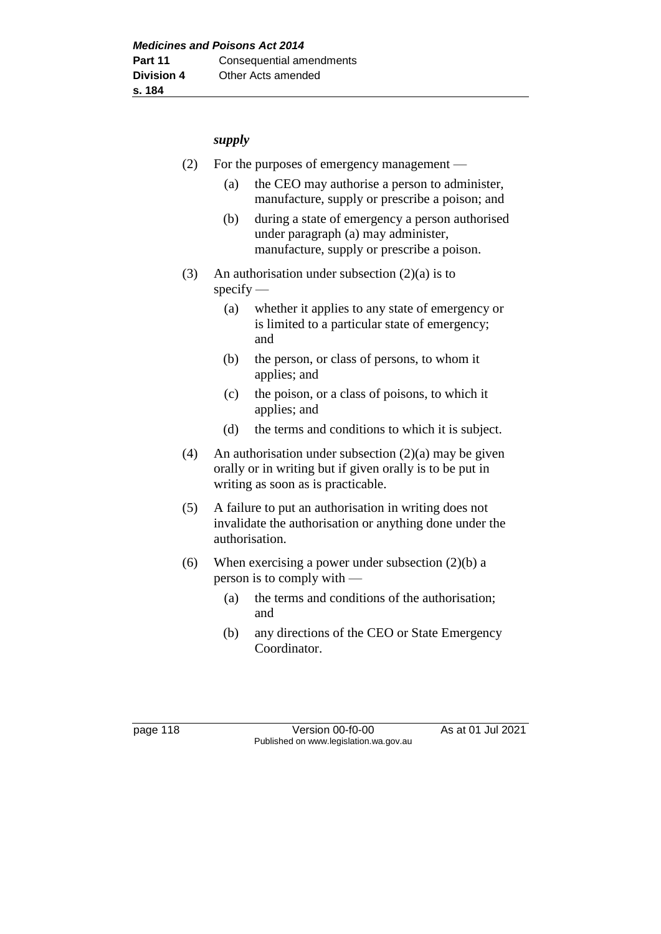#### *supply*

- (2) For the purposes of emergency management
	- (a) the CEO may authorise a person to administer, manufacture, supply or prescribe a poison; and
	- (b) during a state of emergency a person authorised under paragraph (a) may administer, manufacture, supply or prescribe a poison.
- (3) An authorisation under subsection  $(2)(a)$  is to specify —
	- (a) whether it applies to any state of emergency or is limited to a particular state of emergency; and
	- (b) the person, or class of persons, to whom it applies; and
	- (c) the poison, or a class of poisons, to which it applies; and
	- (d) the terms and conditions to which it is subject.
- (4) An authorisation under subsection  $(2)(a)$  may be given orally or in writing but if given orally is to be put in writing as soon as is practicable.
- (5) A failure to put an authorisation in writing does not invalidate the authorisation or anything done under the authorisation.
- (6) When exercising a power under subsection  $(2)(b)$  a person is to comply with —
	- (a) the terms and conditions of the authorisation; and
	- (b) any directions of the CEO or State Emergency Coordinator.

page 118 Version 00-f0-00 As at 01 Jul 2021 Published on www.legislation.wa.gov.au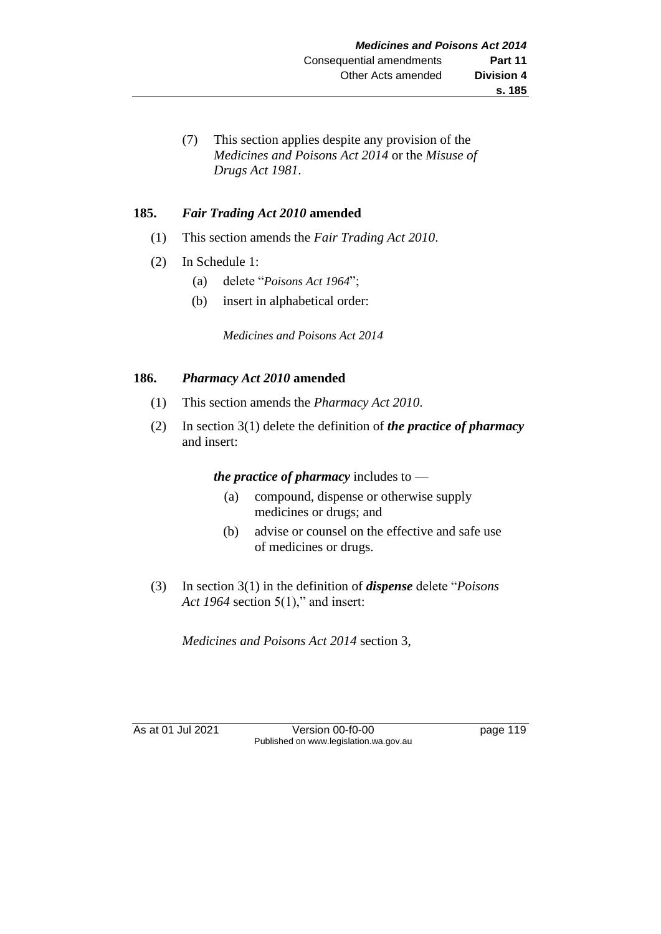(7) This section applies despite any provision of the *Medicines and Poisons Act 2014* or the *Misuse of Drugs Act 1981*.

## **185.** *Fair Trading Act 2010* **amended**

- (1) This section amends the *Fair Trading Act 2010*.
- (2) In Schedule 1:
	- (a) delete "*Poisons Act 1964*";
	- (b) insert in alphabetical order:

*Medicines and Poisons Act 2014*

#### **186.** *Pharmacy Act 2010* **amended**

- (1) This section amends the *Pharmacy Act 2010*.
- (2) In section 3(1) delete the definition of *the practice of pharmacy* and insert:

*the practice of pharmacy* includes to —

- (a) compound, dispense or otherwise supply medicines or drugs; and
- (b) advise or counsel on the effective and safe use of medicines or drugs.
- (3) In section 3(1) in the definition of *dispense* delete "*Poisons Act 1964* section 5(1)," and insert:

*Medicines and Poisons Act 2014* section 3,

As at 01 Jul 2021 Version 00-f0-00 page 119 Published on www.legislation.wa.gov.au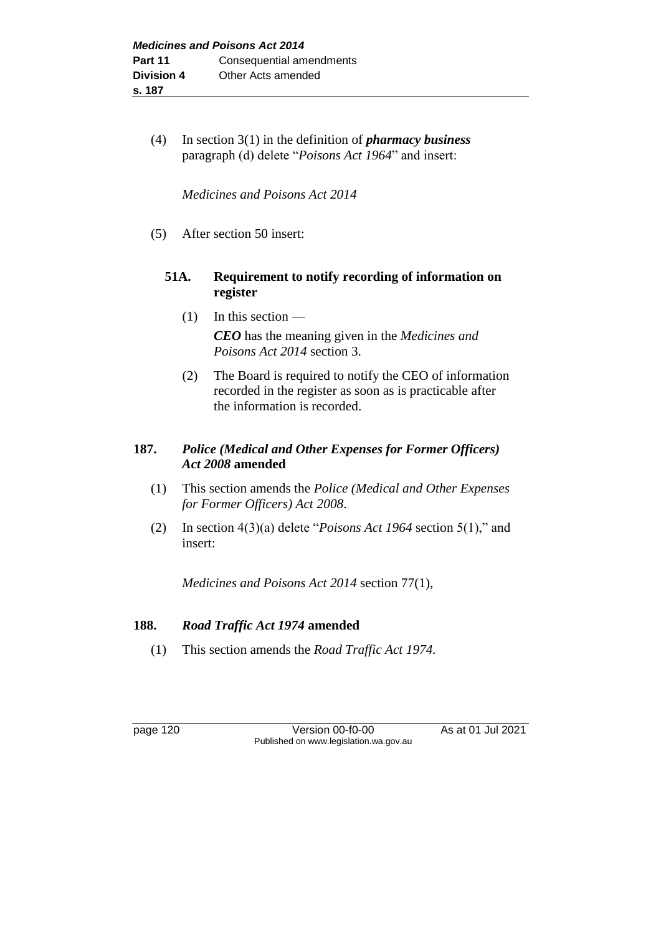(4) In section 3(1) in the definition of *pharmacy business* paragraph (d) delete "*Poisons Act 1964*" and insert:

*Medicines and Poisons Act 2014*

(5) After section 50 insert:

## **51A. Requirement to notify recording of information on register**

- $(1)$  In this section *CEO* has the meaning given in the *Medicines and Poisons Act 2014* section 3.
- (2) The Board is required to notify the CEO of information recorded in the register as soon as is practicable after the information is recorded.

## **187.** *Police (Medical and Other Expenses for Former Officers) Act 2008* **amended**

- (1) This section amends the *Police (Medical and Other Expenses for Former Officers) Act 2008*.
- (2) In section 4(3)(a) delete "*Poisons Act 1964* section 5(1)," and insert:

*Medicines and Poisons Act 2014* section 77(1),

## **188.** *Road Traffic Act 1974* **amended**

(1) This section amends the *Road Traffic Act 1974.*

page 120 Version 00-f0-00 As at 01 Jul 2021 Published on www.legislation.wa.gov.au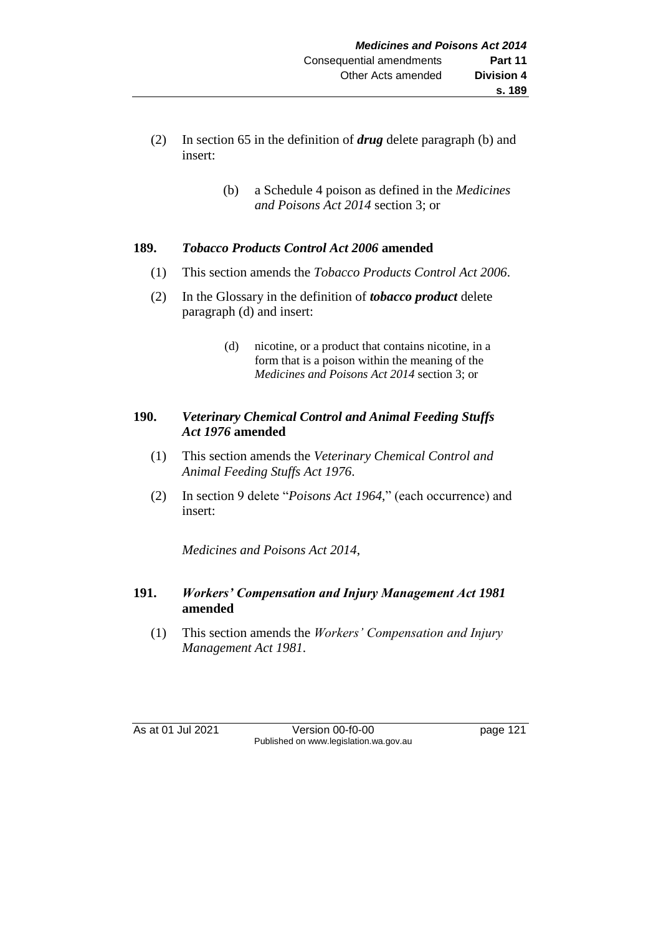- (2) In section 65 in the definition of *drug* delete paragraph (b) and insert:
	- (b) a Schedule 4 poison as defined in the *Medicines and Poisons Act 2014* section 3; or

#### **189.** *Tobacco Products Control Act 2006* **amended**

- (1) This section amends the *Tobacco Products Control Act 2006*.
- (2) In the Glossary in the definition of *tobacco product* delete paragraph (d) and insert:
	- (d) nicotine, or a product that contains nicotine, in a form that is a poison within the meaning of the *Medicines and Poisons Act 2014* section 3; or

## **190.** *Veterinary Chemical Control and Animal Feeding Stuffs Act 1976* **amended**

- (1) This section amends the *Veterinary Chemical Control and Animal Feeding Stuffs Act 1976*.
- (2) In section 9 delete "*Poisons Act 1964*," (each occurrence) and insert:

*Medicines and Poisons Act 2014*,

## **191.** *Workers' Compensation and Injury Management Act 1981* **amended**

(1) This section amends the *Workers' Compensation and Injury Management Act 1981*.

As at 01 Jul 2021 Version 00-f0-00 page 121 Published on www.legislation.wa.gov.au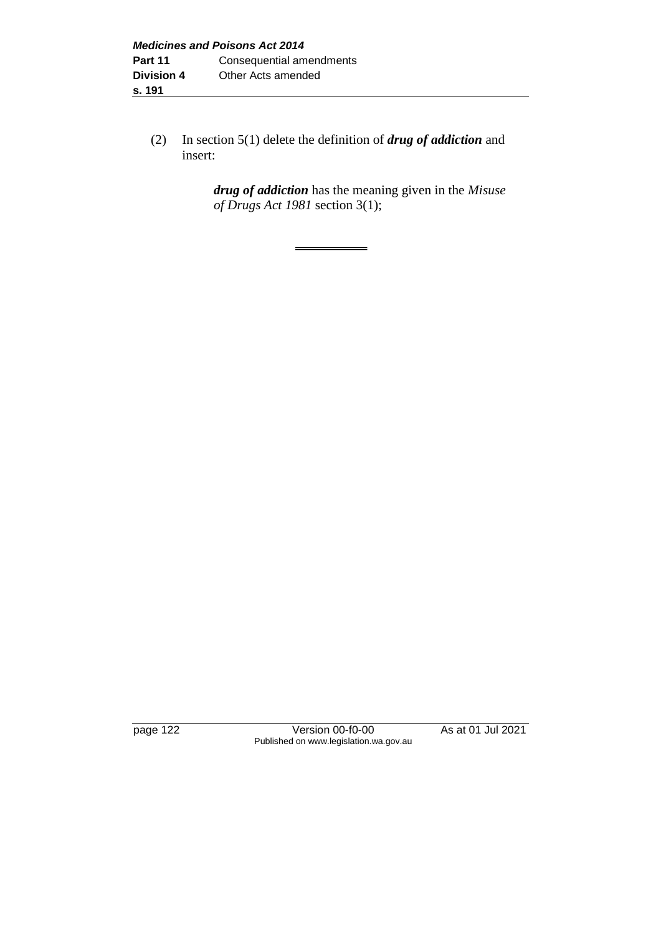(2) In section 5(1) delete the definition of *drug of addiction* and insert:

> *drug of addiction* has the meaning given in the *Misuse of Drugs Act 1981* section 3(1);

page 122 Version 00-f0-00 As at 01 Jul 2021 Published on www.legislation.wa.gov.au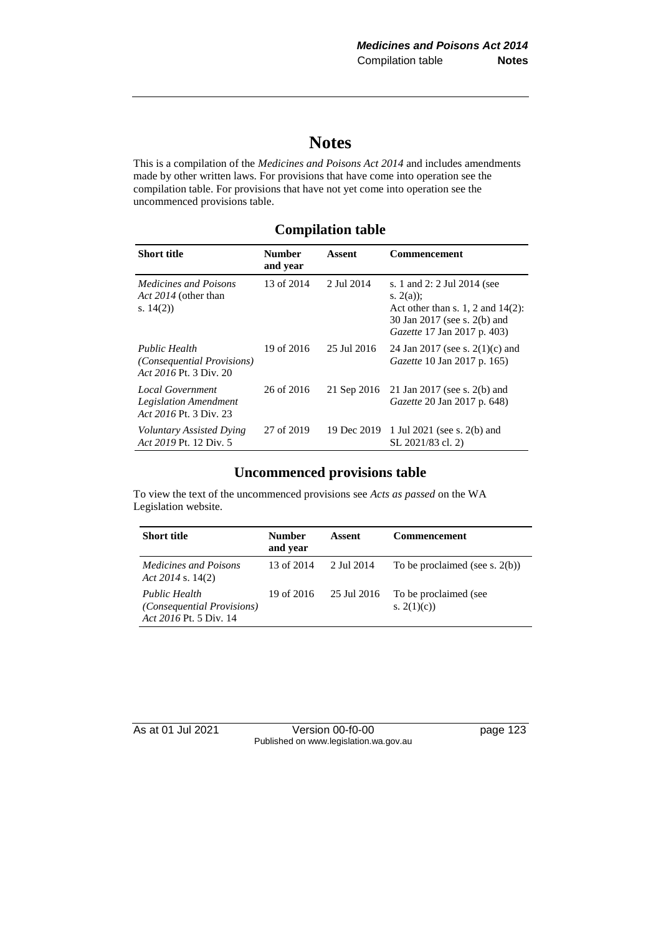# **Notes**

This is a compilation of the *Medicines and Poisons Act 2014* and includes amendments made by other written laws. For provisions that have come into operation see the compilation table. For provisions that have not yet come into operation see the uncommenced provisions table.

## **Compilation table**

| <b>Short title</b>                                                                  | <b>Number</b><br>and year | Assent      | Commencement                                                                                                                                             |
|-------------------------------------------------------------------------------------|---------------------------|-------------|----------------------------------------------------------------------------------------------------------------------------------------------------------|
| <i>Medicines and Poisons</i><br>Act 2014 (other than<br>s. $14(2)$                  | 13 of 2014                | 2 Jul 2014  | s. 1 and 2: 2 Jul 2014 (see<br>s. $2(a)$ ;<br>Act other than s. 1, 2 and $14(2)$ :<br>30 Jan 2017 (see s. 2(b) and<br><i>Gazette</i> 17 Jan 2017 p. 403) |
| <b>Public Health</b><br><i>(Consequential Provisions)</i><br>Act 2016 Pt. 3 Div. 20 | 19 of 2016                | 25 Jul 2016 | 24 Jan 2017 (see s. $2(1)(c)$ and<br><i>Gazette</i> 10 Jan 2017 p. 165)                                                                                  |
| Local Government<br><b>Legislation Amendment</b><br>Act 2016 Pt. 3 Div. 23          | 26 of 2016                | 21 Sep 2016 | 21 Jan 2017 (see s. 2(b) and<br><i>Gazette</i> 20 Jan 2017 p. 648)                                                                                       |
| Voluntary Assisted Dying<br>Act 2019 Pt. 12 Div. 5                                  | 27 of 2019                | 19 Dec 2019 | 1 Jul 2021 (see s. 2(b) and<br>SL 2021/83 cl. 2)                                                                                                         |

## **Uncommenced provisions table**

To view the text of the uncommenced provisions see *Acts as passed* on the WA Legislation website.

| <b>Short title</b>                                                           | <b>Number</b><br>and year | Assent      | Commencement                          |
|------------------------------------------------------------------------------|---------------------------|-------------|---------------------------------------|
| <i>Medicines and Poisons</i><br>Act 2014 s. $14(2)$                          | 13 of 2014                | 2 Jul 2014  | To be proclaimed (see s. $2(b)$ )     |
| Public Health<br><i>(Consequential Provisions)</i><br>Act 2016 Pt. 5 Div. 14 | 19 of 2016                | 25 Jul 2016 | To be proclaimed (see<br>s. $2(1)(c)$ |

As at 01 Jul 2021 Version 00-f0-00 page 123 Published on www.legislation.wa.gov.au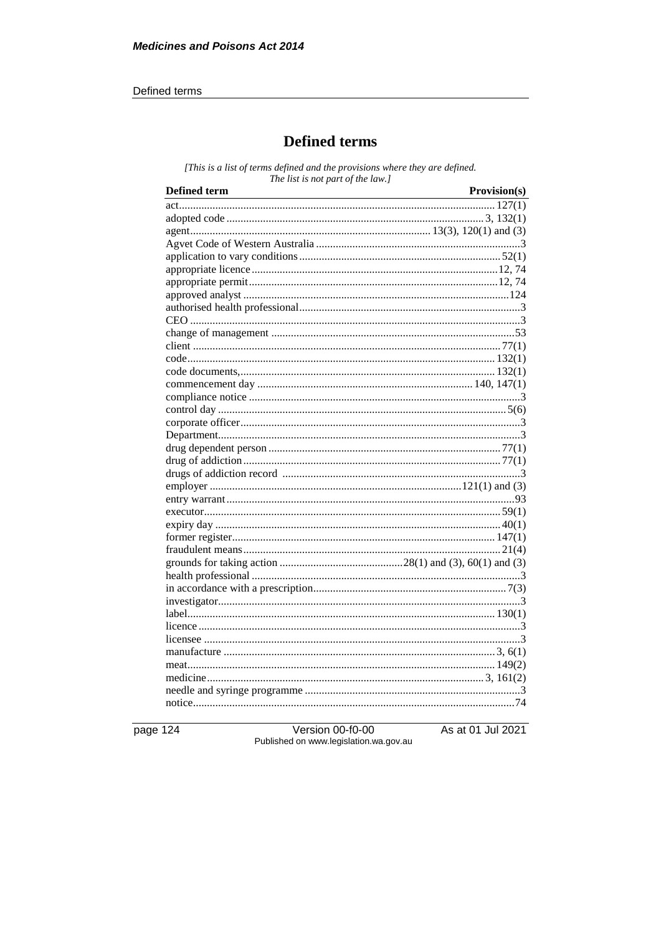#### Defined terms

# **Defined terms**

[This is a list of terms defined and the provisions where they are defined. The list is not part of the law.]

page 124

Version 00-f0-00<br>Published on www.legislation.wa.gov.au

As at 01 Jul 2021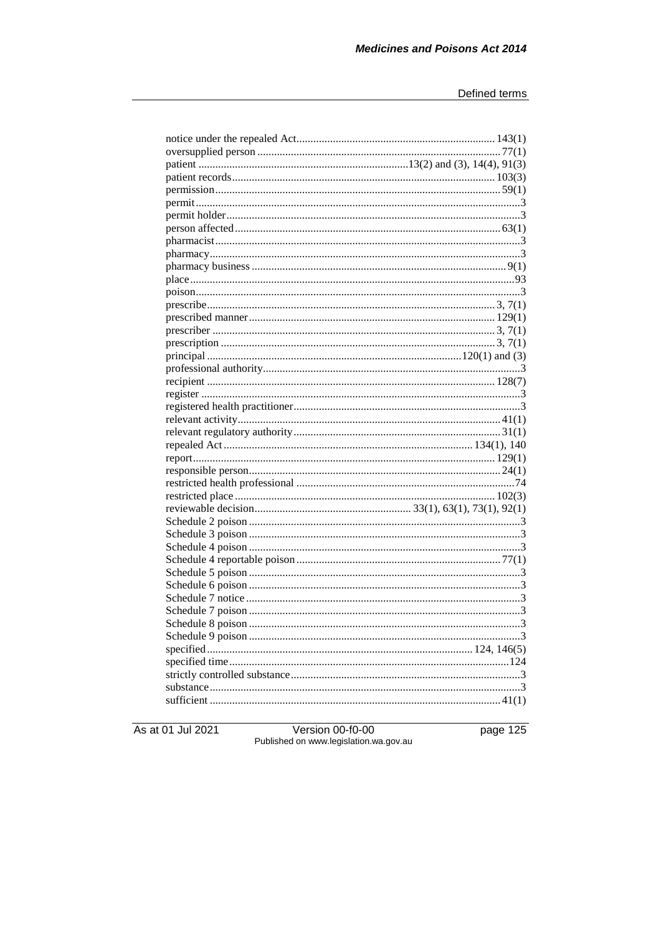As at 01 Jul 2021

Version 00-f0-00<br>Published on www.legislation.wa.gov.au

page 125